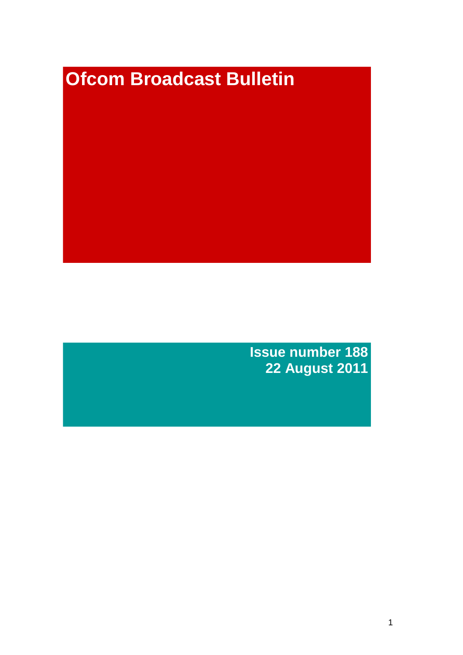# **Ofcom Broadcast Bulletin**

**Issue number 188 22 August 2011**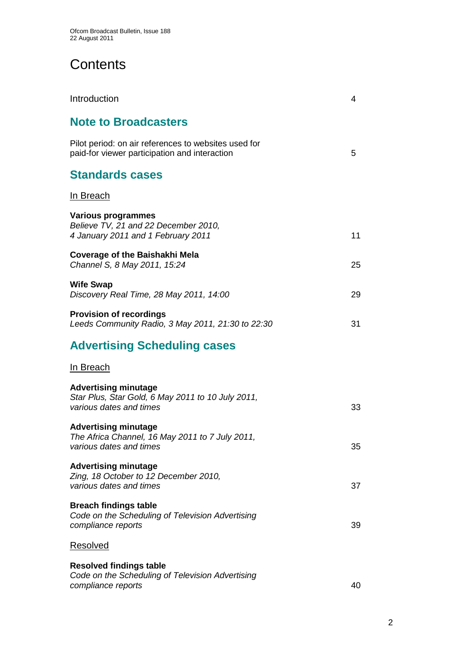# **Contents**

| Introduction                                                                                                | 4  |
|-------------------------------------------------------------------------------------------------------------|----|
| <b>Note to Broadcasters</b>                                                                                 |    |
| Pilot period: on air references to websites used for<br>paid-for viewer participation and interaction       | 5  |
| <b>Standards cases</b>                                                                                      |    |
| <u>In Breach</u>                                                                                            |    |
| <b>Various programmes</b><br>Believe TV, 21 and 22 December 2010,<br>4 January 2011 and 1 February 2011     | 11 |
| <b>Coverage of the Baishakhi Mela</b><br>Channel S, 8 May 2011, 15:24                                       | 25 |
| <b>Wife Swap</b><br>Discovery Real Time, 28 May 2011, 14:00                                                 | 29 |
| <b>Provision of recordings</b><br>Leeds Community Radio, 3 May 2011, 21:30 to 22:30                         | 31 |
| <b>Advertising Scheduling cases</b>                                                                         |    |
| In Breach                                                                                                   |    |
| <b>Advertising minutage</b><br>Star Plus, Star Gold, 6 May 2011 to 10 July 2011,<br>various dates and times | 33 |
| <b>Advertising minutage</b><br>The Africa Channel, 16 May 2011 to 7 July 2011,<br>various dates and times   | 35 |
| <b>Advertising minutage</b><br>Zing, 18 October to 12 December 2010,<br>various dates and times             | 37 |
| <b>Breach findings table</b><br>Code on the Scheduling of Television Advertising<br>compliance reports      | 39 |
| <b>Resolved</b>                                                                                             |    |
| <b>Resolved findings table</b><br>Code on the Scheduling of Television Advertising<br>compliance reports    | 40 |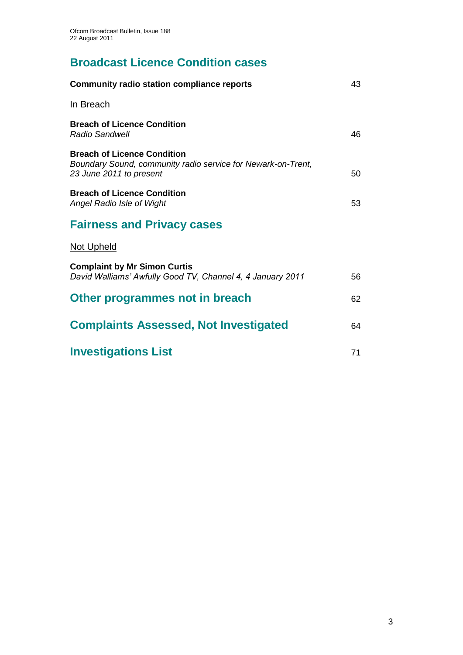# **Broadcast Licence Condition cases**

| <b>Community radio station compliance reports</b>                                                                             | 43 |
|-------------------------------------------------------------------------------------------------------------------------------|----|
| <u>In Breach</u>                                                                                                              |    |
| <b>Breach of Licence Condition</b><br><b>Radio Sandwell</b>                                                                   | 46 |
| <b>Breach of Licence Condition</b><br>Boundary Sound, community radio service for Newark-on-Trent,<br>23 June 2011 to present | 50 |
| <b>Breach of Licence Condition</b><br>Angel Radio Isle of Wight                                                               | 53 |
| <b>Fairness and Privacy cases</b>                                                                                             |    |
| <b>Not Upheld</b>                                                                                                             |    |
| <b>Complaint by Mr Simon Curtis</b><br>David Walliams' Awfully Good TV, Channel 4, 4 January 2011                             | 56 |
| Other programmes not in breach                                                                                                | 62 |
| <b>Complaints Assessed, Not Investigated</b>                                                                                  | 64 |
| <b>Investigations List</b>                                                                                                    | 71 |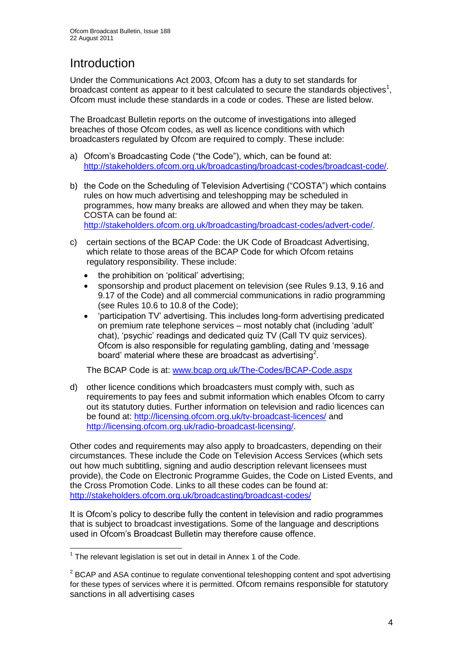# **Introduction**

Under the Communications Act 2003, Ofcom has a duty to set standards for broadcast content as appear to it best calculated to secure the standards objectives<sup>1</sup>, Ofcom must include these standards in a code or codes. These are listed below.

The Broadcast Bulletin reports on the outcome of investigations into alleged breaches of those Ofcom codes, as well as licence conditions with which broadcasters regulated by Ofcom are required to comply. These include:

- a) Ofcom"s Broadcasting Code ("the Code"), which, can be found at: [http://stakeholders.ofcom.org.uk/broadcasting/broadcast-codes/broadcast-code/.](http://stakeholders.ofcom.org.uk/broadcasting/broadcast-codes/broadcast-code/)
- b) the Code on the Scheduling of Television Advertising ("COSTA") which contains rules on how much advertising and teleshopping may be scheduled in programmes, how many breaks are allowed and when they may be taken. COSTA can be found at: [http://stakeholders.ofcom.org.uk/broadcasting/broadcast-codes/advert-code/.](http://stakeholders.ofcom.org.uk/broadcasting/broadcast-codes/advert-code/)

c) certain sections of the BCAP Code: the UK Code of Broadcast Advertising, which relate to those areas of the BCAP Code for which Ofcom retains regulatory responsibility. These include:

- the prohibition on "political" advertising;
- sponsorship and product placement on television (see Rules 9.13, 9.16 and 9.17 of the Code) and all commercial communications in radio programming (see Rules 10.6 to 10.8 of the Code);
- "participation TV" advertising. This includes long-form advertising predicated on premium rate telephone services – most notably chat (including "adult" chat), "psychic" readings and dedicated quiz TV (Call TV quiz services). Ofcom is also responsible for regulating gambling, dating and "message board' material where these are broadcast as advertising<sup>2</sup>.

The BCAP Code is at: [www.bcap.org.uk/The-Codes/BCAP-Code.aspx](http://www.bcap.org.uk/The-Codes/BCAP-Code.aspx)

d) other licence conditions which broadcasters must comply with, such as requirements to pay fees and submit information which enables Ofcom to carry out its statutory duties. Further information on television and radio licences can be found at:<http://licensing.ofcom.org.uk/tv-broadcast-licences/> and [http://licensing.ofcom.org.uk/radio-broadcast-licensing/.](http://licensing.ofcom.org.uk/radio-broadcast-licensing/)

Other codes and requirements may also apply to broadcasters, depending on their circumstances. These include the Code on Television Access Services (which sets out how much subtitling, signing and audio description relevant licensees must provide), the Code on Electronic Programme Guides, the Code on Listed Events, and the Cross Promotion Code. Links to all these codes can be found at: <http://stakeholders.ofcom.org.uk/broadcasting/broadcast-codes/>

It is Ofcom"s policy to describe fully the content in television and radio programmes that is subject to broadcast investigations. Some of the language and descriptions used in Ofcom"s Broadcast Bulletin may therefore cause offence.

1

 $1$  The relevant legislation is set out in detail in Annex 1 of the Code.

 $2$  BCAP and ASA continue to regulate conventional teleshopping content and spot advertising for these types of services where it is permitted. Ofcom remains responsible for statutory sanctions in all advertising cases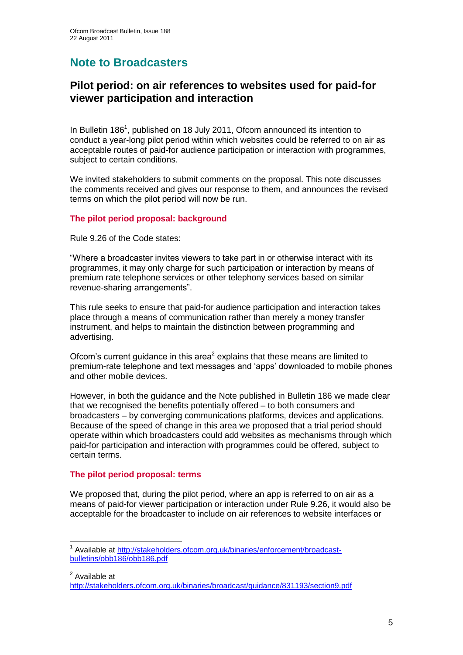# **Note to Broadcasters**

## **Pilot period: on air references to websites used for paid-for viewer participation and interaction**

In Bulletin 186<sup>1</sup>, published on 18 July 2011, Ofcom announced its intention to conduct a year-long pilot period within which websites could be referred to on air as acceptable routes of paid-for audience participation or interaction with programmes, subject to certain conditions.

We invited stakeholders to submit comments on the proposal. This note discusses the comments received and gives our response to them, and announces the revised terms on which the pilot period will now be run.

#### **The pilot period proposal: background**

Rule 9.26 of the Code states:

"Where a broadcaster invites viewers to take part in or otherwise interact with its programmes, it may only charge for such participation or interaction by means of premium rate telephone services or other telephony services based on similar revenue-sharing arrangements".

This rule seeks to ensure that paid-for audience participation and interaction takes place through a means of communication rather than merely a money transfer instrument, and helps to maintain the distinction between programming and advertising.

Ofcom's current guidance in this area<sup>2</sup> explains that these means are limited to premium-rate telephone and text messages and "apps" downloaded to mobile phones and other mobile devices.

However, in both the guidance and the Note published in Bulletin 186 we made clear that we recognised the benefits potentially offered – to both consumers and broadcasters – by converging communications platforms, devices and applications. Because of the speed of change in this area we proposed that a trial period should operate within which broadcasters could add websites as mechanisms through which paid-for participation and interaction with programmes could be offered, subject to certain terms.

#### **The pilot period proposal: terms**

1

We proposed that, during the pilot period, where an app is referred to on air as a means of paid-for viewer participation or interaction under Rule 9.26, it would also be acceptable for the broadcaster to include on air references to website interfaces or

<sup>2</sup> Available at <http://stakeholders.ofcom.org.uk/binaries/broadcast/guidance/831193/section9.pdf>

<sup>&</sup>lt;sup>1</sup> Available at [http://stakeholders.ofcom.org.uk/binaries/enforcement/broadcast](http://stakeholders.ofcom.org.uk/binaries/enforcement/broadcast-bulletins/obb186/obb186.pdf)[bulletins/obb186/obb186.pdf](http://stakeholders.ofcom.org.uk/binaries/enforcement/broadcast-bulletins/obb186/obb186.pdf)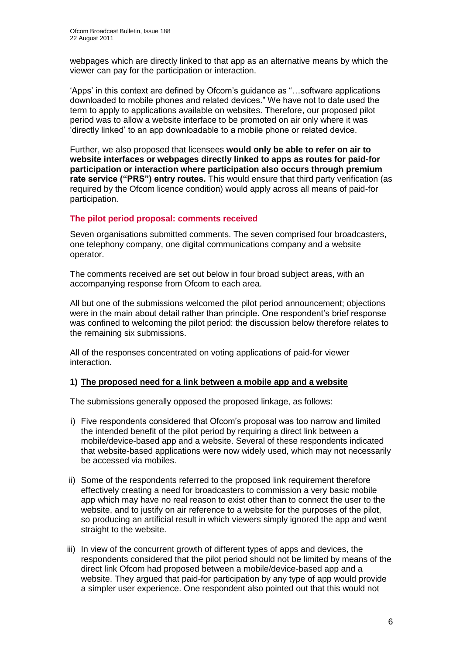webpages which are directly linked to that app as an alternative means by which the viewer can pay for the participation or interaction.

"Apps" in this context are defined by Ofcom"s guidance as "…software applications downloaded to mobile phones and related devices." We have not to date used the term to apply to applications available on websites. Therefore, our proposed pilot period was to allow a website interface to be promoted on air only where it was "directly linked" to an app downloadable to a mobile phone or related device.

Further, we also proposed that licensees **would only be able to refer on air to website interfaces or webpages directly linked to apps as routes for paid-for participation or interaction where participation also occurs through premium rate service ("PRS") entry routes.** This would ensure that third party verification (as required by the Ofcom licence condition) would apply across all means of paid-for participation.

#### **The pilot period proposal: comments received**

Seven organisations submitted comments. The seven comprised four broadcasters, one telephony company, one digital communications company and a website operator.

The comments received are set out below in four broad subject areas, with an accompanying response from Ofcom to each area.

All but one of the submissions welcomed the pilot period announcement; objections were in the main about detail rather than principle. One respondent's brief response was confined to welcoming the pilot period: the discussion below therefore relates to the remaining six submissions.

All of the responses concentrated on voting applications of paid-for viewer interaction.

#### **1) The proposed need for a link between a mobile app and a website**

The submissions generally opposed the proposed linkage, as follows:

- i) Five respondents considered that Ofcom"s proposal was too narrow and limited the intended benefit of the pilot period by requiring a direct link between a mobile/device-based app and a website. Several of these respondents indicated that website-based applications were now widely used, which may not necessarily be accessed via mobiles.
- ii) Some of the respondents referred to the proposed link requirement therefore effectively creating a need for broadcasters to commission a very basic mobile app which may have no real reason to exist other than to connect the user to the website, and to justify on air reference to a website for the purposes of the pilot, so producing an artificial result in which viewers simply ignored the app and went straight to the website.
- iii) In view of the concurrent growth of different types of apps and devices, the respondents considered that the pilot period should not be limited by means of the direct link Ofcom had proposed between a mobile/device-based app and a website. They argued that paid-for participation by any type of app would provide a simpler user experience. One respondent also pointed out that this would not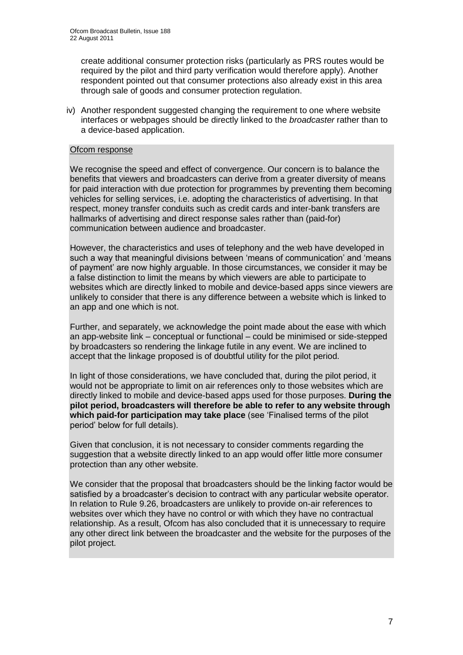create additional consumer protection risks (particularly as PRS routes would be required by the pilot and third party verification would therefore apply). Another respondent pointed out that consumer protections also already exist in this area through sale of goods and consumer protection regulation.

iv) Another respondent suggested changing the requirement to one where website interfaces or webpages should be directly linked to the *broadcaster* rather than to a device-based application.

#### Ofcom response

We recognise the speed and effect of convergence. Our concern is to balance the benefits that viewers and broadcasters can derive from a greater diversity of means for paid interaction with due protection for programmes by preventing them becoming vehicles for selling services, i.e. adopting the characteristics of advertising. In that respect, money transfer conduits such as credit cards and inter-bank transfers are hallmarks of advertising and direct response sales rather than (paid-for) communication between audience and broadcaster.

However, the characteristics and uses of telephony and the web have developed in such a way that meaningful divisions between "means of communication" and "means of payment" are now highly arguable. In those circumstances, we consider it may be a false distinction to limit the means by which viewers are able to participate to websites which are directly linked to mobile and device-based apps since viewers are unlikely to consider that there is any difference between a website which is linked to an app and one which is not.

Further, and separately, we acknowledge the point made about the ease with which an app-website link – conceptual or functional – could be minimised or side-stepped by broadcasters so rendering the linkage futile in any event. We are inclined to accept that the linkage proposed is of doubtful utility for the pilot period.

In light of those considerations, we have concluded that, during the pilot period, it would not be appropriate to limit on air references only to those websites which are directly linked to mobile and device-based apps used for those purposes. **During the pilot period, broadcasters will therefore be able to refer to any website through**  which paid-for participation may take place (see 'Finalised terms of the pilot period" below for full details).

Given that conclusion, it is not necessary to consider comments regarding the suggestion that a website directly linked to an app would offer little more consumer protection than any other website.

We consider that the proposal that broadcasters should be the linking factor would be satisfied by a broadcaster's decision to contract with any particular website operator. In relation to Rule 9.26, broadcasters are unlikely to provide on-air references to websites over which they have no control or with which they have no contractual relationship. As a result, Ofcom has also concluded that it is unnecessary to require any other direct link between the broadcaster and the website for the purposes of the pilot project.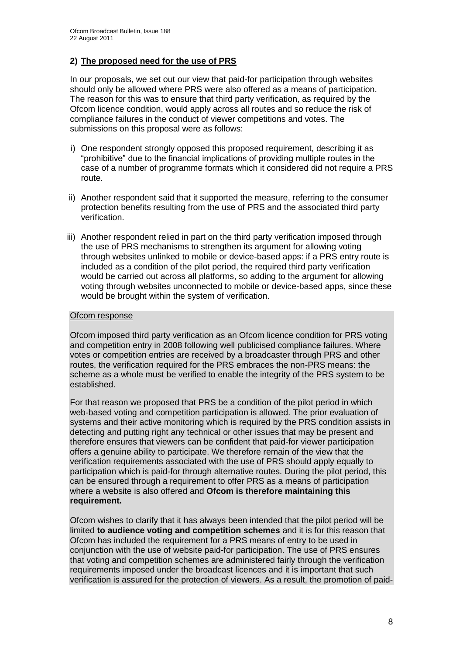#### **2) The proposed need for the use of PRS**

In our proposals, we set out our view that paid-for participation through websites should only be allowed where PRS were also offered as a means of participation. The reason for this was to ensure that third party verification, as required by the Ofcom licence condition, would apply across all routes and so reduce the risk of compliance failures in the conduct of viewer competitions and votes. The submissions on this proposal were as follows:

- i) One respondent strongly opposed this proposed requirement, describing it as "prohibitive" due to the financial implications of providing multiple routes in the case of a number of programme formats which it considered did not require a PRS route.
- ii) Another respondent said that it supported the measure, referring to the consumer protection benefits resulting from the use of PRS and the associated third party verification.
- iii) Another respondent relied in part on the third party verification imposed through the use of PRS mechanisms to strengthen its argument for allowing voting through websites unlinked to mobile or device-based apps: if a PRS entry route is included as a condition of the pilot period, the required third party verification would be carried out across all platforms, so adding to the argument for allowing voting through websites unconnected to mobile or device-based apps, since these would be brought within the system of verification.

#### Ofcom response

Ofcom imposed third party verification as an Ofcom licence condition for PRS voting and competition entry in 2008 following well publicised compliance failures. Where votes or competition entries are received by a broadcaster through PRS and other routes, the verification required for the PRS embraces the non-PRS means: the scheme as a whole must be verified to enable the integrity of the PRS system to be established.

For that reason we proposed that PRS be a condition of the pilot period in which web-based voting and competition participation is allowed. The prior evaluation of systems and their active monitoring which is required by the PRS condition assists in detecting and putting right any technical or other issues that may be present and therefore ensures that viewers can be confident that paid-for viewer participation offers a genuine ability to participate. We therefore remain of the view that the verification requirements associated with the use of PRS should apply equally to participation which is paid-for through alternative routes. During the pilot period, this can be ensured through a requirement to offer PRS as a means of participation where a website is also offered and **Ofcom is therefore maintaining this requirement.**

Ofcom wishes to clarify that it has always been intended that the pilot period will be limited **to audience voting and competition schemes** and it is for this reason that Ofcom has included the requirement for a PRS means of entry to be used in conjunction with the use of website paid-for participation. The use of PRS ensures that voting and competition schemes are administered fairly through the verification requirements imposed under the broadcast licences and it is important that such verification is assured for the protection of viewers. As a result, the promotion of paid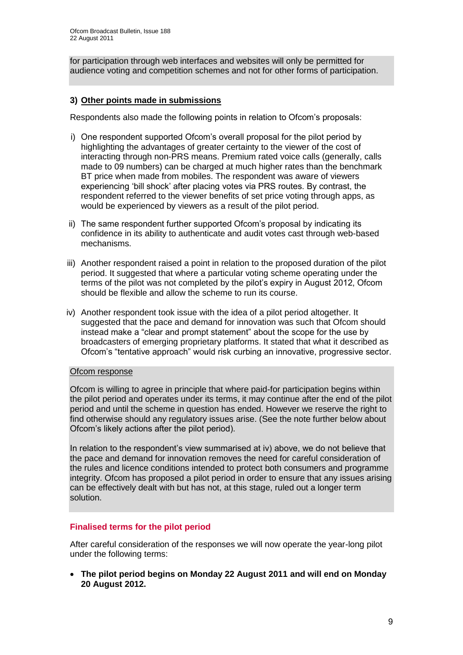for participation through web interfaces and websites will only be permitted for audience voting and competition schemes and not for other forms of participation.

#### **3) Other points made in submissions**

Respondents also made the following points in relation to Ofcom"s proposals:

- i) One respondent supported Ofcom"s overall proposal for the pilot period by highlighting the advantages of greater certainty to the viewer of the cost of interacting through non-PRS means. Premium rated voice calls (generally, calls made to 09 numbers) can be charged at much higher rates than the benchmark BT price when made from mobiles. The respondent was aware of viewers experiencing "bill shock" after placing votes via PRS routes. By contrast, the respondent referred to the viewer benefits of set price voting through apps, as would be experienced by viewers as a result of the pilot period.
- ii) The same respondent further supported Ofcom"s proposal by indicating its confidence in its ability to authenticate and audit votes cast through web-based mechanisms.
- iii) Another respondent raised a point in relation to the proposed duration of the pilot period. It suggested that where a particular voting scheme operating under the terms of the pilot was not completed by the pilot"s expiry in August 2012, Ofcom should be flexible and allow the scheme to run its course.
- iv) Another respondent took issue with the idea of a pilot period altogether. It suggested that the pace and demand for innovation was such that Ofcom should instead make a "clear and prompt statement" about the scope for the use by broadcasters of emerging proprietary platforms. It stated that what it described as Ofcom"s "tentative approach" would risk curbing an innovative, progressive sector.

#### Ofcom response

Ofcom is willing to agree in principle that where paid-for participation begins within the pilot period and operates under its terms, it may continue after the end of the pilot period and until the scheme in question has ended. However we reserve the right to find otherwise should any regulatory issues arise. (See the note further below about Ofcom"s likely actions after the pilot period).

In relation to the respondent"s view summarised at iv) above, we do not believe that the pace and demand for innovation removes the need for careful consideration of the rules and licence conditions intended to protect both consumers and programme integrity. Ofcom has proposed a pilot period in order to ensure that any issues arising can be effectively dealt with but has not, at this stage, ruled out a longer term solution.

#### **Finalised terms for the pilot period**

After careful consideration of the responses we will now operate the year-long pilot under the following terms:

 **The pilot period begins on Monday 22 August 2011 and will end on Monday 20 August 2012.**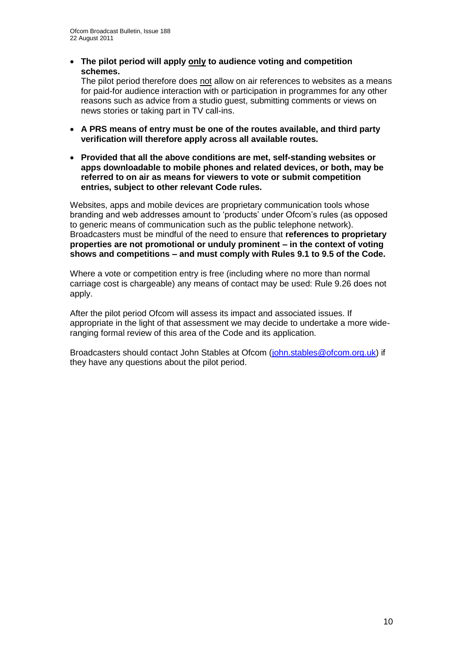**The pilot period will apply only to audience voting and competition schemes.**

The pilot period therefore does not allow on air references to websites as a means for paid-for audience interaction with or participation in programmes for any other reasons such as advice from a studio guest, submitting comments or views on news stories or taking part in TV call-ins.

- **A PRS means of entry must be one of the routes available, and third party verification will therefore apply across all available routes.**
- **Provided that all the above conditions are met, self-standing websites or apps downloadable to mobile phones and related devices, or both, may be referred to on air as means for viewers to vote or submit competition entries, subject to other relevant Code rules.**

Websites, apps and mobile devices are proprietary communication tools whose branding and web addresses amount to "products" under Ofcom"s rules (as opposed to generic means of communication such as the public telephone network). Broadcasters must be mindful of the need to ensure that **references to proprietary properties are not promotional or unduly prominent – in the context of voting shows and competitions – and must comply with Rules 9.1 to 9.5 of the Code.**

Where a vote or competition entry is free (including where no more than normal carriage cost is chargeable) any means of contact may be used: Rule 9.26 does not apply.

After the pilot period Ofcom will assess its impact and associated issues. If appropriate in the light of that assessment we may decide to undertake a more wideranging formal review of this area of the Code and its application.

Broadcasters should contact John Stables at Ofcom [\(john.stables@ofcom.org.uk\)](mailto:john.stables@ofcom.org.uk) if they have any questions about the pilot period.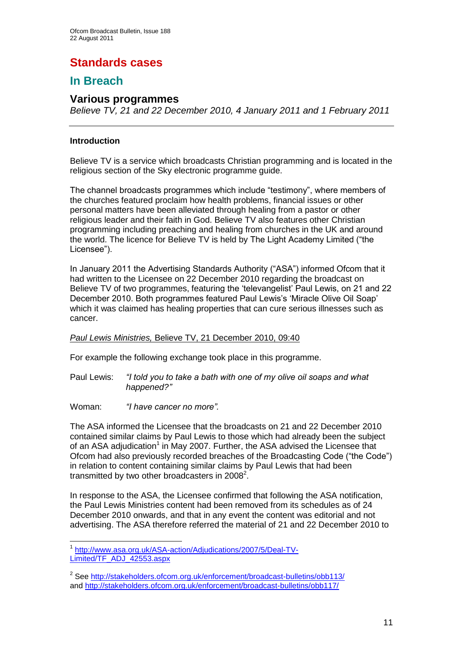# **Standards cases**

## **In Breach**

### **Various programmes**

*Believe TV, 21 and 22 December 2010, 4 January 2011 and 1 February 2011*

#### **Introduction**

Believe TV is a service which broadcasts Christian programming and is located in the religious section of the Sky electronic programme guide.

The channel broadcasts programmes which include "testimony", where members of the churches featured proclaim how health problems, financial issues or other personal matters have been alleviated through healing from a pastor or other religious leader and their faith in God. Believe TV also features other Christian programming including preaching and healing from churches in the UK and around the world. The licence for Believe TV is held by The Light Academy Limited ("the Licensee").

In January 2011 the Advertising Standards Authority ("ASA") informed Ofcom that it had written to the Licensee on 22 December 2010 regarding the broadcast on Believe TV of two programmes, featuring the "televangelist" Paul Lewis, on 21 and 22 December 2010. Both programmes featured Paul Lewis"s "Miracle Olive Oil Soap" which it was claimed has healing properties that can cure serious illnesses such as cancer.

#### *Paul Lewis Ministries,* Believe TV, 21 December 2010, 09:40

For example the following exchange took place in this programme.

- Paul Lewis: *"I told you to take a bath with one of my olive oil soaps and what happened?"*
- Woman: *"I have cancer no more".*

The ASA informed the Licensee that the broadcasts on 21 and 22 December 2010 contained similar claims by Paul Lewis to those which had already been the subject of an ASA adjudication<sup>1</sup> in May 2007. Further, the ASA advised the Licensee that Ofcom had also previously recorded breaches of the Broadcasting Code ("the Code") in relation to content containing similar claims by Paul Lewis that had been transmitted by two other broadcasters in 2008<sup>2</sup>.

In response to the ASA, the Licensee confirmed that following the ASA notification, the Paul Lewis Ministries content had been removed from its schedules as of 24 December 2010 onwards, and that in any event the content was editorial and not advertising. The ASA therefore referred the material of 21 and 22 December 2010 to

<sup>1</sup> 1 [http://www.asa.org.uk/ASA-action/Adjudications/2007/5/Deal-TV-](http://www.asa.org.uk/ASA-action/Adjudications/2007/5/Deal-TV-Limited/TF_ADJ_42553.aspx)[Limited/TF\\_ADJ\\_42553.aspx](http://www.asa.org.uk/ASA-action/Adjudications/2007/5/Deal-TV-Limited/TF_ADJ_42553.aspx)

<sup>&</sup>lt;sup>2</sup> See<http://stakeholders.ofcom.org.uk/enforcement/broadcast-bulletins/obb113/> and<http://stakeholders.ofcom.org.uk/enforcement/broadcast-bulletins/obb117/>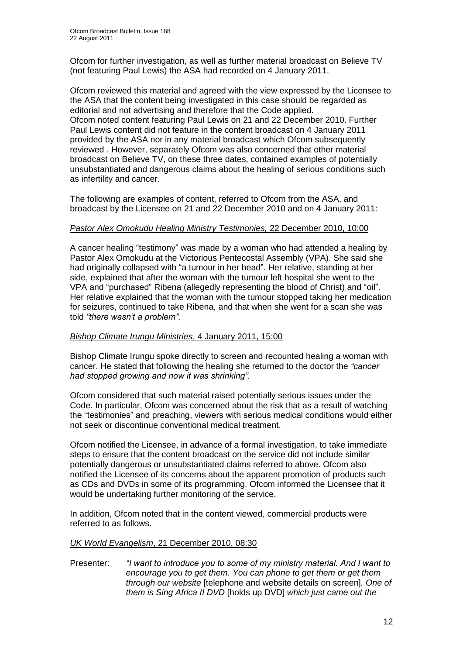Ofcom for further investigation, as well as further material broadcast on Believe TV (not featuring Paul Lewis) the ASA had recorded on 4 January 2011.

Ofcom reviewed this material and agreed with the view expressed by the Licensee to the ASA that the content being investigated in this case should be regarded as editorial and not advertising and therefore that the Code applied. Ofcom noted content featuring Paul Lewis on 21 and 22 December 2010. Further Paul Lewis content did not feature in the content broadcast on 4 January 2011 provided by the ASA nor in any material broadcast which Ofcom subsequently reviewed . However, separately Ofcom was also concerned that other material broadcast on Believe TV, on these three dates, contained examples of potentially unsubstantiated and dangerous claims about the healing of serious conditions such as infertility and cancer.

The following are examples of content, referred to Ofcom from the ASA, and broadcast by the Licensee on 21 and 22 December 2010 and on 4 January 2011:

#### *Pastor Alex Omokudu Healing Ministry Testimonies,* 22 December 2010, 10:00

A cancer healing "testimony" was made by a woman who had attended a healing by Pastor Alex Omokudu at the Victorious Pentecostal Assembly (VPA). She said she had originally collapsed with "a tumour in her head". Her relative, standing at her side, explained that after the woman with the tumour left hospital she went to the VPA and "purchased" Ribena (allegedly representing the blood of Christ) and "oil". Her relative explained that the woman with the tumour stopped taking her medication for seizures, continued to take Ribena, and that when she went for a scan she was told *"there wasn't a problem".*

#### *Bishop Climate Irungu Ministries*, 4 January 2011, 15:00

Bishop Climate Irungu spoke directly to screen and recounted healing a woman with cancer. He stated that following the healing she returned to the doctor the *"cancer had stopped growing and now it was shrinking".*

Ofcom considered that such material raised potentially serious issues under the Code. In particular, Ofcom was concerned about the risk that as a result of watching the "testimonies" and preaching, viewers with serious medical conditions would either not seek or discontinue conventional medical treatment.

Ofcom notified the Licensee, in advance of a formal investigation, to take immediate steps to ensure that the content broadcast on the service did not include similar potentially dangerous or unsubstantiated claims referred to above. Ofcom also notified the Licensee of its concerns about the apparent promotion of products such as CDs and DVDs in some of its programming. Ofcom informed the Licensee that it would be undertaking further monitoring of the service.

In addition, Ofcom noted that in the content viewed, commercial products were referred to as follows.

#### *UK World Evangelism*, 21 December 2010, 08:30

Presenter: *"I want to introduce you to some of my ministry material. And I want to encourage you to get them. You can phone to get them or get them through our website* [telephone and website details on screen]*. One of them is Sing Africa II DVD* [holds up DVD] *which just came out the*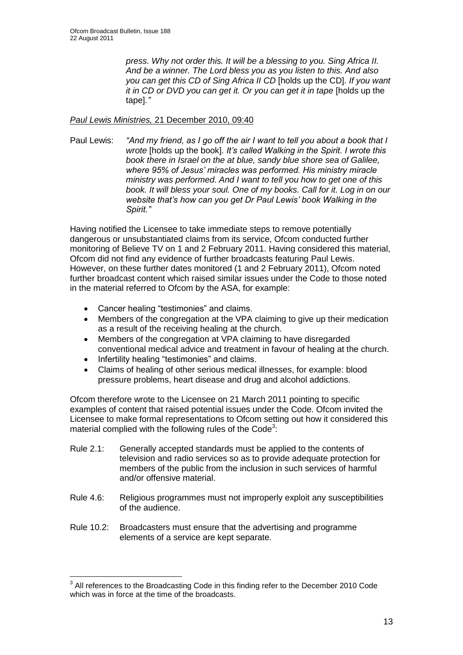*press. Why not order this. It will be a blessing to you. Sing Africa II. And be a winner. The Lord bless you as you listen to this. And also you can get this CD of Sing Africa II CD* [holds up the CD]. *If you want it in CD or DVD you can get it. Or you can get it in tape* [holds up the tape]*."*

#### *Paul Lewis Ministries,* 21 December 2010, 09:40

Paul Lewis: *"And my friend, as I go off the air I want to tell you about a book that I wrote* [holds up the book]*. It's called Walking in the Spirit. I wrote this book there in Israel on the at blue, sandy blue shore sea of Galilee, where 95% of Jesus' miracles was performed. His ministry miracle ministry was performed. And I want to tell you how to get one of this book. It will bless your soul. One of my books. Call for it. Log in on our website that's how can you get Dr Paul Lewis' book Walking in the Spirit."*

Having notified the Licensee to take immediate steps to remove potentially dangerous or unsubstantiated claims from its service, Ofcom conducted further monitoring of Believe TV on 1 and 2 February 2011. Having considered this material, Ofcom did not find any evidence of further broadcasts featuring Paul Lewis. However, on these further dates monitored (1 and 2 February 2011), Ofcom noted further broadcast content which raised similar issues under the Code to those noted in the material referred to Ofcom by the ASA, for example:

- Cancer healing "testimonies" and claims.
- Members of the congregation at the VPA claiming to give up their medication as a result of the receiving healing at the church.
- Members of the congregation at VPA claiming to have disregarded conventional medical advice and treatment in favour of healing at the church.
- Infertility healing "testimonies" and claims.
- Claims of healing of other serious medical illnesses, for example: blood pressure problems, heart disease and drug and alcohol addictions.

Ofcom therefore wrote to the Licensee on 21 March 2011 pointing to specific examples of content that raised potential issues under the Code. Ofcom invited the Licensee to make formal representations to Ofcom setting out how it considered this material complied with the following rules of the Code<sup>3</sup>:

- Rule 2.1: Generally accepted standards must be applied to the contents of television and radio services so as to provide adequate protection for members of the public from the inclusion in such services of harmful and/or offensive material.
- Rule 4.6: Religious programmes must not improperly exploit any susceptibilities of the audience.
- Rule 10.2: Broadcasters must ensure that the advertising and programme elements of a service are kept separate.

<sup>1</sup>  $3$  All references to the Broadcasting Code in this finding refer to the December 2010 Code which was in force at the time of the broadcasts.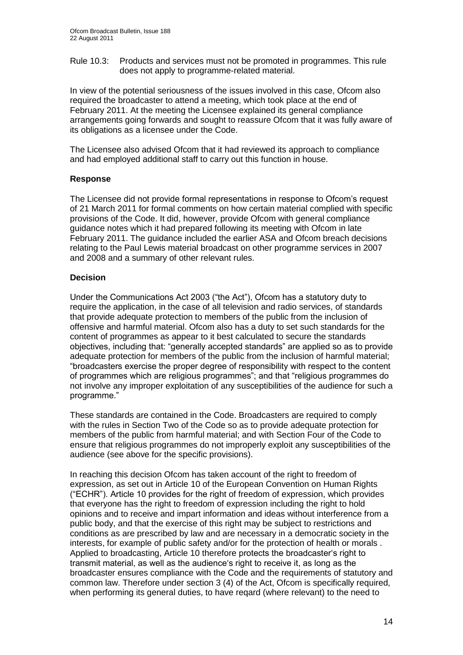Rule 10.3: Products and services must not be promoted in programmes. This rule does not apply to programme-related material.

In view of the potential seriousness of the issues involved in this case, Ofcom also required the broadcaster to attend a meeting, which took place at the end of February 2011. At the meeting the Licensee explained its general compliance arrangements going forwards and sought to reassure Ofcom that it was fully aware of its obligations as a licensee under the Code.

The Licensee also advised Ofcom that it had reviewed its approach to compliance and had employed additional staff to carry out this function in house.

#### **Response**

The Licensee did not provide formal representations in response to Ofcom"s request of 21 March 2011 for formal comments on how certain material complied with specific provisions of the Code. It did, however, provide Ofcom with general compliance guidance notes which it had prepared following its meeting with Ofcom in late February 2011. The guidance included the earlier ASA and Ofcom breach decisions relating to the Paul Lewis material broadcast on other programme services in 2007 and 2008 and a summary of other relevant rules.

#### **Decision**

Under the Communications Act 2003 ("the Act"), Ofcom has a statutory duty to require the application, in the case of all television and radio services, of standards that provide adequate protection to members of the public from the inclusion of offensive and harmful material. Ofcom also has a duty to set such standards for the content of programmes as appear to it best calculated to secure the standards objectives, including that: "generally accepted standards" are applied so as to provide adequate protection for members of the public from the inclusion of harmful material; "broadcasters exercise the proper degree of responsibility with respect to the content of programmes which are religious programmes"; and that "religious programmes do not involve any improper exploitation of any susceptibilities of the audience for such a programme."

These standards are contained in the Code. Broadcasters are required to comply with the rules in Section Two of the Code so as to provide adequate protection for members of the public from harmful material; and with Section Four of the Code to ensure that religious programmes do not improperly exploit any susceptibilities of the audience (see above for the specific provisions).

In reaching this decision Ofcom has taken account of the right to freedom of expression, as set out in Article 10 of the European Convention on Human Rights ("ECHR"). Article 10 provides for the right of freedom of expression, which provides that everyone has the right to freedom of expression including the right to hold opinions and to receive and impart information and ideas without interference from a public body, and that the exercise of this right may be subject to restrictions and conditions as are prescribed by law and are necessary in a democratic society in the interests, for example of public safety and/or for the protection of health or morals . Applied to broadcasting, Article 10 therefore protects the broadcaster"s right to transmit material, as well as the audience"s right to receive it, as long as the broadcaster ensures compliance with the Code and the requirements of statutory and common law. Therefore under section 3 (4) of the Act, Ofcom is specifically required, when performing its general duties, to have reqard (where relevant) to the need to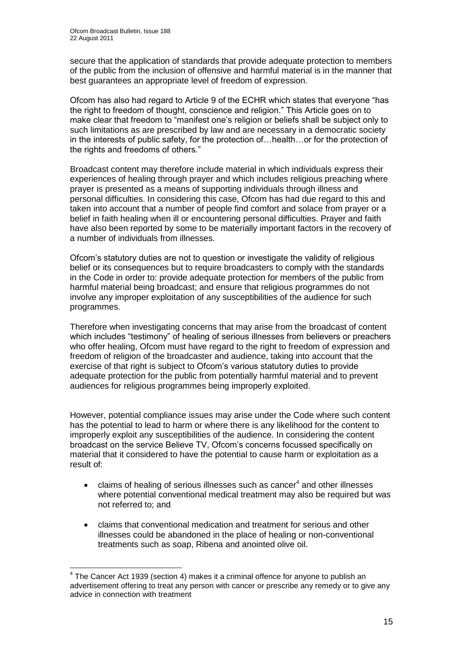secure that the application of standards that provide adequate protection to members of the public from the inclusion of offensive and harmful material is in the manner that best guarantees an appropriate level of freedom of expression.

Ofcom has also had regard to Article 9 of the ECHR which states that everyone "has the right to freedom of thought, conscience and religion." This Article goes on to make clear that freedom to "manifest one"s religion or beliefs shall be subject only to such limitations as are prescribed by law and are necessary in a democratic society in the interests of public safety, for the protection of…health…or for the protection of the rights and freedoms of others."

Broadcast content may therefore include material in which individuals express their experiences of healing through prayer and which includes religious preaching where prayer is presented as a means of supporting individuals through illness and personal difficulties. In considering this case, Ofcom has had due regard to this and taken into account that a number of people find comfort and solace from prayer or a belief in faith healing when ill or encountering personal difficulties. Prayer and faith have also been reported by some to be materially important factors in the recovery of a number of individuals from illnesses.

Ofcom"s statutory duties are not to question or investigate the validity of religious belief or its consequences but to require broadcasters to comply with the standards in the Code in order to: provide adequate protection for members of the public from harmful material being broadcast; and ensure that religious programmes do not involve any improper exploitation of any susceptibilities of the audience for such programmes.

Therefore when investigating concerns that may arise from the broadcast of content which includes "testimony" of healing of serious illnesses from believers or preachers who offer healing, Ofcom must have regard to the right to freedom of expression and freedom of religion of the broadcaster and audience, taking into account that the exercise of that right is subject to Ofcom"s various statutory duties to provide adequate protection for the public from potentially harmful material and to prevent audiences for religious programmes being improperly exploited.

However, potential compliance issues may arise under the Code where such content has the potential to lead to harm or where there is any likelihood for the content to improperly exploit any susceptibilities of the audience. In considering the content broadcast on the service Believe TV, Ofcom"s concerns focussed specifically on material that it considered to have the potential to cause harm or exploitation as a result of:

- $\bullet$  claims of healing of serious illnesses such as cancer<sup>4</sup> and other illnesses where potential conventional medical treatment may also be required but was not referred to; and
- claims that conventional medication and treatment for serious and other illnesses could be abandoned in the place of healing or non-conventional treatments such as soap, Ribena and anointed olive oil.

<sup>1</sup>  $4$  The Cancer Act 1939 (section 4) makes it a criminal offence for anyone to publish an advertisement offering to treat any person with cancer or prescribe any remedy or to give any advice in connection with treatment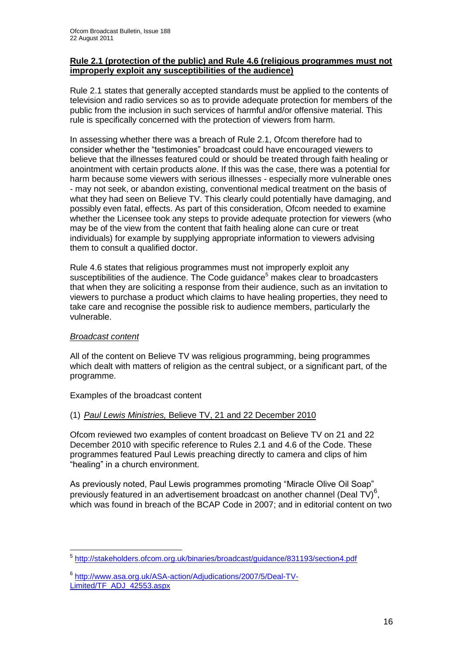#### **Rule 2.1 (protection of the public) and Rule 4.6 (religious programmes must not improperly exploit any susceptibilities of the audience)**

Rule 2.1 states that generally accepted standards must be applied to the contents of television and radio services so as to provide adequate protection for members of the public from the inclusion in such services of harmful and/or offensive material. This rule is specifically concerned with the protection of viewers from harm.

In assessing whether there was a breach of Rule 2.1, Ofcom therefore had to consider whether the "testimonies" broadcast could have encouraged viewers to believe that the illnesses featured could or should be treated through faith healing or anointment with certain products *alone*. If this was the case, there was a potential for harm because some viewers with serious illnesses - especially more vulnerable ones - may not seek, or abandon existing, conventional medical treatment on the basis of what they had seen on Believe TV. This clearly could potentially have damaging, and possibly even fatal, effects. As part of this consideration, Ofcom needed to examine whether the Licensee took any steps to provide adequate protection for viewers (who may be of the view from the content that faith healing alone can cure or treat individuals) for example by supplying appropriate information to viewers advising them to consult a qualified doctor.

Rule 4.6 states that religious programmes must not improperly exploit any susceptibilities of the audience. The Code guidance<sup>5</sup> makes clear to broadcasters that when they are soliciting a response from their audience, such as an invitation to viewers to purchase a product which claims to have healing properties, they need to take care and recognise the possible risk to audience members, particularly the vulnerable.

#### *Broadcast content*

All of the content on Believe TV was religious programming, being programmes which dealt with matters of religion as the central subject, or a significant part, of the programme.

Examples of the broadcast content

#### (1) *Paul Lewis Ministries,* Believe TV, 21 and 22 December 2010

Ofcom reviewed two examples of content broadcast on Believe TV on 21 and 22 December 2010 with specific reference to Rules 2.1 and 4.6 of the Code. These programmes featured Paul Lewis preaching directly to camera and clips of him "healing" in a church environment.

As previously noted, Paul Lewis programmes promoting "Miracle Olive Oil Soap" previously featured in an advertisement broadcast on another channel (Deal TV) $^6$ , which was found in breach of the BCAP Code in 2007; and in editorial content on two

<sup>1</sup> <sup>5</sup> <http://stakeholders.ofcom.org.uk/binaries/broadcast/guidance/831193/section4.pdf>

<sup>6</sup> [http://www.asa.org.uk/ASA-action/Adjudications/2007/5/Deal-TV-](http://www.asa.org.uk/ASA-action/Adjudications/2007/5/Deal-TV-Limited/TF_ADJ_42553.aspx)[Limited/TF\\_ADJ\\_42553.aspx](http://www.asa.org.uk/ASA-action/Adjudications/2007/5/Deal-TV-Limited/TF_ADJ_42553.aspx)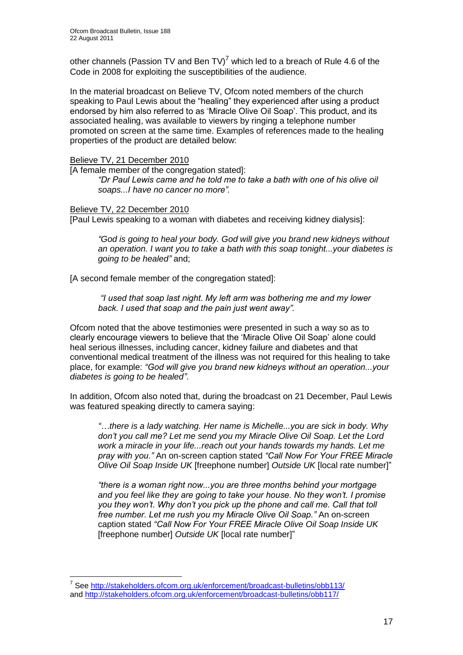other channels (Passion TV and Ben TV)<sup>7</sup> which led to a breach of Rule 4.6 of the Code in 2008 for exploiting the susceptibilities of the audience.

In the material broadcast on Believe TV, Ofcom noted members of the church speaking to Paul Lewis about the "healing" they experienced after using a product endorsed by him also referred to as "Miracle Olive Oil Soap". This product, and its associated healing, was available to viewers by ringing a telephone number promoted on screen at the same time. Examples of references made to the healing properties of the product are detailed below:

#### Believe TV, 21 December 2010

[A female member of the congregation stated]: *"Dr Paul Lewis came and he told me to take a bath with one of his olive oil soaps...I have no cancer no more".*

Believe TV, 22 December 2010 [Paul Lewis speaking to a woman with diabetes and receiving kidney dialysis]:

*"God is going to heal your body. God will give you brand new kidneys without an operation. I want you to take a bath with this soap tonight...your diabetes is going to be healed"* and;

[A second female member of the congregation stated]:

*"I used that soap last night. My left arm was bothering me and my lower back. I used that soap and the pain just went away".*

Ofcom noted that the above testimonies were presented in such a way so as to clearly encourage viewers to believe that the "Miracle Olive Oil Soap" alone could heal serious illnesses, including cancer, kidney failure and diabetes and that conventional medical treatment of the illness was not required for this healing to take place, for example: *"God will give you brand new kidneys without an operation...your diabetes is going to be healed"*.

In addition, Ofcom also noted that, during the broadcast on 21 December, Paul Lewis was featured speaking directly to camera saying:

*"…there is a lady watching. Her name is Michelle...you are sick in body. Why don't you call me? Let me send you my Miracle Olive Oil Soap. Let the Lord work a miracle in your life...reach out your hands towards my hands. Let me pray with you."* An on-screen caption stated *"Call Now For Your FREE Miracle Olive Oil Soap Inside UK* [freephone number] *Outside UK* [local rate number]"

*"there is a woman right now...you are three months behind your mortgage and you feel like they are going to take your house. No they won't. I promise you they won't. Why don't you pick up the phone and call me. Call that toll free number. Let me rush you my Miracle Olive Oil Soap."* An on-screen caption stated *"Call Now For Your FREE Miracle Olive Oil Soap Inside UK*  [freephone number] *Outside UK* [local rate number]"

1

<sup>&</sup>lt;sup>7</sup> See<http://stakeholders.ofcom.org.uk/enforcement/broadcast-bulletins/obb113/> and<http://stakeholders.ofcom.org.uk/enforcement/broadcast-bulletins/obb117/>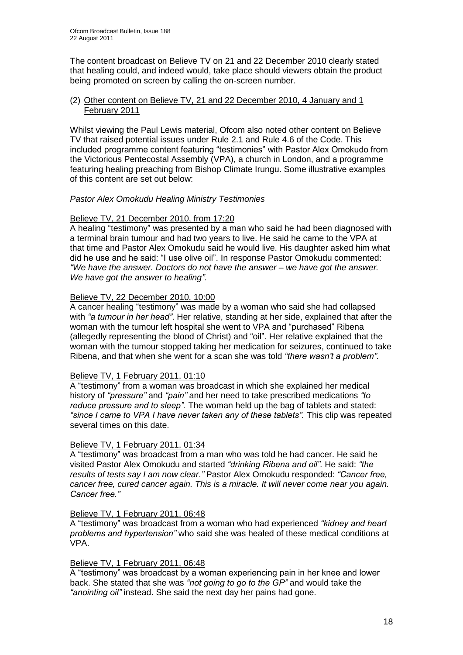The content broadcast on Believe TV on 21 and 22 December 2010 clearly stated that healing could, and indeed would, take place should viewers obtain the product being promoted on screen by calling the on-screen number.

#### (2) Other content on Believe TV, 21 and 22 December 2010, 4 January and 1 February 2011

Whilst viewing the Paul Lewis material, Ofcom also noted other content on Believe TV that raised potential issues under Rule 2.1 and Rule 4.6 of the Code. This included programme content featuring "testimonies" with Pastor Alex Omokudo from the Victorious Pentecostal Assembly (VPA), a church in London, and a programme featuring healing preaching from Bishop Climate Irungu. Some illustrative examples of this content are set out below:

#### *Pastor Alex Omokudu Healing Ministry Testimonies*

#### Believe TV, 21 December 2010, from 17:20

A healing "testimony" was presented by a man who said he had been diagnosed with a terminal brain tumour and had two years to live. He said he came to the VPA at that time and Pastor Alex Omokudu said he would live. His daughter asked him what did he use and he said: "I use olive oil". In response Pastor Omokudu commented: *"We have the answer. Doctors do not have the answer – we have got the answer. We have got the answer to healing"*.

#### Believe TV, 22 December 2010, 10:00

A cancer healing "testimony" was made by a woman who said she had collapsed with *"a tumour in her head"*. Her relative, standing at her side, explained that after the woman with the tumour left hospital she went to VPA and "purchased" Ribena (allegedly representing the blood of Christ) and "oil". Her relative explained that the woman with the tumour stopped taking her medication for seizures, continued to take Ribena, and that when she went for a scan she was told *"there wasn't a problem".*

#### Believe TV, 1 February 2011, 01:10

A "testimony" from a woman was broadcast in which she explained her medical history of *"pressure"* and *"pain"* and her need to take prescribed medications *"to reduce pressure and to sleep".* The woman held up the bag of tablets and stated: "since I came to VPA I have never taken any of these tablets". This clip was repeated several times on this date.

#### Believe TV, 1 February 2011, 01:34

A "testimony" was broadcast from a man who was told he had cancer. He said he visited Pastor Alex Omokudu and started *"drinking Ribena and oil"*. He said: *"the results of tests say I am now clear."* Pastor Alex Omokudu responded: *"Cancer free, cancer free, cured cancer again. This is a miracle. It will never come near you again. Cancer free."*

#### Believe TV, 1 February 2011, 06:48

A "testimony" was broadcast from a woman who had experienced *"kidney and heart problems and hypertension"* who said she was healed of these medical conditions at VPA.

#### Believe TV, 1 February 2011, 06:48

A "testimony" was broadcast by a woman experiencing pain in her knee and lower back. She stated that she was *"not going to go to the GP"* and would take the *"anointing oil"* instead. She said the next day her pains had gone.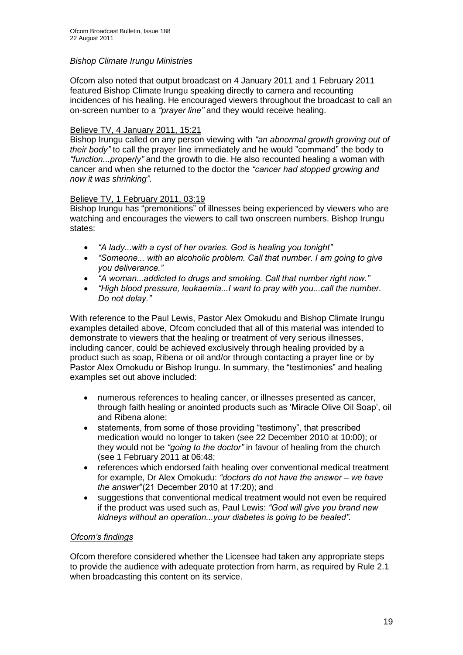#### *Bishop Climate Irungu Ministries*

Ofcom also noted that output broadcast on 4 January 2011 and 1 February 2011 featured Bishop Climate Irungu speaking directly to camera and recounting incidences of his healing. He encouraged viewers throughout the broadcast to call an on-screen number to a *"prayer line"* and they would receive healing.

#### Believe TV, 4 January 2011, 15:21

Bishop Irungu called on any person viewing with *"an abnormal growth growing out of their body"* to call the prayer line immediately and he would "command" the body to *"function...properly"* and the growth to die. He also recounted healing a woman with cancer and when she returned to the doctor the *"cancer had stopped growing and now it was shrinking"*.

#### Believe TV, 1 February 2011, 03:19

Bishop Irungu has "premonitions" of illnesses being experienced by viewers who are watching and encourages the viewers to call two onscreen numbers. Bishop Irungu states:

- *"A lady...with a cyst of her ovaries. God is healing you tonight"*
- *"Someone... with an alcoholic problem. Call that number. I am going to give you deliverance."*
- *"A woman...addicted to drugs and smoking. Call that number right now."*
- *"High blood pressure, leukaemia...I want to pray with you...call the number. Do not delay."*

With reference to the Paul Lewis, Pastor Alex Omokudu and Bishop Climate Irungu examples detailed above, Ofcom concluded that all of this material was intended to demonstrate to viewers that the healing or treatment of very serious illnesses, including cancer, could be achieved exclusively through healing provided by a product such as soap, Ribena or oil and/or through contacting a prayer line or by Pastor Alex Omokudu or Bishop Irungu. In summary, the "testimonies" and healing examples set out above included:

- numerous references to healing cancer, or illnesses presented as cancer, through faith healing or anointed products such as "Miracle Olive Oil Soap", oil and Ribena alone;
- statements, from some of those providing "testimony", that prescribed medication would no longer to taken (see 22 December 2010 at 10:00); or they would not be *"going to the doctor"* in favour of healing from the church (see 1 February 2011 at 06:48;
- references which endorsed faith healing over conventional medical treatment for example, Dr Alex Omokudu: *"doctors do not have the answer – we have the answer*"(21 December 2010 at 17:20); and
- suggestions that conventional medical treatment would not even be required if the product was used such as, Paul Lewis: *"God will give you brand new kidneys without an operation...your diabetes is going to be healed".*

#### *Ofcom's findings*

Ofcom therefore considered whether the Licensee had taken any appropriate steps to provide the audience with adequate protection from harm, as required by Rule 2.1 when broadcasting this content on its service.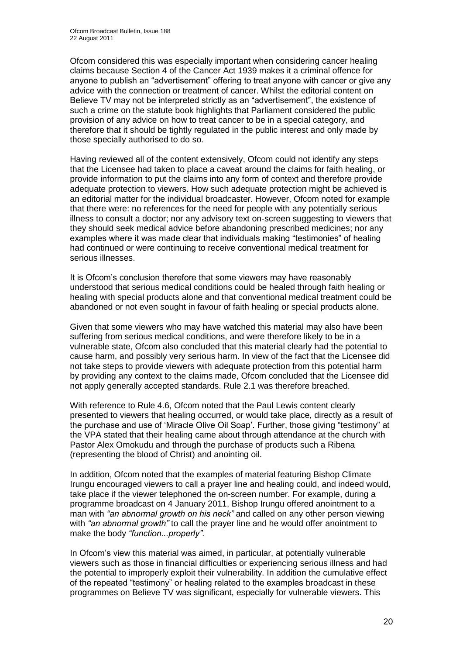Ofcom considered this was especially important when considering cancer healing claims because Section 4 of the Cancer Act 1939 makes it a criminal offence for anyone to publish an "advertisement" offering to treat anyone with cancer or give any advice with the connection or treatment of cancer. Whilst the editorial content on Believe TV may not be interpreted strictly as an "advertisement", the existence of such a crime on the statute book highlights that Parliament considered the public provision of any advice on how to treat cancer to be in a special category, and therefore that it should be tightly regulated in the public interest and only made by those specially authorised to do so.

Having reviewed all of the content extensively, Ofcom could not identify any steps that the Licensee had taken to place a caveat around the claims for faith healing, or provide information to put the claims into any form of context and therefore provide adequate protection to viewers. How such adequate protection might be achieved is an editorial matter for the individual broadcaster. However, Ofcom noted for example that there were: no references for the need for people with any potentially serious illness to consult a doctor; nor any advisory text on-screen suggesting to viewers that they should seek medical advice before abandoning prescribed medicines; nor any examples where it was made clear that individuals making "testimonies" of healing had continued or were continuing to receive conventional medical treatment for serious illnesses.

It is Ofcom"s conclusion therefore that some viewers may have reasonably understood that serious medical conditions could be healed through faith healing or healing with special products alone and that conventional medical treatment could be abandoned or not even sought in favour of faith healing or special products alone.

Given that some viewers who may have watched this material may also have been suffering from serious medical conditions, and were therefore likely to be in a vulnerable state, Ofcom also concluded that this material clearly had the potential to cause harm, and possibly very serious harm. In view of the fact that the Licensee did not take steps to provide viewers with adequate protection from this potential harm by providing any context to the claims made, Ofcom concluded that the Licensee did not apply generally accepted standards. Rule 2.1 was therefore breached.

With reference to Rule 4.6, Ofcom noted that the Paul Lewis content clearly presented to viewers that healing occurred, or would take place, directly as a result of the purchase and use of "Miracle Olive Oil Soap". Further, those giving "testimony" at the VPA stated that their healing came about through attendance at the church with Pastor Alex Omokudu and through the purchase of products such a Ribena (representing the blood of Christ) and anointing oil.

In addition, Ofcom noted that the examples of material featuring Bishop Climate Irungu encouraged viewers to call a prayer line and healing could, and indeed would, take place if the viewer telephoned the on-screen number. For example, during a programme broadcast on 4 January 2011, Bishop Irungu offered anointment to a man with *"an abnormal growth on his neck"* and called on any other person viewing with *"an abnormal growth"* to call the prayer line and he would offer anointment to make the body *"function...properly"*.

In Ofcom's view this material was aimed, in particular, at potentially vulnerable viewers such as those in financial difficulties or experiencing serious illness and had the potential to improperly exploit their vulnerability. In addition the cumulative effect of the repeated "testimony" or healing related to the examples broadcast in these programmes on Believe TV was significant, especially for vulnerable viewers. This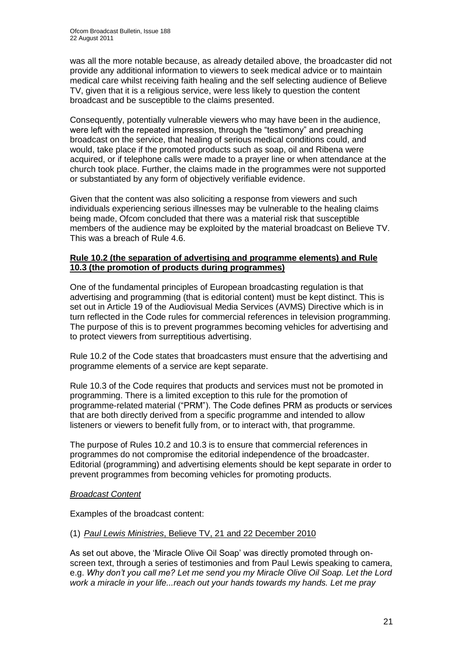was all the more notable because, as already detailed above, the broadcaster did not provide any additional information to viewers to seek medical advice or to maintain medical care whilst receiving faith healing and the self selecting audience of Believe TV, given that it is a religious service, were less likely to question the content broadcast and be susceptible to the claims presented.

Consequently, potentially vulnerable viewers who may have been in the audience, were left with the repeated impression, through the "testimony" and preaching broadcast on the service, that healing of serious medical conditions could, and would, take place if the promoted products such as soap, oil and Ribena were acquired, or if telephone calls were made to a prayer line or when attendance at the church took place. Further, the claims made in the programmes were not supported or substantiated by any form of objectively verifiable evidence.

Given that the content was also soliciting a response from viewers and such individuals experiencing serious illnesses may be vulnerable to the healing claims being made, Ofcom concluded that there was a material risk that susceptible members of the audience may be exploited by the material broadcast on Believe TV. This was a breach of Rule 4.6.

#### **Rule 10.2 (the separation of advertising and programme elements) and Rule 10.3 (the promotion of products during programmes)**

One of the fundamental principles of European broadcasting regulation is that advertising and programming (that is editorial content) must be kept distinct. This is set out in Article 19 of the Audiovisual Media Services (AVMS) Directive which is in turn reflected in the Code rules for commercial references in television programming. The purpose of this is to prevent programmes becoming vehicles for advertising and to protect viewers from surreptitious advertising.

Rule 10.2 of the Code states that broadcasters must ensure that the advertising and programme elements of a service are kept separate.

Rule 10.3 of the Code requires that products and services must not be promoted in programming. There is a limited exception to this rule for the promotion of programme-related material ("PRM"). The Code defines PRM as products or services that are both directly derived from a specific programme and intended to allow listeners or viewers to benefit fully from, or to interact with, that programme.

The purpose of Rules 10.2 and 10.3 is to ensure that commercial references in programmes do not compromise the editorial independence of the broadcaster. Editorial (programming) and advertising elements should be kept separate in order to prevent programmes from becoming vehicles for promoting products.

#### *Broadcast Content*

Examples of the broadcast content:

#### (1) *Paul Lewis Ministries*, Believe TV, 21 and 22 December 2010

As set out above, the 'Miracle Olive Oil Soap' was directly promoted through onscreen text, through a series of testimonies and from Paul Lewis speaking to camera, e.g. *Why don't you call me? Let me send you my Miracle Olive Oil Soap. Let the Lord work a miracle in your life...reach out your hands towards my hands. Let me pray*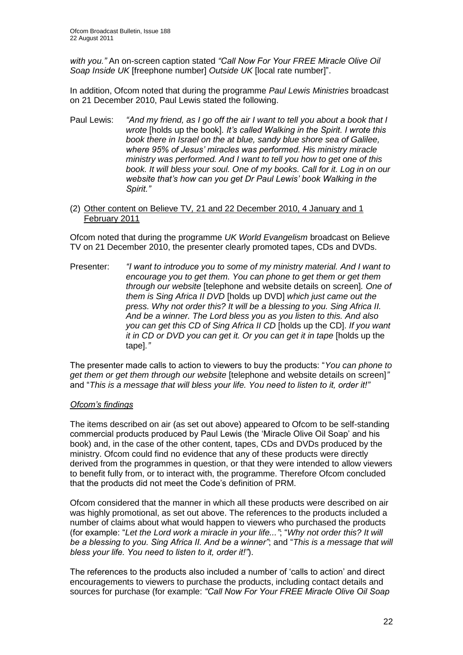*with you."* An on-screen caption stated *"Call Now For Your FREE Miracle Olive Oil Soap Inside UK* [freephone number] *Outside UK* [local rate number]".

In addition, Ofcom noted that during the programme *Paul Lewis Ministries* broadcast on 21 December 2010, Paul Lewis stated the following.

Paul Lewis: *"And my friend, as I go off the air I want to tell you about a book that I wrote* [holds up the book]*. It's called Walking in the Spirit. I wrote this book there in Israel on the at blue, sandy blue shore sea of Galilee, where 95% of Jesus' miracles was performed. His ministry miracle ministry was performed. And I want to tell you how to get one of this book. It will bless your soul. One of my books. Call for it. Log in on our website that's how can you get Dr Paul Lewis' book Walking in the Spirit."*

#### (2) Other content on Believe TV*,* 21 and 22 December 2010, 4 January and 1 February 2011

Ofcom noted that during the programme *UK World Evangelism* broadcast on Believe TV on 21 December 2010, the presenter clearly promoted tapes, CDs and DVDs.

Presenter: *"I want to introduce you to some of my ministry material. And I want to encourage you to get them. You can phone to get them or get them through our website* [telephone and website details on screen]*. One of them is Sing Africa II DVD* [holds up DVD] *which just came out the press. Why not order this? It will be a blessing to you. Sing Africa II. And be a winner. The Lord bless you as you listen to this. And also you can get this CD of Sing Africa II CD* [holds up the CD]. *If you want it in CD or DVD you can get it. Or you can get it in tape* [holds up the tape]*."*

The presenter made calls to action to viewers to buy the products: "*You can phone to get them or get them through our website* [telephone and website details on screen]*"*  and "*This is a message that will bless your life. You need to listen to it, order it!"*

#### *Ofcom's findings*

The items described on air (as set out above) appeared to Ofcom to be self-standing commercial products produced by Paul Lewis (the "Miracle Olive Oil Soap" and his book) and, in the case of the other content, tapes, CDs and DVDs produced by the ministry. Ofcom could find no evidence that any of these products were directly derived from the programmes in question, or that they were intended to allow viewers to benefit fully from, or to interact with, the programme. Therefore Ofcom concluded that the products did not meet the Code"s definition of PRM.

Ofcom considered that the manner in which all these products were described on air was highly promotional, as set out above. The references to the products included a number of claims about what would happen to viewers who purchased the products (for example: "*Let the Lord work a miracle in your life..."*; "*Why not order this? It will be a blessing to you. Sing Africa II. And be a winner"*; and "*This is a message that will bless your life. You need to listen to it, order it!"*).

The references to the products also included a number of "calls to action" and direct encouragements to viewers to purchase the products, including contact details and sources for purchase (for example: *"Call Now For Your FREE Miracle Olive Oil Soap*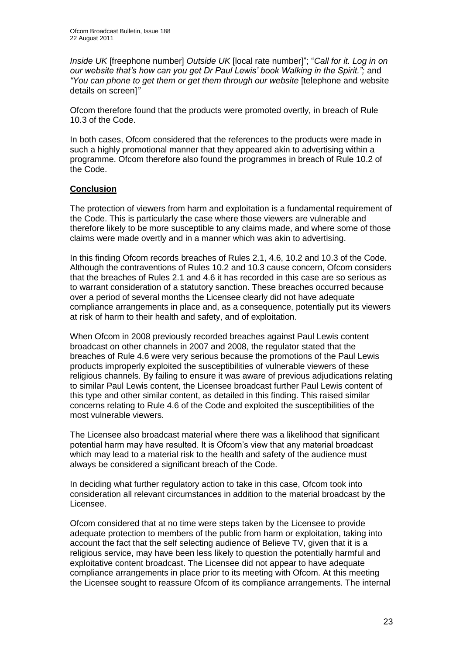*Inside UK* [freephone number] *Outside UK* [local rate number]"; "*Call for it. Log in on our website that's how can you get Dr Paul Lewis' book Walking in the Spirit.";* and *"You can phone to get them or get them through our website* [telephone and website details on screen]*"*

Ofcom therefore found that the products were promoted overtly, in breach of Rule 10.3 of the Code.

In both cases, Ofcom considered that the references to the products were made in such a highly promotional manner that they appeared akin to advertising within a programme. Ofcom therefore also found the programmes in breach of Rule 10.2 of the Code.

#### **Conclusion**

The protection of viewers from harm and exploitation is a fundamental requirement of the Code. This is particularly the case where those viewers are vulnerable and therefore likely to be more susceptible to any claims made, and where some of those claims were made overtly and in a manner which was akin to advertising.

In this finding Ofcom records breaches of Rules 2.1, 4.6, 10.2 and 10.3 of the Code. Although the contraventions of Rules 10.2 and 10.3 cause concern, Ofcom considers that the breaches of Rules 2.1 and 4.6 it has recorded in this case are so serious as to warrant consideration of a statutory sanction. These breaches occurred because over a period of several months the Licensee clearly did not have adequate compliance arrangements in place and, as a consequence, potentially put its viewers at risk of harm to their health and safety, and of exploitation.

When Ofcom in 2008 previously recorded breaches against Paul Lewis content broadcast on other channels in 2007 and 2008, the regulator stated that the breaches of Rule 4.6 were very serious because the promotions of the Paul Lewis products improperly exploited the susceptibilities of vulnerable viewers of these religious channels. By failing to ensure it was aware of previous adjudications relating to similar Paul Lewis content, the Licensee broadcast further Paul Lewis content of this type and other similar content, as detailed in this finding. This raised similar concerns relating to Rule 4.6 of the Code and exploited the susceptibilities of the most vulnerable viewers.

The Licensee also broadcast material where there was a likelihood that significant potential harm may have resulted. It is Ofcom"s view that any material broadcast which may lead to a material risk to the health and safety of the audience must always be considered a significant breach of the Code.

In deciding what further regulatory action to take in this case, Ofcom took into consideration all relevant circumstances in addition to the material broadcast by the Licensee.

Ofcom considered that at no time were steps taken by the Licensee to provide adequate protection to members of the public from harm or exploitation, taking into account the fact that the self selecting audience of Believe TV, given that it is a religious service, may have been less likely to question the potentially harmful and exploitative content broadcast. The Licensee did not appear to have adequate compliance arrangements in place prior to its meeting with Ofcom. At this meeting the Licensee sought to reassure Ofcom of its compliance arrangements. The internal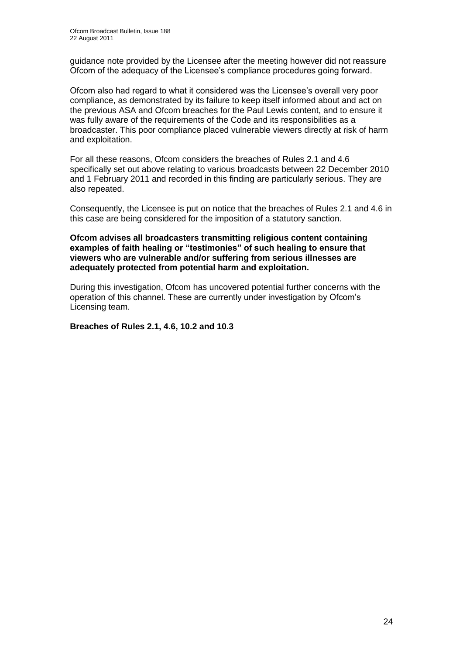guidance note provided by the Licensee after the meeting however did not reassure Ofcom of the adequacy of the Licensee"s compliance procedures going forward.

Ofcom also had regard to what it considered was the Licensee"s overall very poor compliance, as demonstrated by its failure to keep itself informed about and act on the previous ASA and Ofcom breaches for the Paul Lewis content, and to ensure it was fully aware of the requirements of the Code and its responsibilities as a broadcaster. This poor compliance placed vulnerable viewers directly at risk of harm and exploitation.

For all these reasons, Ofcom considers the breaches of Rules 2.1 and 4.6 specifically set out above relating to various broadcasts between 22 December 2010 and 1 February 2011 and recorded in this finding are particularly serious. They are also repeated.

Consequently, the Licensee is put on notice that the breaches of Rules 2.1 and 4.6 in this case are being considered for the imposition of a statutory sanction.

#### **Ofcom advises all broadcasters transmitting religious content containing examples of faith healing or "testimonies" of such healing to ensure that viewers who are vulnerable and/or suffering from serious illnesses are adequately protected from potential harm and exploitation.**

During this investigation, Ofcom has uncovered potential further concerns with the operation of this channel. These are currently under investigation by Ofcom"s Licensing team.

#### **Breaches of Rules 2.1, 4.6, 10.2 and 10.3**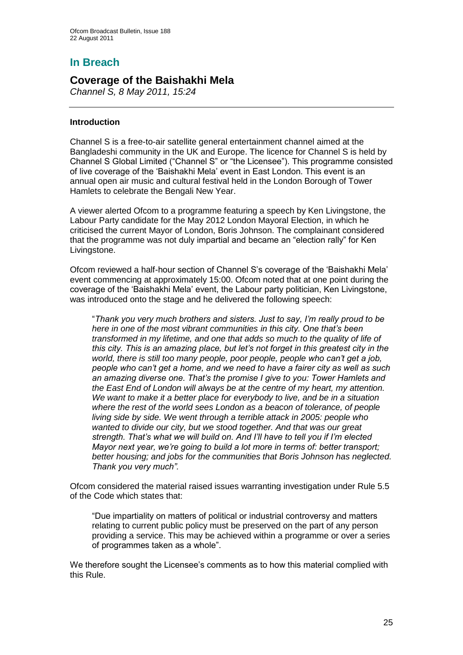## **In Breach**

## **Coverage of the Baishakhi Mela**

*Channel S, 8 May 2011, 15:24*

#### **Introduction**

Channel S is a free-to-air satellite general entertainment channel aimed at the Bangladeshi community in the UK and Europe. The licence for Channel S is held by Channel S Global Limited ("Channel S" or "the Licensee"). This programme consisted of live coverage of the "Baishakhi Mela" event in East London. This event is an annual open air music and cultural festival held in the London Borough of Tower Hamlets to celebrate the Bengali New Year.

A viewer alerted Ofcom to a programme featuring a speech by Ken Livingstone, the Labour Party candidate for the May 2012 London Mayoral Election, in which he criticised the current Mayor of London, Boris Johnson. The complainant considered that the programme was not duly impartial and became an "election rally" for Ken Livingstone.

Ofcom reviewed a half-hour section of Channel S"s coverage of the "Baishakhi Mela" event commencing at approximately 15:00. Ofcom noted that at one point during the coverage of the "Baishakhi Mela" event, the Labour party politician, Ken Livingstone, was introduced onto the stage and he delivered the following speech:

"*Thank you very much brothers and sisters. Just to say, I'm really proud to be here in one of the most vibrant communities in this city. One that's been transformed in my lifetime, and one that adds so much to the quality of life of this city. This is an amazing place, but let's not forget in this greatest city in the world, there is still too many people, poor people, people who can't get a job, people who can't get a home, and we need to have a fairer city as well as such an amazing diverse one. That's the promise I give to you: Tower Hamlets and the East End of London will always be at the centre of my heart, my attention. We want to make it a better place for everybody to live, and be in a situation where the rest of the world sees London as a beacon of tolerance, of people living side by side. We went through a terrible attack in 2005: people who wanted to divide our city, but we stood together. And that was our great strength. That's what we will build on. And I'll have to tell you if I'm elected Mayor next year, we're going to build a lot more in terms of: better transport; better housing; and jobs for the communities that Boris Johnson has neglected. Thank you very much".*

Ofcom considered the material raised issues warranting investigation under Rule 5.5 of the Code which states that:

"Due impartiality on matters of political or industrial controversy and matters relating to current public policy must be preserved on the part of any person providing a service. This may be achieved within a programme or over a series of programmes taken as a whole".

We therefore sought the Licensee's comments as to how this material complied with this Rule.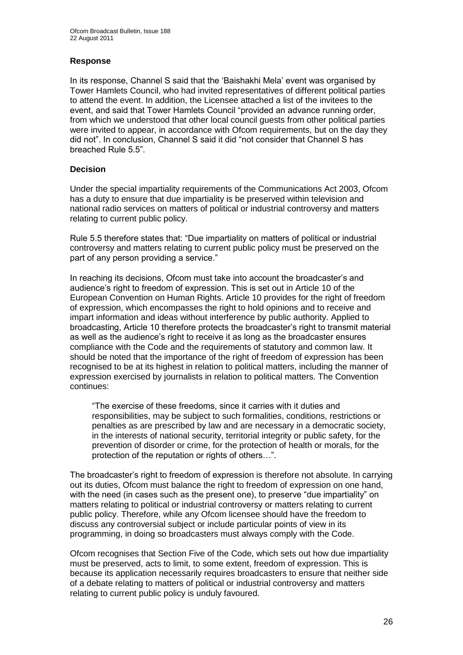#### **Response**

In its response, Channel S said that the "Baishakhi Mela" event was organised by Tower Hamlets Council, who had invited representatives of different political parties to attend the event. In addition, the Licensee attached a list of the invitees to the event, and said that Tower Hamlets Council "provided an advance running order, from which we understood that other local council guests from other political parties were invited to appear, in accordance with Ofcom requirements, but on the day they did not". In conclusion, Channel S said it did "not consider that Channel S has breached Rule 5.5".

#### **Decision**

Under the special impartiality requirements of the Communications Act 2003, Ofcom has a duty to ensure that due impartiality is be preserved within television and national radio services on matters of political or industrial controversy and matters relating to current public policy.

Rule 5.5 therefore states that: "Due impartiality on matters of political or industrial controversy and matters relating to current public policy must be preserved on the part of any person providing a service."

In reaching its decisions, Ofcom must take into account the broadcaster"s and audience's right to freedom of expression. This is set out in Article 10 of the European Convention on Human Rights. Article 10 provides for the right of freedom of expression, which encompasses the right to hold opinions and to receive and impart information and ideas without interference by public authority. Applied to broadcasting, Article 10 therefore protects the broadcaster"s right to transmit material as well as the audience"s right to receive it as long as the broadcaster ensures compliance with the Code and the requirements of statutory and common law. It should be noted that the importance of the right of freedom of expression has been recognised to be at its highest in relation to political matters, including the manner of expression exercised by journalists in relation to political matters. The Convention continues:

"The exercise of these freedoms, since it carries with it duties and responsibilities, may be subject to such formalities, conditions, restrictions or penalties as are prescribed by law and are necessary in a democratic society, in the interests of national security, territorial integrity or public safety, for the prevention of disorder or crime, for the protection of health or morals, for the protection of the reputation or rights of others…".

The broadcaster"s right to freedom of expression is therefore not absolute. In carrying out its duties, Ofcom must balance the right to freedom of expression on one hand. with the need (in cases such as the present one), to preserve "due impartiality" on matters relating to political or industrial controversy or matters relating to current public policy. Therefore, while any Ofcom licensee should have the freedom to discuss any controversial subject or include particular points of view in its programming, in doing so broadcasters must always comply with the Code.

Ofcom recognises that Section Five of the Code, which sets out how due impartiality must be preserved, acts to limit, to some extent, freedom of expression. This is because its application necessarily requires broadcasters to ensure that neither side of a debate relating to matters of political or industrial controversy and matters relating to current public policy is unduly favoured.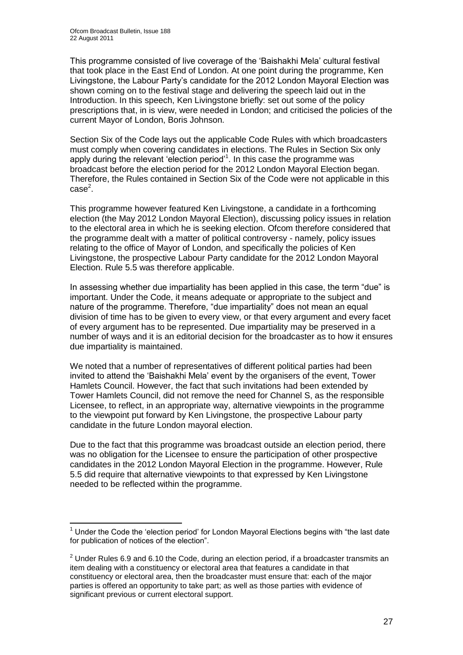This programme consisted of live coverage of the "Baishakhi Mela" cultural festival that took place in the East End of London. At one point during the programme, Ken Livingstone, the Labour Party"s candidate for the 2012 London Mayoral Election was shown coming on to the festival stage and delivering the speech laid out in the Introduction. In this speech, Ken Livingstone briefly: set out some of the policy prescriptions that, in is view, were needed in London; and criticised the policies of the current Mayor of London, Boris Johnson.

Section Six of the Code lays out the applicable Code Rules with which broadcasters must comply when covering candidates in elections. The Rules in Section Six only apply during the relevant 'election period'<sup>1</sup>. In this case the programme was broadcast before the election period for the 2012 London Mayoral Election began. Therefore, the Rules contained in Section Six of the Code were not applicable in this case<sup>2</sup>.

This programme however featured Ken Livingstone, a candidate in a forthcoming election (the May 2012 London Mayoral Election), discussing policy issues in relation to the electoral area in which he is seeking election. Ofcom therefore considered that the programme dealt with a matter of political controversy - namely, policy issues relating to the office of Mayor of London, and specifically the policies of Ken Livingstone, the prospective Labour Party candidate for the 2012 London Mayoral Election. Rule 5.5 was therefore applicable.

In assessing whether due impartiality has been applied in this case, the term "due" is important. Under the Code, it means adequate or appropriate to the subject and nature of the programme. Therefore, "due impartiality" does not mean an equal division of time has to be given to every view, or that every argument and every facet of every argument has to be represented. Due impartiality may be preserved in a number of ways and it is an editorial decision for the broadcaster as to how it ensures due impartiality is maintained.

We noted that a number of representatives of different political parties had been invited to attend the "Baishakhi Mela" event by the organisers of the event, Tower Hamlets Council. However, the fact that such invitations had been extended by Tower Hamlets Council, did not remove the need for Channel S, as the responsible Licensee, to reflect, in an appropriate way, alternative viewpoints in the programme to the viewpoint put forward by Ken Livingstone, the prospective Labour party candidate in the future London mayoral election.

Due to the fact that this programme was broadcast outside an election period, there was no obligation for the Licensee to ensure the participation of other prospective candidates in the 2012 London Mayoral Election in the programme. However, Rule 5.5 did require that alternative viewpoints to that expressed by Ken Livingstone needed to be reflected within the programme.

<sup>1</sup>  $<sup>1</sup>$  Under the Code the 'election period' for London Mayoral Elections begins with "the last date</sup> for publication of notices of the election".

 $2$  Under Rules 6.9 and 6.10 the Code, during an election period, if a broadcaster transmits an item dealing with a constituency or electoral area that features a candidate in that constituency or electoral area, then the broadcaster must ensure that: each of the major parties is offered an opportunity to take part; as well as those parties with evidence of significant previous or current electoral support.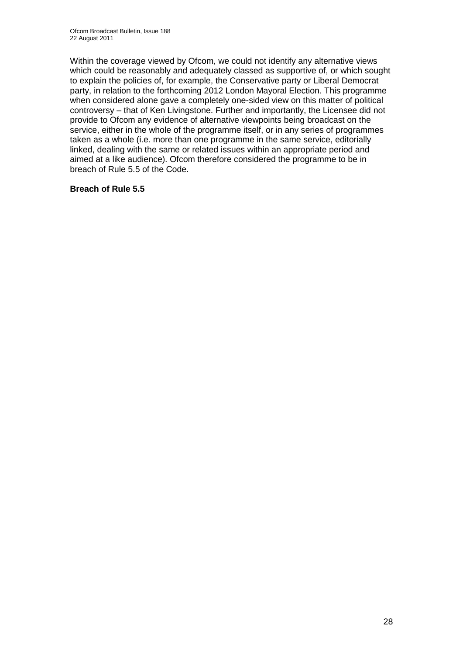Within the coverage viewed by Ofcom, we could not identify any alternative views which could be reasonably and adequately classed as supportive of, or which sought to explain the policies of, for example, the Conservative party or Liberal Democrat party, in relation to the forthcoming 2012 London Mayoral Election. This programme when considered alone gave a completely one-sided view on this matter of political controversy – that of Ken Livingstone. Further and importantly, the Licensee did not provide to Ofcom any evidence of alternative viewpoints being broadcast on the service, either in the whole of the programme itself, or in any series of programmes taken as a whole (i.e. more than one programme in the same service, editorially linked, dealing with the same or related issues within an appropriate period and aimed at a like audience). Ofcom therefore considered the programme to be in breach of Rule 5.5 of the Code.

#### **Breach of Rule 5.5**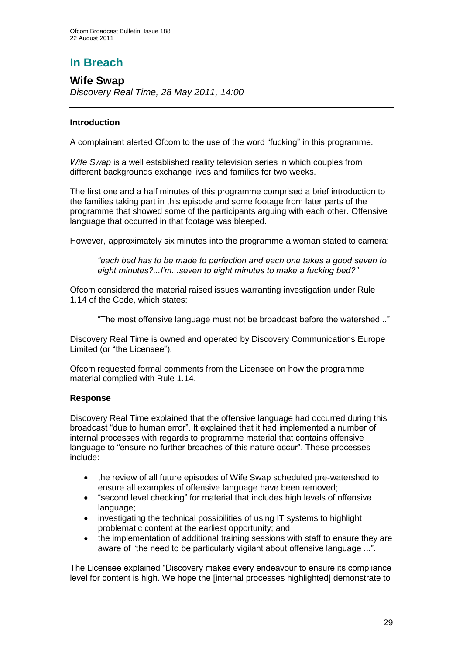# **In Breach**

**Wife Swap** *Discovery Real Time, 28 May 2011, 14:00*

#### **Introduction**

A complainant alerted Ofcom to the use of the word "fucking" in this programme.

*Wife Swap* is a well established reality television series in which couples from different backgrounds exchange lives and families for two weeks.

The first one and a half minutes of this programme comprised a brief introduction to the families taking part in this episode and some footage from later parts of the programme that showed some of the participants arguing with each other. Offensive language that occurred in that footage was bleeped.

However, approximately six minutes into the programme a woman stated to camera:

*"each bed has to be made to perfection and each one takes a good seven to eight minutes?...I'm...seven to eight minutes to make a fucking bed?"*

Ofcom considered the material raised issues warranting investigation under Rule 1.14 of the Code, which states:

"The most offensive language must not be broadcast before the watershed..."

Discovery Real Time is owned and operated by Discovery Communications Europe Limited (or "the Licensee").

Ofcom requested formal comments from the Licensee on how the programme material complied with Rule 1.14.

#### **Response**

Discovery Real Time explained that the offensive language had occurred during this broadcast "due to human error". It explained that it had implemented a number of internal processes with regards to programme material that contains offensive language to "ensure no further breaches of this nature occur". These processes include:

- the review of all future episodes of Wife Swap scheduled pre-watershed to ensure all examples of offensive language have been removed;
- "second level checking" for material that includes high levels of offensive language;
- investigating the technical possibilities of using IT systems to highlight problematic content at the earliest opportunity; and
- the implementation of additional training sessions with staff to ensure they are aware of "the need to be particularly vigilant about offensive language ...".

The Licensee explained "Discovery makes every endeavour to ensure its compliance level for content is high. We hope the [internal processes highlighted] demonstrate to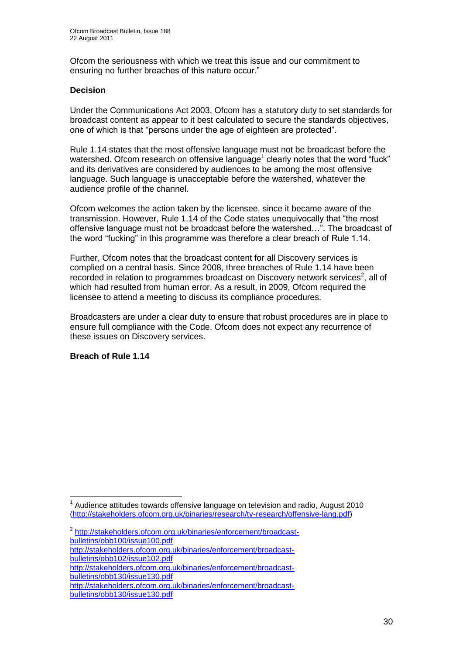Ofcom the seriousness with which we treat this issue and our commitment to ensuring no further breaches of this nature occur."

#### **Decision**

Under the Communications Act 2003, Ofcom has a statutory duty to set standards for broadcast content as appear to it best calculated to secure the standards objectives, one of which is that "persons under the age of eighteen are protected".

Rule 1.14 states that the most offensive language must not be broadcast before the watershed. Ofcom research on offensive language<sup>1</sup> clearly notes that the word "fuck" and its derivatives are considered by audiences to be among the most offensive language. Such language is unacceptable before the watershed, whatever the audience profile of the channel.

Ofcom welcomes the action taken by the licensee, since it became aware of the transmission. However, Rule 1.14 of the Code states unequivocally that "the most offensive language must not be broadcast before the watershed…". The broadcast of the word "fucking" in this programme was therefore a clear breach of Rule 1.14.

Further, Ofcom notes that the broadcast content for all Discovery services is complied on a central basis. Since 2008, three breaches of Rule 1.14 have been recorded in relation to programmes broadcast on Discovery network services<sup>2</sup>, all of which had resulted from human error. As a result, in 2009, Ofcom required the licensee to attend a meeting to discuss its compliance procedures.

Broadcasters are under a clear duty to ensure that robust procedures are in place to ensure full compliance with the Code. Ofcom does not expect any recurrence of these issues on Discovery services.

#### **Breach of Rule 1.14**

<sup>1</sup> <sup>1</sup> Audience attitudes towards offensive language on television and radio, August 2010 [\(http://stakeholders.ofcom.org.uk/binaries/research/tv-research/offensive-lang.pdf\)](http://stakeholders.ofcom.org.uk/binaries/research/tv-research/offensive-lang.pdf)

<sup>&</sup>lt;sup>2</sup> [http://stakeholders.ofcom.org.uk/binaries/enforcement/broadcast](http://stakeholders.ofcom.org.uk/binaries/enforcement/broadcast-bulletins/obb100/issue100.pdf)[bulletins/obb100/issue100.pdf](http://stakeholders.ofcom.org.uk/binaries/enforcement/broadcast-bulletins/obb100/issue100.pdf)

[http://stakeholders.ofcom.org.uk/binaries/enforcement/broadcast](http://stakeholders.ofcom.org.uk/binaries/enforcement/broadcast-bulletins/obb102/issue102.pdf)[bulletins/obb102/issue102.pdf](http://stakeholders.ofcom.org.uk/binaries/enforcement/broadcast-bulletins/obb102/issue102.pdf)

[http://stakeholders.ofcom.org.uk/binaries/enforcement/broadcast](http://stakeholders.ofcom.org.uk/binaries/enforcement/broadcast-bulletins/obb130/issue130.pdf)[bulletins/obb130/issue130.pdf](http://stakeholders.ofcom.org.uk/binaries/enforcement/broadcast-bulletins/obb130/issue130.pdf)

[http://stakeholders.ofcom.org.uk/binaries/enforcement/broadcast](http://stakeholders.ofcom.org.uk/binaries/enforcement/broadcast-bulletins/obb130/issue130.pdf)[bulletins/obb130/issue130.pdf](http://stakeholders.ofcom.org.uk/binaries/enforcement/broadcast-bulletins/obb130/issue130.pdf)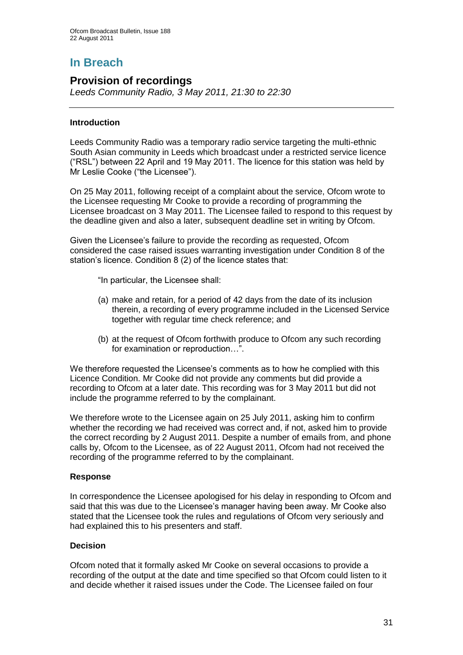# **In Breach**

## **Provision of recordings**

*Leeds Community Radio, 3 May 2011, 21:30 to 22:30* 

#### **Introduction**

Leeds Community Radio was a temporary radio service targeting the multi-ethnic South Asian community in Leeds which broadcast under a restricted service licence ("RSL") between 22 April and 19 May 2011. The licence for this station was held by Mr Leslie Cooke ("the Licensee").

On 25 May 2011, following receipt of a complaint about the service, Ofcom wrote to the Licensee requesting Mr Cooke to provide a recording of programming the Licensee broadcast on 3 May 2011. The Licensee failed to respond to this request by the deadline given and also a later, subsequent deadline set in writing by Ofcom.

Given the Licensee's failure to provide the recording as requested, Ofcom considered the case raised issues warranting investigation under Condition 8 of the station's licence. Condition 8 (2) of the licence states that:

"In particular, the Licensee shall:

- (a) make and retain, for a period of 42 days from the date of its inclusion therein, a recording of every programme included in the Licensed Service together with regular time check reference; and
- (b) at the request of Ofcom forthwith produce to Ofcom any such recording for examination or reproduction…".

We therefore requested the Licensee's comments as to how he complied with this Licence Condition. Mr Cooke did not provide any comments but did provide a recording to Ofcom at a later date. This recording was for 3 May 2011 but did not include the programme referred to by the complainant.

We therefore wrote to the Licensee again on 25 July 2011, asking him to confirm whether the recording we had received was correct and, if not, asked him to provide the correct recording by 2 August 2011. Despite a number of emails from, and phone calls by, Ofcom to the Licensee, as of 22 August 2011, Ofcom had not received the recording of the programme referred to by the complainant.

#### **Response**

In correspondence the Licensee apologised for his delay in responding to Ofcom and said that this was due to the Licensee"s manager having been away. Mr Cooke also stated that the Licensee took the rules and regulations of Ofcom very seriously and had explained this to his presenters and staff.

#### **Decision**

Ofcom noted that it formally asked Mr Cooke on several occasions to provide a recording of the output at the date and time specified so that Ofcom could listen to it and decide whether it raised issues under the Code. The Licensee failed on four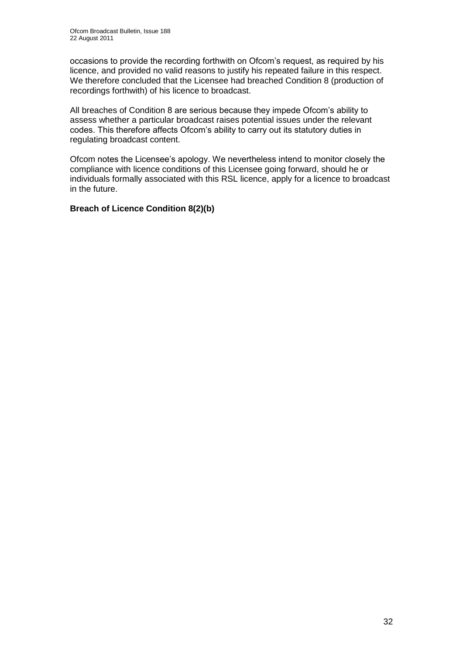occasions to provide the recording forthwith on Ofcom"s request, as required by his licence, and provided no valid reasons to justify his repeated failure in this respect. We therefore concluded that the Licensee had breached Condition 8 (production of recordings forthwith) of his licence to broadcast.

All breaches of Condition 8 are serious because they impede Ofcom"s ability to assess whether a particular broadcast raises potential issues under the relevant codes. This therefore affects Ofcom"s ability to carry out its statutory duties in regulating broadcast content.

Ofcom notes the Licensee"s apology. We nevertheless intend to monitor closely the compliance with licence conditions of this Licensee going forward, should he or individuals formally associated with this RSL licence, apply for a licence to broadcast in the future.

#### **Breach of Licence Condition 8(2)(b)**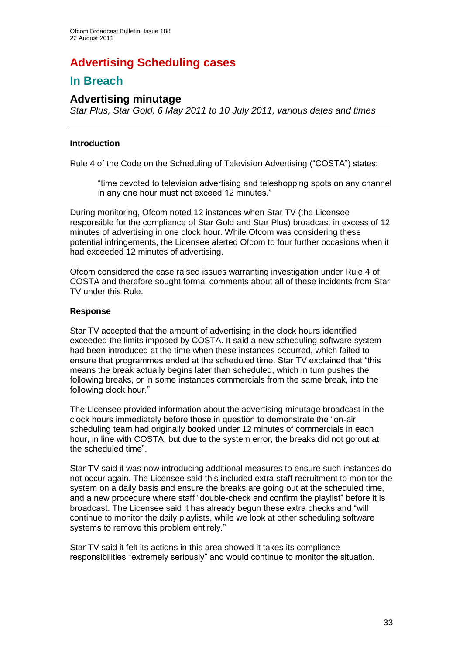# **Advertising Scheduling cases**

## **In Breach**

## **Advertising minutage**

*Star Plus, Star Gold, 6 May 2011 to 10 July 2011, various dates and times*

#### **Introduction**

Rule 4 of the Code on the Scheduling of Television Advertising ("COSTA") states:

"time devoted to television advertising and teleshopping spots on any channel in any one hour must not exceed 12 minutes."

During monitoring, Ofcom noted 12 instances when Star TV (the Licensee responsible for the compliance of Star Gold and Star Plus) broadcast in excess of 12 minutes of advertising in one clock hour. While Ofcom was considering these potential infringements, the Licensee alerted Ofcom to four further occasions when it had exceeded 12 minutes of advertising.

Ofcom considered the case raised issues warranting investigation under Rule 4 of COSTA and therefore sought formal comments about all of these incidents from Star TV under this Rule.

#### **Response**

Star TV accepted that the amount of advertising in the clock hours identified exceeded the limits imposed by COSTA. It said a new scheduling software system had been introduced at the time when these instances occurred, which failed to ensure that programmes ended at the scheduled time. Star TV explained that "this means the break actually begins later than scheduled, which in turn pushes the following breaks, or in some instances commercials from the same break, into the following clock hour."

The Licensee provided information about the advertising minutage broadcast in the clock hours immediately before those in question to demonstrate the "on-air scheduling team had originally booked under 12 minutes of commercials in each hour, in line with COSTA, but due to the system error, the breaks did not go out at the scheduled time".

Star TV said it was now introducing additional measures to ensure such instances do not occur again. The Licensee said this included extra staff recruitment to monitor the system on a daily basis and ensure the breaks are going out at the scheduled time, and a new procedure where staff "double-check and confirm the playlist" before it is broadcast. The Licensee said it has already begun these extra checks and "will continue to monitor the daily playlists, while we look at other scheduling software systems to remove this problem entirely."

Star TV said it felt its actions in this area showed it takes its compliance responsibilities "extremely seriously" and would continue to monitor the situation.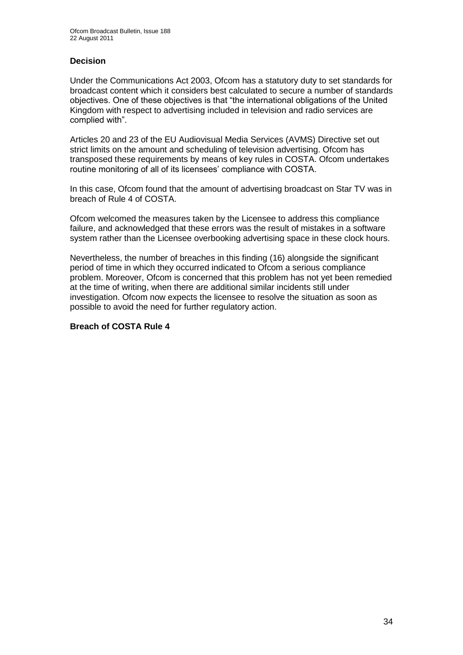#### **Decision**

Under the Communications Act 2003, Ofcom has a statutory duty to set standards for broadcast content which it considers best calculated to secure a number of standards objectives. One of these objectives is that "the international obligations of the United Kingdom with respect to advertising included in television and radio services are complied with".

Articles 20 and 23 of the EU Audiovisual Media Services (AVMS) Directive set out strict limits on the amount and scheduling of television advertising. Ofcom has transposed these requirements by means of key rules in COSTA. Ofcom undertakes routine monitoring of all of its licensees' compliance with COSTA.

In this case, Ofcom found that the amount of advertising broadcast on Star TV was in breach of Rule 4 of COSTA.

Ofcom welcomed the measures taken by the Licensee to address this compliance failure, and acknowledged that these errors was the result of mistakes in a software system rather than the Licensee overbooking advertising space in these clock hours.

Nevertheless, the number of breaches in this finding (16) alongside the significant period of time in which they occurred indicated to Ofcom a serious compliance problem. Moreover, Ofcom is concerned that this problem has not yet been remedied at the time of writing, when there are additional similar incidents still under investigation. Ofcom now expects the licensee to resolve the situation as soon as possible to avoid the need for further regulatory action.

#### **Breach of COSTA Rule 4**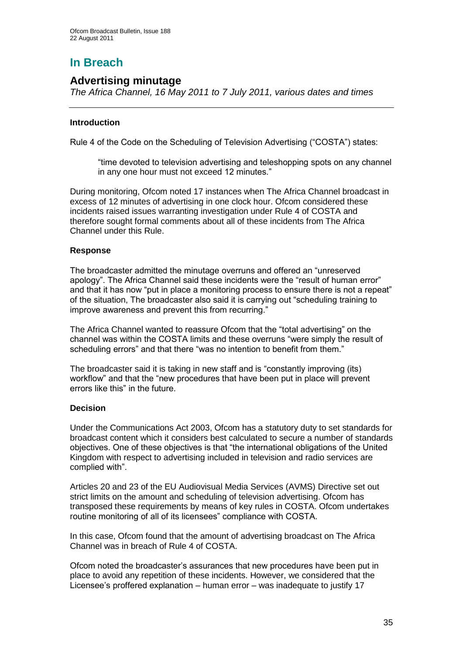# **In Breach**

## **Advertising minutage**

*The Africa Channel, 16 May 2011 to 7 July 2011, various dates and times*

#### **Introduction**

Rule 4 of the Code on the Scheduling of Television Advertising ("COSTA") states:

"time devoted to television advertising and teleshopping spots on any channel in any one hour must not exceed 12 minutes."

During monitoring, Ofcom noted 17 instances when The Africa Channel broadcast in excess of 12 minutes of advertising in one clock hour. Ofcom considered these incidents raised issues warranting investigation under Rule 4 of COSTA and therefore sought formal comments about all of these incidents from The Africa Channel under this Rule.

#### **Response**

The broadcaster admitted the minutage overruns and offered an "unreserved apology". The Africa Channel said these incidents were the "result of human error" and that it has now "put in place a monitoring process to ensure there is not a repeat" of the situation, The broadcaster also said it is carrying out "scheduling training to improve awareness and prevent this from recurring."

The Africa Channel wanted to reassure Ofcom that the "total advertising" on the channel was within the COSTA limits and these overruns "were simply the result of scheduling errors" and that there "was no intention to benefit from them."

The broadcaster said it is taking in new staff and is "constantly improving (its) workflow" and that the "new procedures that have been put in place will prevent errors like this" in the future.

#### **Decision**

Under the Communications Act 2003, Ofcom has a statutory duty to set standards for broadcast content which it considers best calculated to secure a number of standards objectives. One of these objectives is that "the international obligations of the United Kingdom with respect to advertising included in television and radio services are complied with".

Articles 20 and 23 of the EU Audiovisual Media Services (AVMS) Directive set out strict limits on the amount and scheduling of television advertising. Ofcom has transposed these requirements by means of key rules in COSTA. Ofcom undertakes routine monitoring of all of its licensees" compliance with COSTA.

In this case, Ofcom found that the amount of advertising broadcast on The Africa Channel was in breach of Rule 4 of COSTA.

Ofcom noted the broadcaster"s assurances that new procedures have been put in place to avoid any repetition of these incidents. However, we considered that the Licensee's proffered explanation – human error – was inadequate to justify 17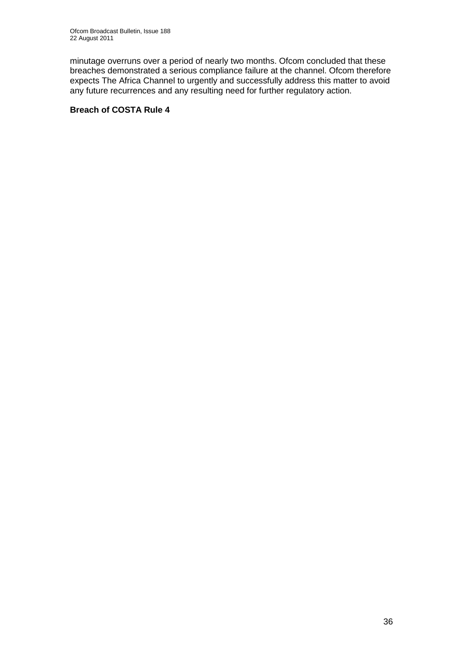minutage overruns over a period of nearly two months. Ofcom concluded that these breaches demonstrated a serious compliance failure at the channel. Ofcom therefore expects The Africa Channel to urgently and successfully address this matter to avoid any future recurrences and any resulting need for further regulatory action.

#### **Breach of COSTA Rule 4**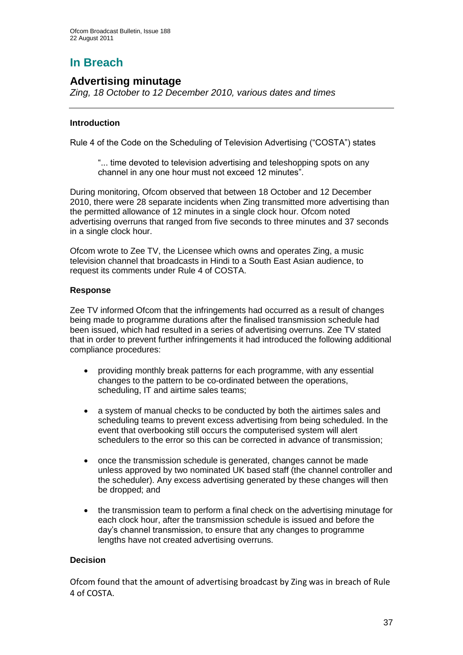# **In Breach**

## **Advertising minutage**

*Zing, 18 October to 12 December 2010, various dates and times*

#### **Introduction**

Rule 4 of the Code on the Scheduling of Television Advertising ("COSTA") states

"... time devoted to television advertising and teleshopping spots on any channel in any one hour must not exceed 12 minutes".

During monitoring, Ofcom observed that between 18 October and 12 December 2010, there were 28 separate incidents when Zing transmitted more advertising than the permitted allowance of 12 minutes in a single clock hour. Ofcom noted advertising overruns that ranged from five seconds to three minutes and 37 seconds in a single clock hour.

Ofcom wrote to Zee TV, the Licensee which owns and operates Zing, a music television channel that broadcasts in Hindi to a South East Asian audience, to request its comments under Rule 4 of COSTA.

#### **Response**

Zee TV informed Ofcom that the infringements had occurred as a result of changes being made to programme durations after the finalised transmission schedule had been issued, which had resulted in a series of advertising overruns. Zee TV stated that in order to prevent further infringements it had introduced the following additional compliance procedures:

- providing monthly break patterns for each programme, with any essential changes to the pattern to be co-ordinated between the operations, scheduling, IT and airtime sales teams;
- a system of manual checks to be conducted by both the airtimes sales and scheduling teams to prevent excess advertising from being scheduled. In the event that overbooking still occurs the computerised system will alert schedulers to the error so this can be corrected in advance of transmission;
- once the transmission schedule is generated, changes cannot be made unless approved by two nominated UK based staff (the channel controller and the scheduler). Any excess advertising generated by these changes will then be dropped; and
- the transmission team to perform a final check on the advertising minutage for each clock hour, after the transmission schedule is issued and before the day"s channel transmission, to ensure that any changes to programme lengths have not created advertising overruns.

#### **Decision**

Ofcom found that the amount of advertising broadcast by Zing was in breach of Rule 4 of COSTA.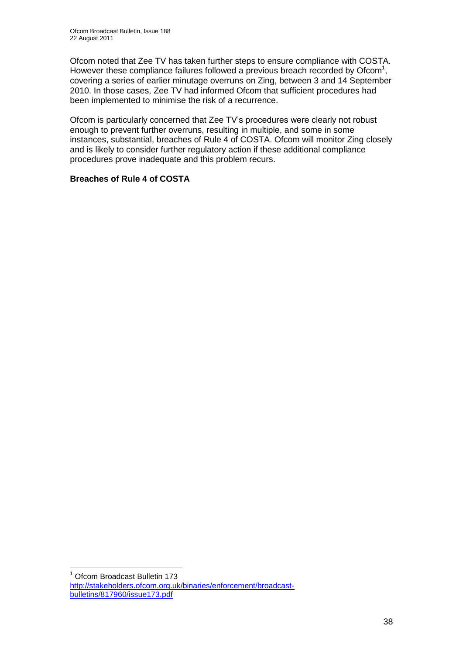Ofcom noted that Zee TV has taken further steps to ensure compliance with COSTA. However these compliance failures followed a previous breach recorded by Ofcom<sup>1</sup>, covering a series of earlier minutage overruns on Zing, between 3 and 14 September 2010. In those cases, Zee TV had informed Ofcom that sufficient procedures had been implemented to minimise the risk of a recurrence.

Ofcom is particularly concerned that Zee TV"s procedures were clearly not robust enough to prevent further overruns, resulting in multiple, and some in some instances, substantial, breaches of Rule 4 of COSTA. Ofcom will monitor Zing closely and is likely to consider further regulatory action if these additional compliance procedures prove inadequate and this problem recurs.

#### **Breaches of Rule 4 of COSTA**

1

<sup>1</sup> Ofcom Broadcast Bulletin 173 [http://stakeholders.ofcom.org.uk/binaries/enforcement/broadcast](http://stakeholders.ofcom.org.uk/binaries/enforcement/broadcast-bulletins/817960/issue173.pdf)[bulletins/817960/issue173.pdf](http://stakeholders.ofcom.org.uk/binaries/enforcement/broadcast-bulletins/817960/issue173.pdf)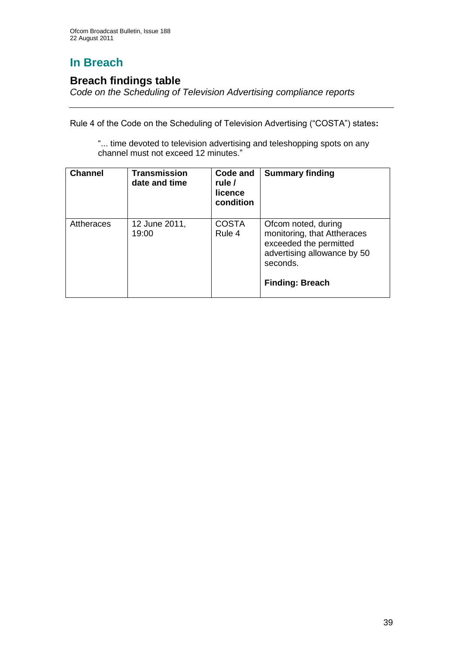# **In Breach**

## **Breach findings table**

*Code on the Scheduling of Television Advertising compliance reports*

Rule 4 of the Code on the Scheduling of Television Advertising ("COSTA") states**:**

"... time devoted to television advertising and teleshopping spots on any channel must not exceed 12 minutes."

| <b>Channel</b> | <b>Transmission</b><br>date and time | Code and<br>rule /<br>licence<br>condition | <b>Summary finding</b>                                                                                                                            |
|----------------|--------------------------------------|--------------------------------------------|---------------------------------------------------------------------------------------------------------------------------------------------------|
| Attheraces     | 12 June 2011,<br>19:00               | <b>COSTA</b><br>Rule 4                     | Ofcom noted, during<br>monitoring, that Attheraces<br>exceeded the permitted<br>advertising allowance by 50<br>seconds.<br><b>Finding: Breach</b> |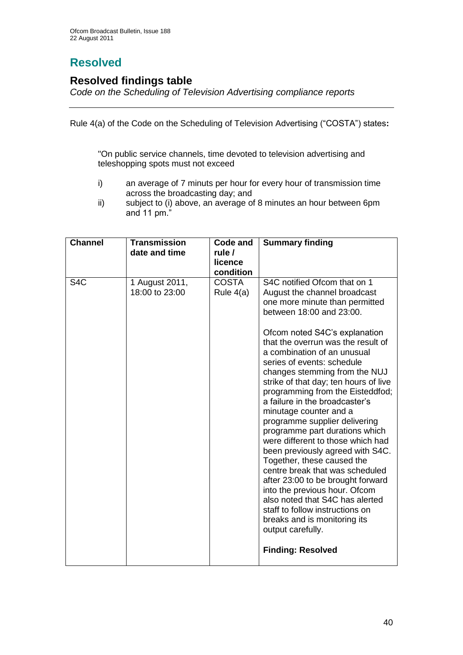# **Resolved**

## **Resolved findings table**

*Code on the Scheduling of Television Advertising compliance reports*

Rule 4(a) of the Code on the Scheduling of Television Advertising ("COSTA") states**:**

"On public service channels, time devoted to television advertising and teleshopping spots must not exceed

- i) an average of 7 minuts per hour for every hour of transmission time across the broadcasting day; and
- ii) subject to (i) above, an average of 8 minutes an hour between 6pm and 11 pm."

| <b>Channel</b>   | <b>Transmission</b>              | Code and                    | <b>Summary finding</b>                                                                                                                                                                                                                                                                                                                                                                                                                                                                                                                                                                                                                                                                                                                                                                                                                                                             |
|------------------|----------------------------------|-----------------------------|------------------------------------------------------------------------------------------------------------------------------------------------------------------------------------------------------------------------------------------------------------------------------------------------------------------------------------------------------------------------------------------------------------------------------------------------------------------------------------------------------------------------------------------------------------------------------------------------------------------------------------------------------------------------------------------------------------------------------------------------------------------------------------------------------------------------------------------------------------------------------------|
|                  | date and time                    | rule /                      |                                                                                                                                                                                                                                                                                                                                                                                                                                                                                                                                                                                                                                                                                                                                                                                                                                                                                    |
|                  |                                  | licence                     |                                                                                                                                                                                                                                                                                                                                                                                                                                                                                                                                                                                                                                                                                                                                                                                                                                                                                    |
|                  |                                  | condition                   |                                                                                                                                                                                                                                                                                                                                                                                                                                                                                                                                                                                                                                                                                                                                                                                                                                                                                    |
| S <sub>4</sub> C | 1 August 2011,<br>18:00 to 23:00 | <b>COSTA</b><br>Rule $4(a)$ | S4C notified Ofcom that on 1<br>August the channel broadcast<br>one more minute than permitted<br>between 18:00 and 23:00.<br>Ofcom noted S4C's explanation<br>that the overrun was the result of<br>a combination of an unusual<br>series of events: schedule<br>changes stemming from the NUJ<br>strike of that day; ten hours of live<br>programming from the Eisteddfod;<br>a failure in the broadcaster's<br>minutage counter and a<br>programme supplier delivering<br>programme part durations which<br>were different to those which had<br>been previously agreed with S4C.<br>Together, these caused the<br>centre break that was scheduled<br>after 23:00 to be brought forward<br>into the previous hour. Ofcom<br>also noted that S4C has alerted<br>staff to follow instructions on<br>breaks and is monitoring its<br>output carefully.<br><b>Finding: Resolved</b> |
|                  |                                  |                             |                                                                                                                                                                                                                                                                                                                                                                                                                                                                                                                                                                                                                                                                                                                                                                                                                                                                                    |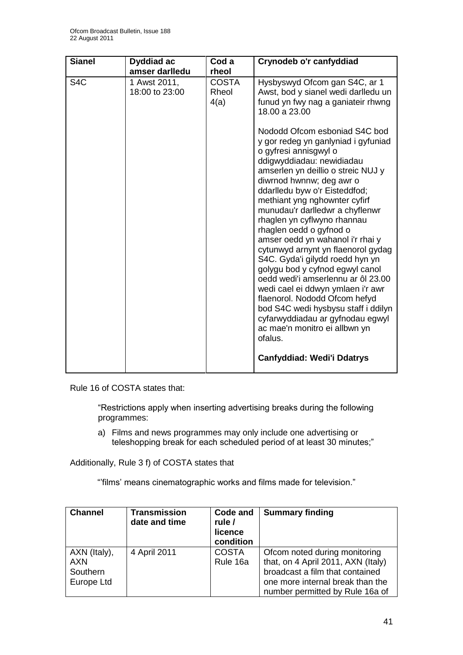| <b>Sianel</b>    | Dyddiad ac<br>amser darlledu   | Cod a<br>rheol                | Crynodeb o'r canfyddiad                                                                                                                                                                                                                                                                                                                                                                                                                                                                                                                                                                                                                                                                                                                                                                                                                                                                                            |
|------------------|--------------------------------|-------------------------------|--------------------------------------------------------------------------------------------------------------------------------------------------------------------------------------------------------------------------------------------------------------------------------------------------------------------------------------------------------------------------------------------------------------------------------------------------------------------------------------------------------------------------------------------------------------------------------------------------------------------------------------------------------------------------------------------------------------------------------------------------------------------------------------------------------------------------------------------------------------------------------------------------------------------|
| S <sub>4</sub> C | 1 Awst 2011,<br>18:00 to 23:00 | <b>COSTA</b><br>Rheol<br>4(a) | Hysbyswyd Ofcom gan S4C, ar 1<br>Awst, bod y sianel wedi darlledu un<br>funud yn fwy nag a ganiateir rhwng<br>18.00 a 23.00<br>Nododd Ofcom esboniad S4C bod<br>y gor redeg yn ganlyniad i gyfuniad<br>o gyfresi annisgwyl o<br>ddigwyddiadau: newidiadau<br>amserlen yn deillio o streic NUJ y<br>diwrnod hwnnw; deg awr o<br>ddarlledu byw o'r Eisteddfod;<br>methiant yng nghownter cyfirf<br>munudau'r darlledwr a chyflenwr<br>rhaglen yn cyflwyno rhannau<br>rhaglen oedd o gyfnod o<br>amser oedd yn wahanol i'r rhai y<br>cytunwyd arnynt yn flaenorol gydag<br>S4C. Gyda'i gilydd roedd hyn yn<br>golygu bod y cyfnod egwyl canol<br>oedd wedi'i amserlennu ar ôl 23.00<br>wedi cael ei ddwyn ymlaen i'r awr<br>flaenorol. Nododd Ofcom hefyd<br>bod S4C wedi hysbysu staff i ddilyn<br>cyfarwyddiadau ar gyfnodau egwyl<br>ac mae'n monitro ei allbwn yn<br>ofalus.<br><b>Canfyddiad: Wedi'i Ddatrys</b> |
|                  |                                |                               |                                                                                                                                                                                                                                                                                                                                                                                                                                                                                                                                                                                                                                                                                                                                                                                                                                                                                                                    |

Rule 16 of COSTA states that:

"Restrictions apply when inserting advertising breaks during the following programmes:

a) Films and news programmes may only include one advertising or teleshopping break for each scheduled period of at least 30 minutes;"

Additionally, Rule 3 f) of COSTA states that

""films" means cinematographic works and films made for television."

| <b>Channel</b>                                | <b>Transmission</b><br>date and time | Code and<br>rule /<br>licence<br>condition | <b>Summary finding</b>                                                                                                                                                        |
|-----------------------------------------------|--------------------------------------|--------------------------------------------|-------------------------------------------------------------------------------------------------------------------------------------------------------------------------------|
| AXN (Italy),<br>AXN<br>Southern<br>Europe Ltd | 4 April 2011                         | <b>COSTA</b><br>Rule 16a                   | Ofcom noted during monitoring<br>that, on 4 April 2011, AXN (Italy)<br>broadcast a film that contained<br>one more internal break than the<br>number permitted by Rule 16a of |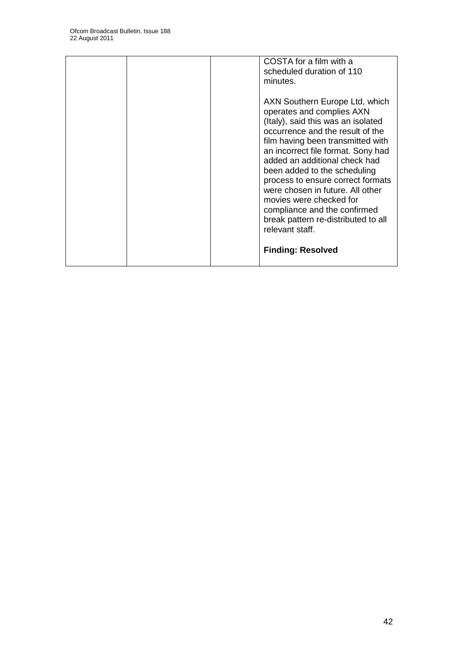|  | COSTA for a film with a<br>scheduled duration of 110<br>minutes.                                                                                                                                                                                                                                                                                                                                                                                                                |
|--|---------------------------------------------------------------------------------------------------------------------------------------------------------------------------------------------------------------------------------------------------------------------------------------------------------------------------------------------------------------------------------------------------------------------------------------------------------------------------------|
|  | AXN Southern Europe Ltd, which<br>operates and complies AXN<br>(Italy), said this was an isolated<br>occurrence and the result of the<br>film having been transmitted with<br>an incorrect file format. Sony had<br>added an additional check had<br>been added to the scheduling<br>process to ensure correct formats<br>were chosen in future. All other<br>movies were checked for<br>compliance and the confirmed<br>break pattern re-distributed to all<br>relevant staff. |
|  | <b>Finding: Resolved</b>                                                                                                                                                                                                                                                                                                                                                                                                                                                        |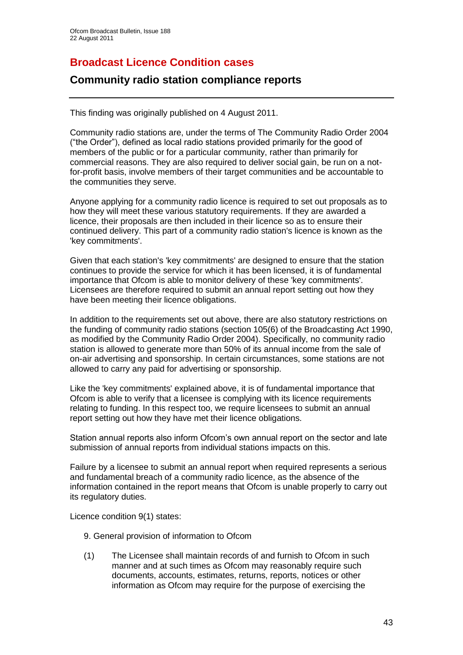## **Broadcast Licence Condition cases**

## **Community radio station compliance reports**

This finding was originally published on 4 August 2011.

Community radio stations are, under the terms of The Community Radio Order 2004 ("the Order"), defined as local radio stations provided primarily for the good of members of the public or for a particular community, rather than primarily for commercial reasons. They are also required to deliver social gain, be run on a notfor-profit basis, involve members of their target communities and be accountable to the communities they serve.

Anyone applying for a community radio licence is required to set out proposals as to how they will meet these various statutory requirements. If they are awarded a licence, their proposals are then included in their licence so as to ensure their continued delivery. This part of a community radio station's licence is known as the 'key commitments'.

Given that each station's 'key commitments' are designed to ensure that the station continues to provide the service for which it has been licensed, it is of fundamental importance that Ofcom is able to monitor delivery of these 'key commitments'. Licensees are therefore required to submit an annual report setting out how they have been meeting their licence obligations.

In addition to the requirements set out above, there are also statutory restrictions on the funding of community radio stations (section 105(6) of the Broadcasting Act 1990, as modified by the Community Radio Order 2004). Specifically, no community radio station is allowed to generate more than 50% of its annual income from the sale of on-air advertising and sponsorship. In certain circumstances, some stations are not allowed to carry any paid for advertising or sponsorship.

Like the 'key commitments' explained above, it is of fundamental importance that Ofcom is able to verify that a licensee is complying with its licence requirements relating to funding. In this respect too, we require licensees to submit an annual report setting out how they have met their licence obligations.

Station annual reports also inform Ofcom"s own annual report on the sector and late submission of annual reports from individual stations impacts on this.

Failure by a licensee to submit an annual report when required represents a serious and fundamental breach of a community radio licence, as the absence of the information contained in the report means that Ofcom is unable properly to carry out its regulatory duties.

Licence condition 9(1) states:

- 9. General provision of information to Ofcom
- (1) The Licensee shall maintain records of and furnish to Ofcom in such manner and at such times as Ofcom may reasonably require such documents, accounts, estimates, returns, reports, notices or other information as Ofcom may require for the purpose of exercising the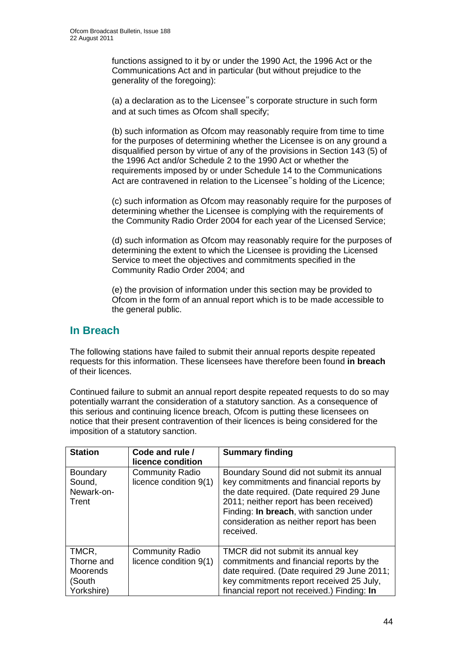functions assigned to it by or under the 1990 Act, the 1996 Act or the Communications Act and in particular (but without prejudice to the generality of the foregoing):

(a) a declaration as to the Licensee"s corporate structure in such form and at such times as Ofcom shall specify;

(b) such information as Ofcom may reasonably require from time to time for the purposes of determining whether the Licensee is on any ground a disqualified person by virtue of any of the provisions in Section 143 (5) of the 1996 Act and/or Schedule 2 to the 1990 Act or whether the requirements imposed by or under Schedule 14 to the Communications Act are contravened in relation to the Licensee"s holding of the Licence;

(c) such information as Ofcom may reasonably require for the purposes of determining whether the Licensee is complying with the requirements of the Community Radio Order 2004 for each year of the Licensed Service;

(d) such information as Ofcom may reasonably require for the purposes of determining the extent to which the Licensee is providing the Licensed Service to meet the objectives and commitments specified in the Community Radio Order 2004; and

(e) the provision of information under this section may be provided to Ofcom in the form of an annual report which is to be made accessible to the general public.

## **In Breach**

The following stations have failed to submit their annual reports despite repeated requests for this information. These licensees have therefore been found **in breach** of their licences.

Continued failure to submit an annual report despite repeated requests to do so may potentially warrant the consideration of a statutory sanction. As a consequence of this serious and continuing licence breach, Ofcom is putting these licensees on notice that their present contravention of their licences is being considered for the imposition of a statutory sanction.

| <b>Station</b>                                          | Code and rule /<br>licence condition             | <b>Summary finding</b>                                                                                                                                                                                                                                                           |
|---------------------------------------------------------|--------------------------------------------------|----------------------------------------------------------------------------------------------------------------------------------------------------------------------------------------------------------------------------------------------------------------------------------|
| <b>Boundary</b><br>Sound,<br>Newark-on-<br>Trent        | <b>Community Radio</b><br>licence condition 9(1) | Boundary Sound did not submit its annual<br>key commitments and financial reports by<br>the date required. (Date required 29 June<br>2011; neither report has been received)<br>Finding: In breach, with sanction under<br>consideration as neither report has been<br>received. |
| TMCR,<br>Thorne and<br>Moorends<br>(South<br>Yorkshire) | <b>Community Radio</b><br>licence condition 9(1) | TMCR did not submit its annual key<br>commitments and financial reports by the<br>date required. (Date required 29 June 2011;<br>key commitments report received 25 July,<br>financial report not received.) Finding: In                                                         |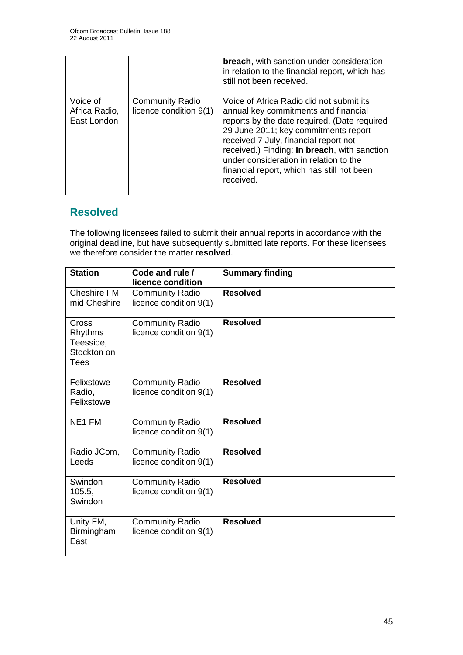|                                          |                                                  | <b>breach, with sanction under consideration</b><br>in relation to the financial report, which has<br>still not been received.                                                                                                                                                                                                                                         |
|------------------------------------------|--------------------------------------------------|------------------------------------------------------------------------------------------------------------------------------------------------------------------------------------------------------------------------------------------------------------------------------------------------------------------------------------------------------------------------|
| Voice of<br>Africa Radio,<br>East London | <b>Community Radio</b><br>licence condition 9(1) | Voice of Africa Radio did not submit its<br>annual key commitments and financial<br>reports by the date required. (Date required<br>29 June 2011; key commitments report<br>received 7 July, financial report not<br>received.) Finding: In breach, with sanction<br>under consideration in relation to the<br>financial report, which has still not been<br>received. |

## **Resolved**

The following licensees failed to submit their annual reports in accordance with the original deadline, but have subsequently submitted late reports. For these licensees we therefore consider the matter **resolved**.

| <b>Station</b>                                       | Code and rule /<br>licence condition             | <b>Summary finding</b> |
|------------------------------------------------------|--------------------------------------------------|------------------------|
| Cheshire FM.<br>mid Cheshire                         | <b>Community Radio</b><br>licence condition 9(1) | <b>Resolved</b>        |
| Cross<br>Rhythms<br>Teesside,<br>Stockton on<br>Tees | <b>Community Radio</b><br>licence condition 9(1) | <b>Resolved</b>        |
| Felixstowe<br>Radio,<br>Felixstowe                   | <b>Community Radio</b><br>licence condition 9(1) | <b>Resolved</b>        |
| NE1 FM                                               | <b>Community Radio</b><br>licence condition 9(1) | <b>Resolved</b>        |
| Radio JCom,<br>Leeds                                 | <b>Community Radio</b><br>licence condition 9(1) | <b>Resolved</b>        |
| Swindon<br>105.5,<br>Swindon                         | <b>Community Radio</b><br>licence condition 9(1) | <b>Resolved</b>        |
| Unity FM,<br><b>Birmingham</b><br>East               | <b>Community Radio</b><br>licence condition 9(1) | <b>Resolved</b>        |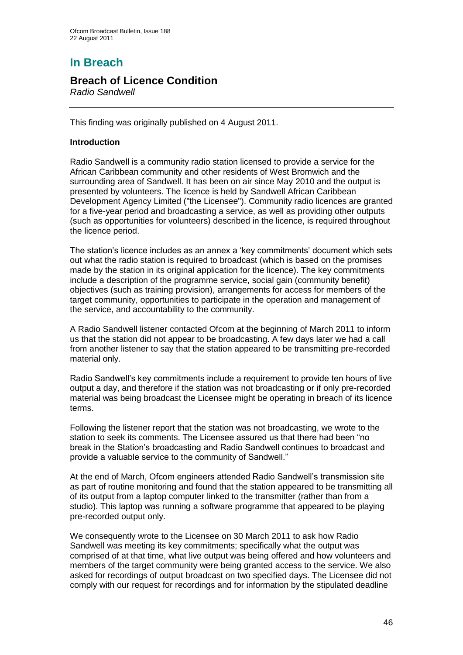# **In Breach**

## **Breach of Licence Condition**

*Radio Sandwell*

This finding was originally published on 4 August 2011.

#### **Introduction**

Radio Sandwell is a community radio station licensed to provide a service for the African Caribbean community and other residents of West Bromwich and the surrounding area of Sandwell. It has been on air since May 2010 and the output is presented by volunteers. The licence is held by Sandwell African Caribbean Development Agency Limited ("the Licensee"). Community radio licences are granted for a five-year period and broadcasting a service, as well as providing other outputs (such as opportunities for volunteers) described in the licence, is required throughout the licence period.

The station's licence includes as an annex a 'key commitments' document which sets out what the radio station is required to broadcast (which is based on the promises made by the station in its original application for the licence). The key commitments include a description of the programme service, social gain (community benefit) objectives (such as training provision), arrangements for access for members of the target community, opportunities to participate in the operation and management of the service, and accountability to the community.

A Radio Sandwell listener contacted Ofcom at the beginning of March 2011 to inform us that the station did not appear to be broadcasting. A few days later we had a call from another listener to say that the station appeared to be transmitting pre-recorded material only.

Radio Sandwell"s key commitments include a requirement to provide ten hours of live output a day, and therefore if the station was not broadcasting or if only pre-recorded material was being broadcast the Licensee might be operating in breach of its licence terms.

Following the listener report that the station was not broadcasting, we wrote to the station to seek its comments. The Licensee assured us that there had been "no break in the Station"s broadcasting and Radio Sandwell continues to broadcast and provide a valuable service to the community of Sandwell."

At the end of March, Ofcom engineers attended Radio Sandwell"s transmission site as part of routine monitoring and found that the station appeared to be transmitting all of its output from a laptop computer linked to the transmitter (rather than from a studio). This laptop was running a software programme that appeared to be playing pre-recorded output only.

We consequently wrote to the Licensee on 30 March 2011 to ask how Radio Sandwell was meeting its key commitments; specifically what the output was comprised of at that time, what live output was being offered and how volunteers and members of the target community were being granted access to the service. We also asked for recordings of output broadcast on two specified days. The Licensee did not comply with our request for recordings and for information by the stipulated deadline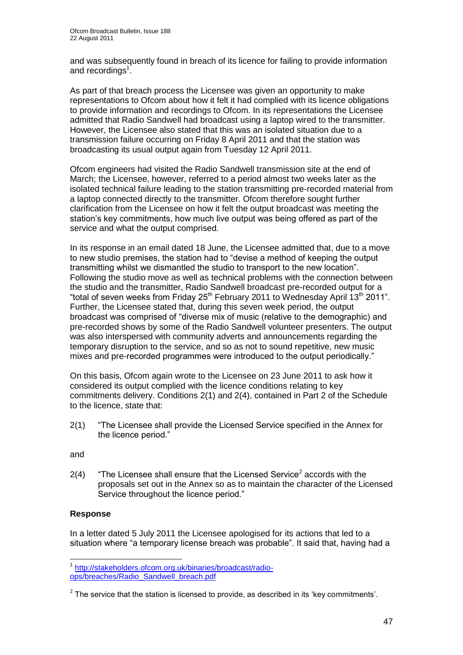and was subsequently found in breach of its licence for failing to provide information and recordings<sup>1</sup>.

As part of that breach process the Licensee was given an opportunity to make representations to Ofcom about how it felt it had complied with its licence obligations to provide information and recordings to Ofcom. In its representations the Licensee admitted that Radio Sandwell had broadcast using a laptop wired to the transmitter. However, the Licensee also stated that this was an isolated situation due to a transmission failure occurring on Friday 8 April 2011 and that the station was broadcasting its usual output again from Tuesday 12 April 2011.

Ofcom engineers had visited the Radio Sandwell transmission site at the end of March; the Licensee, however, referred to a period almost two weeks later as the isolated technical failure leading to the station transmitting pre-recorded material from a laptop connected directly to the transmitter. Ofcom therefore sought further clarification from the Licensee on how it felt the output broadcast was meeting the station"s key commitments, how much live output was being offered as part of the service and what the output comprised.

In its response in an email dated 18 June, the Licensee admitted that, due to a move to new studio premises, the station had to "devise a method of keeping the output transmitting whilst we dismantled the studio to transport to the new location". Following the studio move as well as technical problems with the connection between the studio and the transmitter, Radio Sandwell broadcast pre-recorded output for a "total of seven weeks from Friday  $25<sup>th</sup>$  February 2011 to Wednesday April 13<sup>th</sup> 2011". Further, the Licensee stated that, during this seven week period, the output broadcast was comprised of "diverse mix of music (relative to the demographic) and pre-recorded shows by some of the Radio Sandwell volunteer presenters. The output was also interspersed with community adverts and announcements regarding the temporary disruption to the service, and so as not to sound repetitive, new music mixes and pre-recorded programmes were introduced to the output periodically."

On this basis, Ofcom again wrote to the Licensee on 23 June 2011 to ask how it considered its output complied with the licence conditions relating to key commitments delivery. Conditions 2(1) and 2(4), contained in Part 2 of the Schedule to the licence, state that:

2(1) "The Licensee shall provide the Licensed Service specified in the Annex for the licence period."

and

 $2(4)$  "The Licensee shall ensure that the Licensed Service<sup>2</sup> accords with the proposals set out in the Annex so as to maintain the character of the Licensed Service throughout the licence period."

#### **Response**

In a letter dated 5 July 2011 the Licensee apologised for its actions that led to a situation where "a temporary license breach was probable". It said that, having had a

 1 [http://stakeholders.ofcom.org.uk/binaries/broadcast/radio](http://stakeholders.ofcom.org.uk/binaries/broadcast/radio-ops/breaches/Radio_Sandwell_breach.pdf)[ops/breaches/Radio\\_Sandwell\\_breach.pdf](http://stakeholders.ofcom.org.uk/binaries/broadcast/radio-ops/breaches/Radio_Sandwell_breach.pdf)

 $2$  The service that the station is licensed to provide, as described in its 'key commitments'.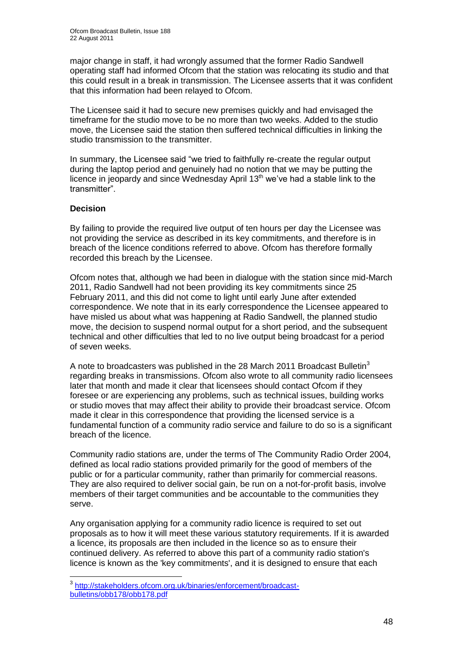major change in staff, it had wrongly assumed that the former Radio Sandwell operating staff had informed Ofcom that the station was relocating its studio and that this could result in a break in transmission. The Licensee asserts that it was confident that this information had been relayed to Ofcom.

The Licensee said it had to secure new premises quickly and had envisaged the timeframe for the studio move to be no more than two weeks. Added to the studio move, the Licensee said the station then suffered technical difficulties in linking the studio transmission to the transmitter.

In summary, the Licensee said "we tried to faithfully re-create the regular output during the laptop period and genuinely had no notion that we may be putting the licence in jeopardy and since Wednesday April 13<sup>th</sup> we've had a stable link to the transmitter".

#### **Decision**

By failing to provide the required live output of ten hours per day the Licensee was not providing the service as described in its key commitments, and therefore is in breach of the licence conditions referred to above. Ofcom has therefore formally recorded this breach by the Licensee.

Ofcom notes that, although we had been in dialogue with the station since mid-March 2011, Radio Sandwell had not been providing its key commitments since 25 February 2011, and this did not come to light until early June after extended correspondence. We note that in its early correspondence the Licensee appeared to have misled us about what was happening at Radio Sandwell, the planned studio move, the decision to suspend normal output for a short period, and the subsequent technical and other difficulties that led to no live output being broadcast for a period of seven weeks.

A note to broadcasters was published in the 28 March 2011 Broadcast Bulletin<sup>3</sup> regarding breaks in transmissions. Ofcom also wrote to all community radio licensees later that month and made it clear that licensees should contact Ofcom if they foresee or are experiencing any problems, such as technical issues, building works or studio moves that may affect their ability to provide their broadcast service. Ofcom made it clear in this correspondence that providing the licensed service is a fundamental function of a community radio service and failure to do so is a significant breach of the licence.

Community radio stations are, under the terms of The Community Radio Order 2004, defined as local radio stations provided primarily for the good of members of the public or for a particular community, rather than primarily for commercial reasons. They are also required to deliver social gain, be run on a not-for-profit basis, involve members of their target communities and be accountable to the communities they serve.

Any organisation applying for a community radio licence is required to set out proposals as to how it will meet these various statutory requirements. If it is awarded a licence, its proposals are then included in the licence so as to ensure their continued delivery. As referred to above this part of a community radio station's licence is known as the 'key commitments', and it is designed to ensure that each

 3 [http://stakeholders.ofcom.org.uk/binaries/enforcement/broadcast](http://stakeholders.ofcom.org.uk/binaries/enforcement/broadcast-bulletins/obb178/obb178.pdf)[bulletins/obb178/obb178.pdf](http://stakeholders.ofcom.org.uk/binaries/enforcement/broadcast-bulletins/obb178/obb178.pdf)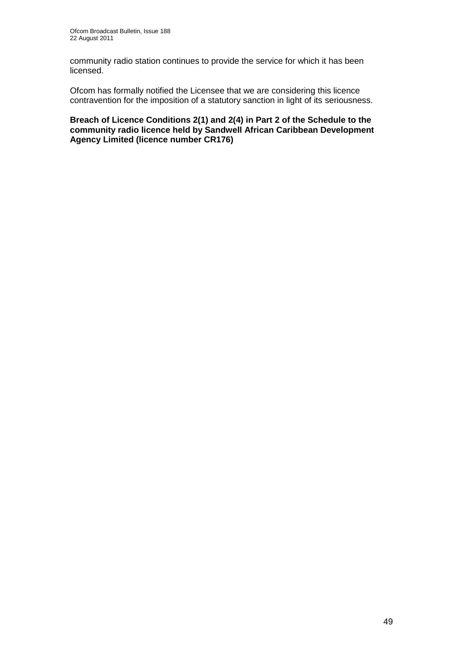community radio station continues to provide the service for which it has been licensed.

Ofcom has formally notified the Licensee that we are considering this licence contravention for the imposition of a statutory sanction in light of its seriousness.

**Breach of Licence Conditions 2(1) and 2(4) in Part 2 of the Schedule to the community radio licence held by Sandwell African Caribbean Development Agency Limited (licence number CR176)**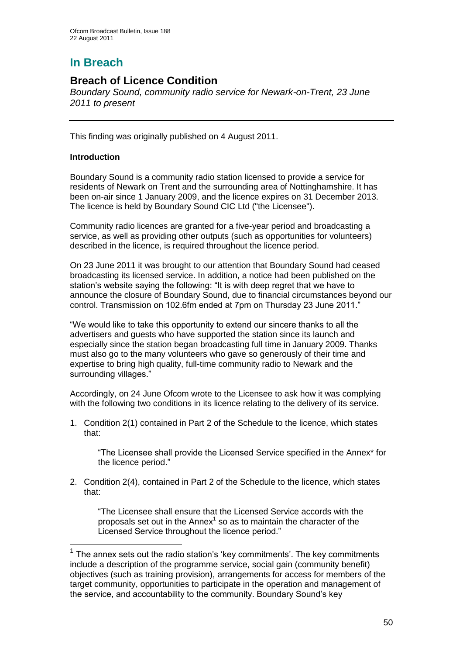# **In Breach**

## **Breach of Licence Condition**

*Boundary Sound, community radio service for Newark-on-Trent, 23 June 2011 to present*

This finding was originally published on 4 August 2011.

#### **Introduction**

<u>.</u>

Boundary Sound is a community radio station licensed to provide a service for residents of Newark on Trent and the surrounding area of Nottinghamshire. It has been on-air since 1 January 2009, and the licence expires on 31 December 2013. The licence is held by Boundary Sound CIC Ltd ("the Licensee").

Community radio licences are granted for a five-year period and broadcasting a service, as well as providing other outputs (such as opportunities for volunteers) described in the licence, is required throughout the licence period.

On 23 June 2011 it was brought to our attention that Boundary Sound had ceased broadcasting its licensed service. In addition, a notice had been published on the station's website saying the following: "It is with deep regret that we have to announce the closure of Boundary Sound, due to financial circumstances beyond our control. Transmission on 102.6fm ended at 7pm on Thursday 23 June 2011."

"We would like to take this opportunity to extend our sincere thanks to all the advertisers and guests who have supported the station since its launch and especially since the station began broadcasting full time in January 2009. Thanks must also go to the many volunteers who gave so generously of their time and expertise to bring high quality, full-time community radio to Newark and the surrounding villages."

Accordingly, on 24 June Ofcom wrote to the Licensee to ask how it was complying with the following two conditions in its licence relating to the delivery of its service.

1. Condition 2(1) contained in Part 2 of the Schedule to the licence, which states that:

"The Licensee shall provide the Licensed Service specified in the Annex\* for the licence period."

2. Condition 2(4), contained in Part 2 of the Schedule to the licence, which states that:

"The Licensee shall ensure that the Licensed Service accords with the proposals set out in the Annex $<sup>1</sup>$  so as to maintain the character of the</sup> Licensed Service throughout the licence period."

 $<sup>1</sup>$  The annex sets out the radio station's 'key commitments'. The key commitments</sup> include a description of the programme service, social gain (community benefit) objectives (such as training provision), arrangements for access for members of the target community, opportunities to participate in the operation and management of the service, and accountability to the community. Boundary Sound"s key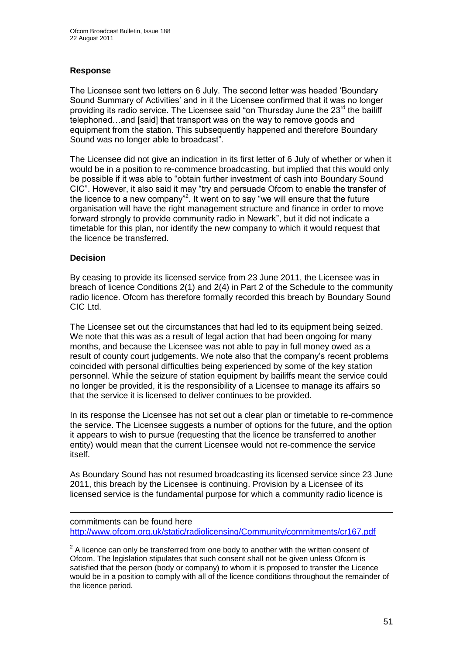#### **Response**

The Licensee sent two letters on 6 July. The second letter was headed "Boundary Sound Summary of Activities" and in it the Licensee confirmed that it was no longer providing its radio service. The Licensee said "on Thursday June the  $23<sup>rd</sup>$  the bailiff telephoned…and [said] that transport was on the way to remove goods and equipment from the station. This subsequently happened and therefore Boundary Sound was no longer able to broadcast".

The Licensee did not give an indication in its first letter of 6 July of whether or when it would be in a position to re-commence broadcasting, but implied that this would only be possible if it was able to "obtain further investment of cash into Boundary Sound CIC". However, it also said it may "try and persuade Ofcom to enable the transfer of the licence to a new company<sup>"2</sup>. It went on to say "we will ensure that the future organisation will have the right management structure and finance in order to move forward strongly to provide community radio in Newark", but it did not indicate a timetable for this plan, nor identify the new company to which it would request that the licence be transferred.

#### **Decision**

1

By ceasing to provide its licensed service from 23 June 2011, the Licensee was in breach of licence Conditions 2(1) and 2(4) in Part 2 of the Schedule to the community radio licence. Ofcom has therefore formally recorded this breach by Boundary Sound CIC Ltd.

The Licensee set out the circumstances that had led to its equipment being seized. We note that this was as a result of legal action that had been ongoing for many months, and because the Licensee was not able to pay in full money owed as a result of county court judgements. We note also that the company"s recent problems coincided with personal difficulties being experienced by some of the key station personnel. While the seizure of station equipment by bailiffs meant the service could no longer be provided, it is the responsibility of a Licensee to manage its affairs so that the service it is licensed to deliver continues to be provided.

In its response the Licensee has not set out a clear plan or timetable to re-commence the service. The Licensee suggests a number of options for the future, and the option it appears to wish to pursue (requesting that the licence be transferred to another entity) would mean that the current Licensee would not re-commence the service itself.

As Boundary Sound has not resumed broadcasting its licensed service since 23 June 2011, this breach by the Licensee is continuing. Provision by a Licensee of its licensed service is the fundamental purpose for which a community radio licence is

commitments can be found here <http://www.ofcom.org.uk/static/radiolicensing/Community/commitments/cr167.pdf>

 $2^2$  A licence can only be transferred from one body to another with the written consent of Ofcom. The legislation stipulates that such consent shall not be given unless Ofcom is satisfied that the person (body or company) to whom it is proposed to transfer the Licence would be in a position to comply with all of the licence conditions throughout the remainder of the licence period.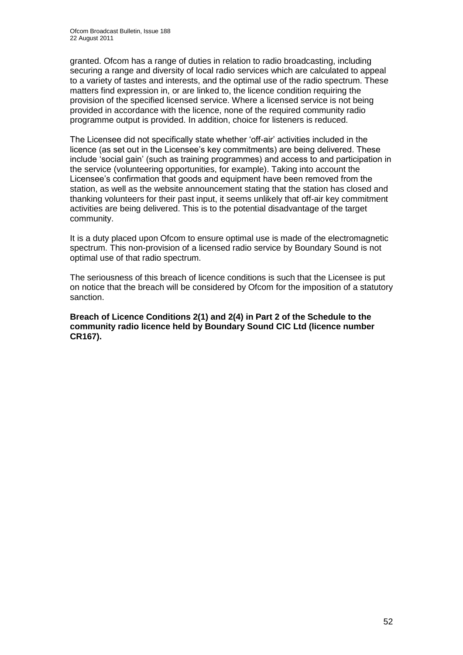granted. Ofcom has a range of duties in relation to radio broadcasting, including securing a range and diversity of local radio services which are calculated to appeal to a variety of tastes and interests, and the optimal use of the radio spectrum. These matters find expression in, or are linked to, the licence condition requiring the provision of the specified licensed service. Where a licensed service is not being provided in accordance with the licence, none of the required community radio programme output is provided. In addition, choice for listeners is reduced.

The Licensee did not specifically state whether "off-air" activities included in the licence (as set out in the Licensee's key commitments) are being delivered. These include "social gain" (such as training programmes) and access to and participation in the service (volunteering opportunities, for example). Taking into account the Licensee"s confirmation that goods and equipment have been removed from the station, as well as the website announcement stating that the station has closed and thanking volunteers for their past input, it seems unlikely that off-air key commitment activities are being delivered. This is to the potential disadvantage of the target community.

It is a duty placed upon Ofcom to ensure optimal use is made of the electromagnetic spectrum. This non-provision of a licensed radio service by Boundary Sound is not optimal use of that radio spectrum.

The seriousness of this breach of licence conditions is such that the Licensee is put on notice that the breach will be considered by Ofcom for the imposition of a statutory sanction.

**Breach of Licence Conditions 2(1) and 2(4) in Part 2 of the Schedule to the community radio licence held by Boundary Sound CIC Ltd (licence number CR167).**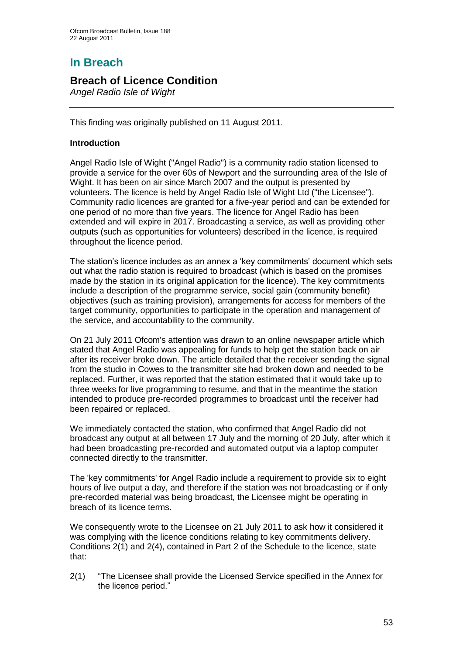# **In Breach**

## **Breach of Licence Condition**

*Angel Radio Isle of Wight*

This finding was originally published on 11 August 2011.

#### **Introduction**

Angel Radio Isle of Wight ("Angel Radio") is a community radio station licensed to provide a service for the over 60s of Newport and the surrounding area of the Isle of Wight. It has been on air since March 2007 and the output is presented by volunteers. The licence is held by Angel Radio Isle of Wight Ltd ("the Licensee"). Community radio licences are granted for a five-year period and can be extended for one period of no more than five years. The licence for Angel Radio has been extended and will expire in 2017. Broadcasting a service, as well as providing other outputs (such as opportunities for volunteers) described in the licence, is required throughout the licence period.

The station"s licence includes as an annex a "key commitments" document which sets out what the radio station is required to broadcast (which is based on the promises made by the station in its original application for the licence). The key commitments include a description of the programme service, social gain (community benefit) objectives (such as training provision), arrangements for access for members of the target community, opportunities to participate in the operation and management of the service, and accountability to the community.

On 21 July 2011 Ofcom's attention was drawn to an online newspaper article which stated that Angel Radio was appealing for funds to help get the station back on air after its receiver broke down. The article detailed that the receiver sending the signal from the studio in Cowes to the transmitter site had broken down and needed to be replaced. Further, it was reported that the station estimated that it would take up to three weeks for live programming to resume, and that in the meantime the station intended to produce pre-recorded programmes to broadcast until the receiver had been repaired or replaced.

We immediately contacted the station, who confirmed that Angel Radio did not broadcast any output at all between 17 July and the morning of 20 July, after which it had been broadcasting pre-recorded and automated output via a laptop computer connected directly to the transmitter.

The 'key commitments' for Angel Radio include a requirement to provide six to eight hours of live output a day, and therefore if the station was not broadcasting or if only pre-recorded material was being broadcast, the Licensee might be operating in breach of its licence terms.

We consequently wrote to the Licensee on 21 July 2011 to ask how it considered it was complying with the licence conditions relating to key commitments delivery. Conditions 2(1) and 2(4), contained in Part 2 of the Schedule to the licence, state that:

2(1) "The Licensee shall provide the Licensed Service specified in the Annex for the licence period."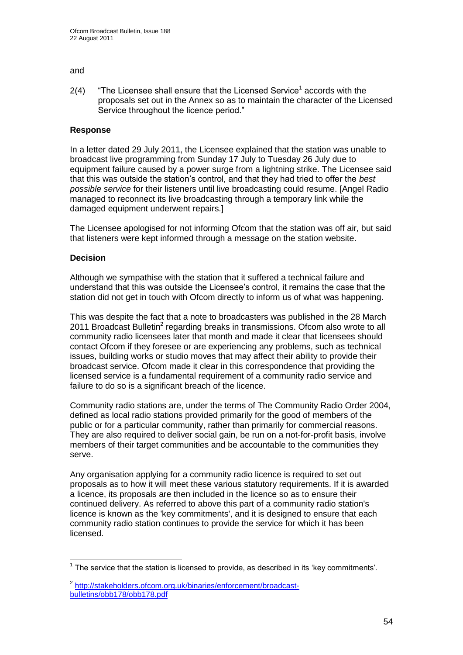#### and

 $2(4)$  "The Licensee shall ensure that the Licensed Service<sup>1</sup> accords with the proposals set out in the Annex so as to maintain the character of the Licensed Service throughout the licence period."

#### **Response**

In a letter dated 29 July 2011, the Licensee explained that the station was unable to broadcast live programming from Sunday 17 July to Tuesday 26 July due to equipment failure caused by a power surge from a lightning strike. The Licensee said that this was outside the station"s control, and that they had tried to offer the *best possible service* for their listeners until live broadcasting could resume. [Angel Radio managed to reconnect its live broadcasting through a temporary link while the damaged equipment underwent repairs.]

The Licensee apologised for not informing Ofcom that the station was off air, but said that listeners were kept informed through a message on the station website.

#### **Decision**

1

Although we sympathise with the station that it suffered a technical failure and understand that this was outside the Licensee"s control, it remains the case that the station did not get in touch with Ofcom directly to inform us of what was happening.

This was despite the fact that a note to broadcasters was published in the 28 March 2011 Broadcast Bulletin<sup>2</sup> regarding breaks in transmissions. Ofcom also wrote to all community radio licensees later that month and made it clear that licensees should contact Ofcom if they foresee or are experiencing any problems, such as technical issues, building works or studio moves that may affect their ability to provide their broadcast service. Ofcom made it clear in this correspondence that providing the licensed service is a fundamental requirement of a community radio service and failure to do so is a significant breach of the licence.

Community radio stations are, under the terms of The Community Radio Order 2004, defined as local radio stations provided primarily for the good of members of the public or for a particular community, rather than primarily for commercial reasons. They are also required to deliver social gain, be run on a not-for-profit basis, involve members of their target communities and be accountable to the communities they serve.

Any organisation applying for a community radio licence is required to set out proposals as to how it will meet these various statutory requirements. If it is awarded a licence, its proposals are then included in the licence so as to ensure their continued delivery. As referred to above this part of a community radio station's licence is known as the 'key commitments', and it is designed to ensure that each community radio station continues to provide the service for which it has been licensed.

 $1$  The service that the station is licensed to provide, as described in its 'key commitments'.

<sup>&</sup>lt;sup>2</sup> [http://stakeholders.ofcom.org.uk/binaries/enforcement/broadcast](http://stakeholders.ofcom.org.uk/binaries/enforcement/broadcast-bulletins/obb178/obb178.pdf)[bulletins/obb178/obb178.pdf](http://stakeholders.ofcom.org.uk/binaries/enforcement/broadcast-bulletins/obb178/obb178.pdf)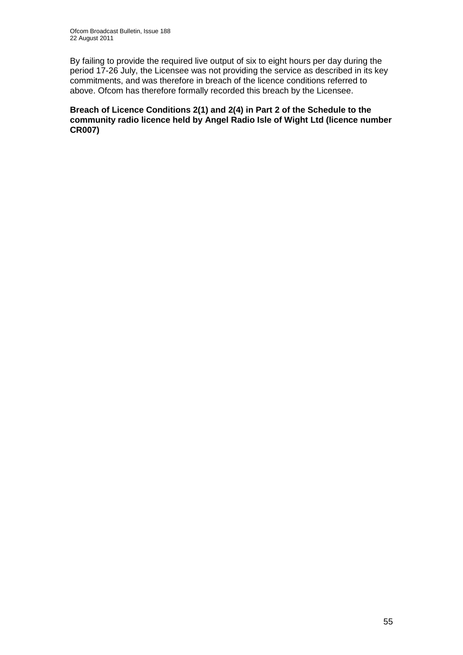By failing to provide the required live output of six to eight hours per day during the period 17-26 July, the Licensee was not providing the service as described in its key commitments, and was therefore in breach of the licence conditions referred to above. Ofcom has therefore formally recorded this breach by the Licensee.

**Breach of Licence Conditions 2(1) and 2(4) in Part 2 of the Schedule to the community radio licence held by Angel Radio Isle of Wight Ltd (licence number CR007)**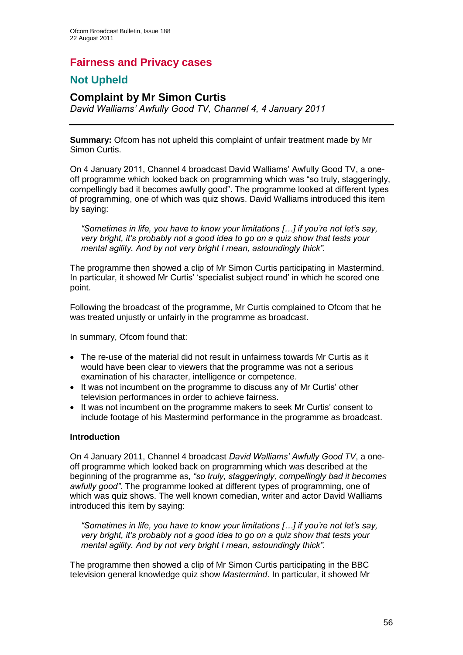## **Fairness and Privacy cases**

## **Not Upheld**

### **Complaint by Mr Simon Curtis**

*David Walliams' Awfully Good TV, Channel 4, 4 January 2011*

**Summary:** Ofcom has not upheld this complaint of unfair treatment made by Mr Simon Curtis.

On 4 January 2011, Channel 4 broadcast David Walliams" Awfully Good TV, a oneoff programme which looked back on programming which was "so truly, staggeringly, compellingly bad it becomes awfully good". The programme looked at different types of programming, one of which was quiz shows. David Walliams introduced this item by saying:

*"Sometimes in life, you have to know your limitations […] if you're not let's say, very bright, it's probably not a good idea to go on a quiz show that tests your mental agility. And by not very bright I mean, astoundingly thick".*

The programme then showed a clip of Mr Simon Curtis participating in Mastermind. In particular, it showed Mr Curtis" "specialist subject round" in which he scored one point.

Following the broadcast of the programme, Mr Curtis complained to Ofcom that he was treated unjustly or unfairly in the programme as broadcast.

In summary, Ofcom found that:

- The re-use of the material did not result in unfairness towards Mr Curtis as it would have been clear to viewers that the programme was not a serious examination of his character, intelligence or competence.
- It was not incumbent on the programme to discuss any of Mr Curtis' other television performances in order to achieve fairness.
- It was not incumbent on the programme makers to seek Mr Curtis' consent to include footage of his Mastermind performance in the programme as broadcast.

#### **Introduction**

On 4 January 2011, Channel 4 broadcast *David Walliams' Awfully Good TV*, a oneoff programme which looked back on programming which was described at the beginning of the programme as, *"so truly, staggeringly, compellingly bad it becomes awfully good".* The programme looked at different types of programming, one of which was quiz shows. The well known comedian, writer and actor David Walliams introduced this item by saying:

*"Sometimes in life, you have to know your limitations […] if you're not let's say, very bright, it's probably not a good idea to go on a quiz show that tests your mental agility. And by not very bright I mean, astoundingly thick".*

The programme then showed a clip of Mr Simon Curtis participating in the BBC television general knowledge quiz show *Mastermind*. In particular, it showed Mr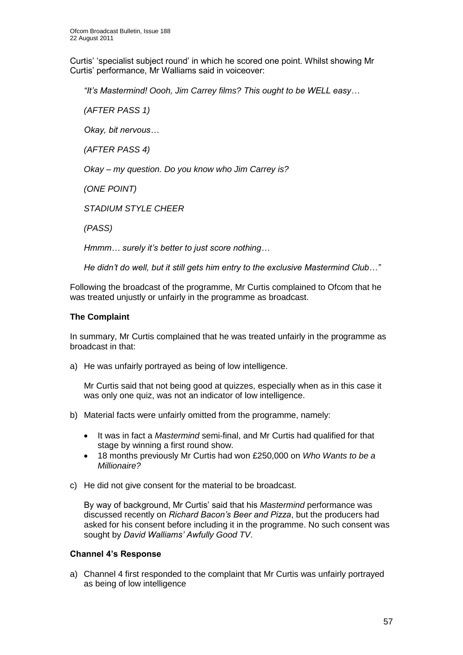Curtis" "specialist subject round" in which he scored one point. Whilst showing Mr Curtis" performance, Mr Walliams said in voiceover:

*"It's Mastermind! Oooh, Jim Carrey films? This ought to be WELL easy…*

*(AFTER PASS 1)*

*Okay, bit nervous…*

*(AFTER PASS 4)*

*Okay – my question. Do you know who Jim Carrey is?*

*(ONE POINT)*

*STADIUM STYLE CHEER*

*(PASS)*

*Hmmm… surely it's better to just score nothing…*

*He didn't do well, but it still gets him entry to the exclusive Mastermind Club…"*

Following the broadcast of the programme, Mr Curtis complained to Ofcom that he was treated unjustly or unfairly in the programme as broadcast.

#### **The Complaint**

In summary, Mr Curtis complained that he was treated unfairly in the programme as broadcast in that:

a) He was unfairly portrayed as being of low intelligence.

Mr Curtis said that not being good at quizzes, especially when as in this case it was only one quiz, was not an indicator of low intelligence.

- b) Material facts were unfairly omitted from the programme, namely:
	- It was in fact a *Mastermind* semi-final, and Mr Curtis had qualified for that stage by winning a first round show.
	- 18 months previously Mr Curtis had won £250,000 on *Who Wants to be a Millionaire?*
- c) He did not give consent for the material to be broadcast.

By way of background, Mr Curtis" said that his *Mastermind* performance was discussed recently on *Richard Bacon's Beer and Pizza*, but the producers had asked for his consent before including it in the programme. No such consent was sought by *David Walliams' Awfully Good TV*.

#### **Channel 4's Response**

a) Channel 4 first responded to the complaint that Mr Curtis was unfairly portrayed as being of low intelligence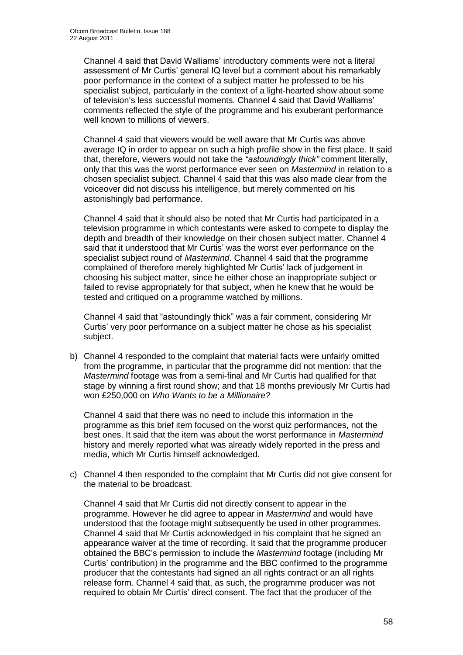Channel 4 said that David Walliams" introductory comments were not a literal assessment of Mr Curtis" general IQ level but a comment about his remarkably poor performance in the context of a subject matter he professed to be his specialist subject, particularly in the context of a light-hearted show about some of television"s less successful moments. Channel 4 said that David Walliams" comments reflected the style of the programme and his exuberant performance well known to millions of viewers.

Channel 4 said that viewers would be well aware that Mr Curtis was above average IQ in order to appear on such a high profile show in the first place. It said that, therefore, viewers would not take the *"astoundingly thick"* comment literally, only that this was the worst performance ever seen on *Mastermind* in relation to a chosen specialist subject. Channel 4 said that this was also made clear from the voiceover did not discuss his intelligence, but merely commented on his astonishingly bad performance.

Channel 4 said that it should also be noted that Mr Curtis had participated in a television programme in which contestants were asked to compete to display the depth and breadth of their knowledge on their chosen subject matter. Channel 4 said that it understood that Mr Curtis' was the worst ever performance on the specialist subject round of *Mastermind*. Channel 4 said that the programme complained of therefore merely highlighted Mr Curtis" lack of judgement in choosing his subject matter, since he either chose an inappropriate subject or failed to revise appropriately for that subject, when he knew that he would be tested and critiqued on a programme watched by millions.

Channel 4 said that "astoundingly thick" was a fair comment, considering Mr Curtis" very poor performance on a subject matter he chose as his specialist subject.

b) Channel 4 responded to the complaint that material facts were unfairly omitted from the programme, in particular that the programme did not mention: that the *Mastermind* footage was from a semi-final and Mr Curtis had qualified for that stage by winning a first round show; and that 18 months previously Mr Curtis had won £250,000 on *Who Wants to be a Millionaire?* 

Channel 4 said that there was no need to include this information in the programme as this brief item focused on the worst quiz performances, not the best ones. It said that the item was about the worst performance in *Mastermind* history and merely reported what was already widely reported in the press and media, which Mr Curtis himself acknowledged.

c) Channel 4 then responded to the complaint that Mr Curtis did not give consent for the material to be broadcast.

Channel 4 said that Mr Curtis did not directly consent to appear in the programme. However he did agree to appear in *Mastermind* and would have understood that the footage might subsequently be used in other programmes. Channel 4 said that Mr Curtis acknowledged in his complaint that he signed an appearance waiver at the time of recording. It said that the programme producer obtained the BBC"s permission to include the *Mastermind* footage (including Mr Curtis" contribution) in the programme and the BBC confirmed to the programme producer that the contestants had signed an all rights contract or an all rights release form. Channel 4 said that, as such, the programme producer was not required to obtain Mr Curtis" direct consent. The fact that the producer of the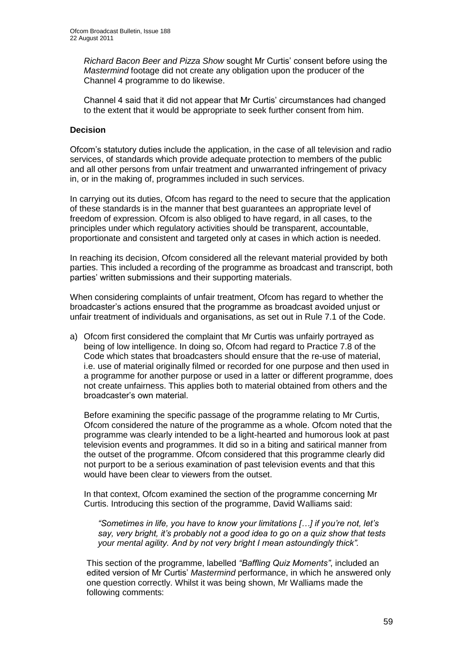*Richard Bacon Beer and Pizza Show* sought Mr Curtis" consent before using the *Mastermind* footage did not create any obligation upon the producer of the Channel 4 programme to do likewise.

Channel 4 said that it did not appear that Mr Curtis" circumstances had changed to the extent that it would be appropriate to seek further consent from him.

#### **Decision**

Ofcom"s statutory duties include the application, in the case of all television and radio services, of standards which provide adequate protection to members of the public and all other persons from unfair treatment and unwarranted infringement of privacy in, or in the making of, programmes included in such services.

In carrying out its duties, Ofcom has regard to the need to secure that the application of these standards is in the manner that best guarantees an appropriate level of freedom of expression. Ofcom is also obliged to have regard, in all cases, to the principles under which regulatory activities should be transparent, accountable, proportionate and consistent and targeted only at cases in which action is needed.

In reaching its decision, Ofcom considered all the relevant material provided by both parties. This included a recording of the programme as broadcast and transcript, both parties" written submissions and their supporting materials.

When considering complaints of unfair treatment, Ofcom has regard to whether the broadcaster"s actions ensured that the programme as broadcast avoided unjust or unfair treatment of individuals and organisations, as set out in Rule 7.1 of the Code.

a) Ofcom first considered the complaint that Mr Curtis was unfairly portrayed as being of low intelligence. In doing so, Ofcom had regard to Practice 7.8 of the Code which states that broadcasters should ensure that the re-use of material, i.e. use of material originally filmed or recorded for one purpose and then used in a programme for another purpose or used in a latter or different programme, does not create unfairness. This applies both to material obtained from others and the broadcaster"s own material.

Before examining the specific passage of the programme relating to Mr Curtis, Ofcom considered the nature of the programme as a whole. Ofcom noted that the programme was clearly intended to be a light-hearted and humorous look at past television events and programmes. It did so in a biting and satirical manner from the outset of the programme. Ofcom considered that this programme clearly did not purport to be a serious examination of past television events and that this would have been clear to viewers from the outset.

In that context, Ofcom examined the section of the programme concerning Mr Curtis. Introducing this section of the programme, David Walliams said:

*"Sometimes in life, you have to know your limitations […] if you're not, let's say, very bright, it's probably not a good idea to go on a quiz show that tests your mental agility. And by not very bright I mean astoundingly thick".*

This section of the programme, labelled *"Baffling Quiz Moments"*, included an edited version of Mr Curtis" *Mastermind* performance, in which he answered only one question correctly. Whilst it was being shown, Mr Walliams made the following comments: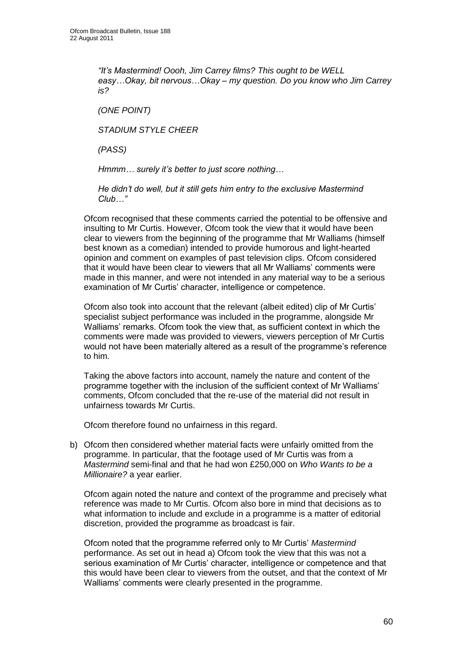*"It's Mastermind! Oooh, Jim Carrey films? This ought to be WELL easy…Okay, bit nervous…Okay – my question. Do you know who Jim Carrey is?*

*(ONE POINT)*

*STADIUM STYLE CHEER*

*(PASS)*

*Hmmm… surely it's better to just score nothing…*

*He didn't do well, but it still gets him entry to the exclusive Mastermind Club…"*

Ofcom recognised that these comments carried the potential to be offensive and insulting to Mr Curtis. However, Ofcom took the view that it would have been clear to viewers from the beginning of the programme that Mr Walliams (himself best known as a comedian) intended to provide humorous and light-hearted opinion and comment on examples of past television clips. Ofcom considered that it would have been clear to viewers that all Mr Walliams" comments were made in this manner, and were not intended in any material way to be a serious examination of Mr Curtis' character, intelligence or competence.

Ofcom also took into account that the relevant (albeit edited) clip of Mr Curtis" specialist subject performance was included in the programme, alongside Mr Walliams' remarks. Ofcom took the view that, as sufficient context in which the comments were made was provided to viewers, viewers perception of Mr Curtis would not have been materially altered as a result of the programme"s reference to him.

Taking the above factors into account, namely the nature and content of the programme together with the inclusion of the sufficient context of Mr Walliams" comments, Ofcom concluded that the re-use of the material did not result in unfairness towards Mr Curtis.

Ofcom therefore found no unfairness in this regard.

b) Ofcom then considered whether material facts were unfairly omitted from the programme. In particular, that the footage used of Mr Curtis was from a *Mastermind* semi-final and that he had won £250,000 on *Who Wants to be a Millionaire?* a year earlier.

Ofcom again noted the nature and context of the programme and precisely what reference was made to Mr Curtis. Ofcom also bore in mind that decisions as to what information to include and exclude in a programme is a matter of editorial discretion, provided the programme as broadcast is fair.

Ofcom noted that the programme referred only to Mr Curtis" *Mastermind* performance. As set out in head a) Ofcom took the view that this was not a serious examination of Mr Curtis" character, intelligence or competence and that this would have been clear to viewers from the outset, and that the context of Mr Walliams" comments were clearly presented in the programme.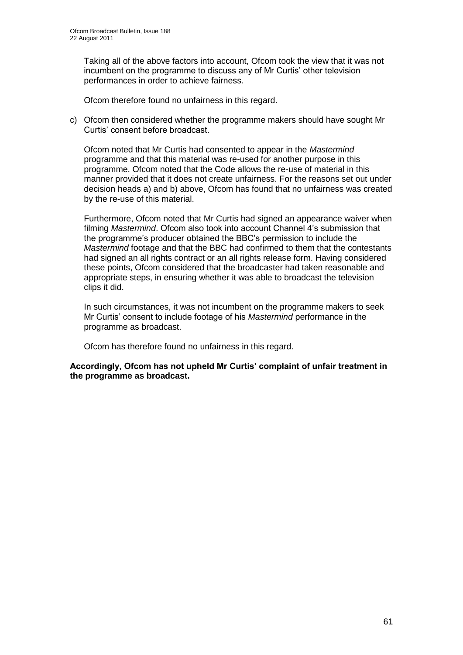Taking all of the above factors into account, Ofcom took the view that it was not incumbent on the programme to discuss any of Mr Curtis" other television performances in order to achieve fairness.

Ofcom therefore found no unfairness in this regard.

c) Ofcom then considered whether the programme makers should have sought Mr Curtis" consent before broadcast.

Ofcom noted that Mr Curtis had consented to appear in the *Mastermind* programme and that this material was re-used for another purpose in this programme. Ofcom noted that the Code allows the re-use of material in this manner provided that it does not create unfairness. For the reasons set out under decision heads a) and b) above, Ofcom has found that no unfairness was created by the re-use of this material.

Furthermore, Ofcom noted that Mr Curtis had signed an appearance waiver when filming *Mastermind*. Ofcom also took into account Channel 4"s submission that the programme"s producer obtained the BBC"s permission to include the *Mastermind* footage and that the BBC had confirmed to them that the contestants had signed an all rights contract or an all rights release form. Having considered these points, Ofcom considered that the broadcaster had taken reasonable and appropriate steps, in ensuring whether it was able to broadcast the television clips it did.

In such circumstances, it was not incumbent on the programme makers to seek Mr Curtis" consent to include footage of his *Mastermind* performance in the programme as broadcast.

Ofcom has therefore found no unfairness in this regard.

**Accordingly, Ofcom has not upheld Mr Curtis' complaint of unfair treatment in the programme as broadcast.**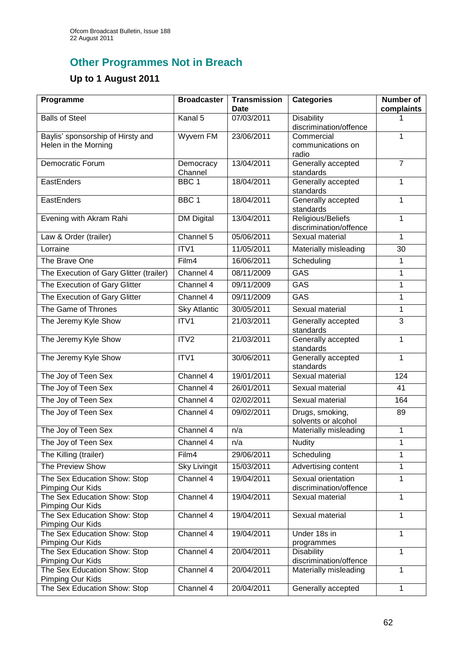# **Other Programmes Not in Breach**

## **Up to 1 August 2011**

| Programme                                                 | <b>Broadcaster</b>   | <b>Transmission</b><br><b>Date</b> | <b>Categories</b>                            | <b>Number of</b><br>complaints |
|-----------------------------------------------------------|----------------------|------------------------------------|----------------------------------------------|--------------------------------|
| <b>Balls of Steel</b>                                     | Kanal 5              | 07/03/2011                         | Disability<br>discrimination/offence         |                                |
| Baylis' sponsorship of Hirsty and<br>Helen in the Morning | Wyvern FM            | 23/06/2011                         | Commercial<br>communications on<br>radio     | 1                              |
| Democratic Forum                                          | Democracy<br>Channel | 13/04/2011                         | Generally accepted<br>standards              | $\overline{7}$                 |
| EastEnders                                                | BBC <sub>1</sub>     | 18/04/2011                         | Generally accepted<br>standards              | $\mathbf{1}$                   |
| EastEnders                                                | BBC <sub>1</sub>     | 18/04/2011                         | Generally accepted<br>standards              | $\mathbf{1}$                   |
| Evening with Akram Rahi                                   | <b>DM Digital</b>    | 13/04/2011                         | Religious/Beliefs<br>discrimination/offence  | 1                              |
| Law & Order (trailer)                                     | Channel 5            | 05/06/2011                         | Sexual material                              | $\mathbf{1}$                   |
| Lorraine                                                  | ITV1                 | 11/05/2011                         | Materially misleading                        | 30                             |
| The Brave One                                             | Film4                | 16/06/2011                         | Scheduling                                   | 1                              |
| The Execution of Gary Glitter (trailer)                   | Channel 4            | 08/11/2009                         | GAS                                          | $\mathbf{1}$                   |
| The Execution of Gary Glitter                             | Channel 4            | 09/11/2009                         | <b>GAS</b>                                   | 1                              |
| The Execution of Gary Glitter                             | Channel 4            | 09/11/2009                         | <b>GAS</b>                                   | $\mathbf{1}$                   |
| The Game of Thrones                                       | <b>Sky Atlantic</b>  | 30/05/2011                         | Sexual material                              | $\mathbf{1}$                   |
| The Jeremy Kyle Show                                      | ITV1                 | 21/03/2011                         | Generally accepted<br>standards              | 3                              |
| The Jeremy Kyle Show                                      | ITV2                 | 21/03/2011                         | Generally accepted<br>standards              | $\mathbf{1}$                   |
| The Jeremy Kyle Show                                      | ITV1                 | 30/06/2011                         | Generally accepted<br>standards              | 1                              |
| The Joy of Teen Sex                                       | Channel 4            | 19/01/2011                         | Sexual material                              | 124                            |
| The Joy of Teen Sex                                       | Channel 4            | 26/01/2011                         | Sexual material                              | 41                             |
| The Joy of Teen Sex                                       | Channel 4            | 02/02/2011                         | Sexual material                              | 164                            |
| The Joy of Teen Sex                                       | Channel 4            | 09/02/2011                         | Drugs, smoking,<br>solvents or alcohol       | 89                             |
| The Joy of Teen Sex                                       | Channel 4            | n/a                                | Materially misleading                        | $\mathbf 1$                    |
| The Joy of Teen Sex                                       | Channel 4            | n/a                                | Nudity                                       | $\mathbf 1$                    |
| The Killing (trailer)                                     | Film4                | 29/06/2011                         | Scheduling                                   | 1                              |
| The Preview Show                                          | <b>Sky Livingit</b>  | 15/03/2011                         | Advertising content                          | $\mathbf{1}$                   |
| The Sex Education Show: Stop<br>Pimping Our Kids          | Channel 4            | 19/04/2011                         | Sexual orientation<br>discrimination/offence | 1                              |
| The Sex Education Show: Stop<br>Pimping Our Kids          | Channel 4            | 19/04/2011                         | Sexual material                              | $\mathbf{1}$                   |
| The Sex Education Show: Stop<br>Pimping Our Kids          | Channel 4            | 19/04/2011                         | Sexual material                              | 1                              |
| The Sex Education Show: Stop<br>Pimping Our Kids          | Channel 4            | 19/04/2011                         | Under 18s in<br>programmes                   | $\mathbf{1}$                   |
| The Sex Education Show: Stop<br>Pimping Our Kids          | Channel 4            | 20/04/2011                         | <b>Disability</b><br>discrimination/offence  | $\mathbf{1}$                   |
| The Sex Education Show: Stop<br>Pimping Our Kids          | Channel 4            | 20/04/2011                         | Materially misleading                        | 1                              |
| The Sex Education Show: Stop                              | Channel 4            | 20/04/2011                         | Generally accepted                           | 1                              |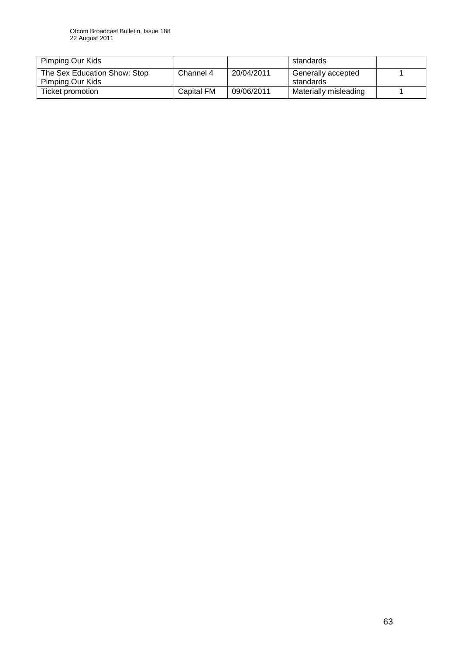| Pimping Our Kids                                 |                   |            | standards                       |  |
|--------------------------------------------------|-------------------|------------|---------------------------------|--|
| The Sex Education Show: Stop<br>Pimping Our Kids | Channel 4         | 20/04/2011 | Generally accepted<br>standards |  |
| Ticket promotion                                 | <b>Capital FM</b> | 09/06/2011 | Materially misleading           |  |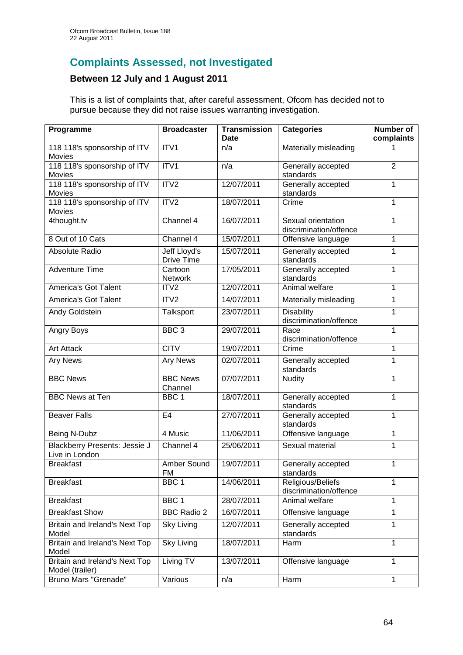## **Complaints Assessed, not Investigated**

## **Between 12 July and 1 August 2011**

This is a list of complaints that, after careful assessment, Ofcom has decided not to pursue because they did not raise issues warranting investigation.

| Programme                                         | <b>Broadcaster</b>         | <b>Transmission</b><br><b>Date</b> | <b>Categories</b>                            | <b>Number of</b><br>complaints |
|---------------------------------------------------|----------------------------|------------------------------------|----------------------------------------------|--------------------------------|
| 118 118's sponsorship of ITV<br>Movies            | ITV1                       | n/a                                | Materially misleading                        |                                |
| 118 118's sponsorship of ITV<br>Movies            | ITV1                       | n/a                                | Generally accepted<br>standards              | $\overline{2}$                 |
| 118 118's sponsorship of ITV<br>Movies            | ITV2                       | 12/07/2011                         | Generally accepted<br>standards              | 1                              |
| 118 118's sponsorship of ITV<br>Movies            | ITV2                       | 18/07/2011                         | Crime                                        | 1                              |
| 4thought.tv                                       | Channel 4                  | 16/07/2011                         | Sexual orientation<br>discrimination/offence | 1                              |
| 8 Out of 10 Cats                                  | Channel 4                  | 15/07/2011                         | Offensive language                           | 1                              |
| Absolute Radio                                    | Jeff Lloyd's<br>Drive Time | 15/07/2011                         | Generally accepted<br>standards              | 1                              |
| <b>Adventure Time</b>                             | Cartoon<br>Network         | 17/05/2011                         | Generally accepted<br>standards              | 1                              |
| <b>America's Got Talent</b>                       | ITV2                       | 12/07/2011                         | Animal welfare                               | $\mathbf{1}$                   |
| <b>America's Got Talent</b>                       | ITV2                       | 14/07/2011                         | Materially misleading                        | $\mathbf 1$                    |
| Andy Goldstein                                    | Talksport                  | 23/07/2011                         | <b>Disability</b><br>discrimination/offence  | 1                              |
| Angry Boys                                        | BBC <sub>3</sub>           | 29/07/2011                         | Race<br>discrimination/offence               | 1                              |
| <b>Art Attack</b>                                 | <b>CITV</b>                | 19/07/2011                         | Crime                                        | 1                              |
| <b>Ary News</b>                                   | <b>Ary News</b>            | 02/07/2011                         | Generally accepted<br>standards              | 1                              |
| <b>BBC News</b>                                   | <b>BBC News</b><br>Channel | 07/07/2011                         | <b>Nudity</b>                                | 1                              |
| <b>BBC News at Ten</b>                            | BBC <sub>1</sub>           | 18/07/2011                         | Generally accepted<br>standards              | 1                              |
| <b>Beaver Falls</b>                               | E <sub>4</sub>             | 27/07/2011                         | Generally accepted<br>standards              | 1                              |
| Being N-Dubz                                      | 4 Music                    | 11/06/2011                         | Offensive language                           | 1                              |
| Blackberry Presents: Jessie J<br>Live in London   | Channel 4                  | 25/06/2011                         | Sexual material                              | 1                              |
| <b>Breakfast</b>                                  | Amber Sound<br>FM          | 19/07/2011                         | Generally accepted<br>standards              | 1                              |
| <b>Breakfast</b>                                  | BBC <sub>1</sub>           | 14/06/2011                         | Religious/Beliefs<br>discrimination/offence  | 1                              |
| <b>Breakfast</b>                                  | BBC <sub>1</sub>           | 28/07/2011                         | Animal welfare                               | 1                              |
| <b>Breakfast Show</b>                             | <b>BBC Radio 2</b>         | 16/07/2011                         | Offensive language                           | 1                              |
| Britain and Ireland's Next Top<br>Model           | <b>Sky Living</b>          | 12/07/2011                         | Generally accepted<br>standards              | 1                              |
| Britain and Ireland's Next Top<br>Model           | <b>Sky Living</b>          | 18/07/2011                         | Harm                                         | 1                              |
| Britain and Ireland's Next Top<br>Model (trailer) | Living TV                  | 13/07/2011                         | Offensive language                           | 1                              |
| Bruno Mars "Grenade"                              | Various                    | n/a                                | Harm                                         | 1                              |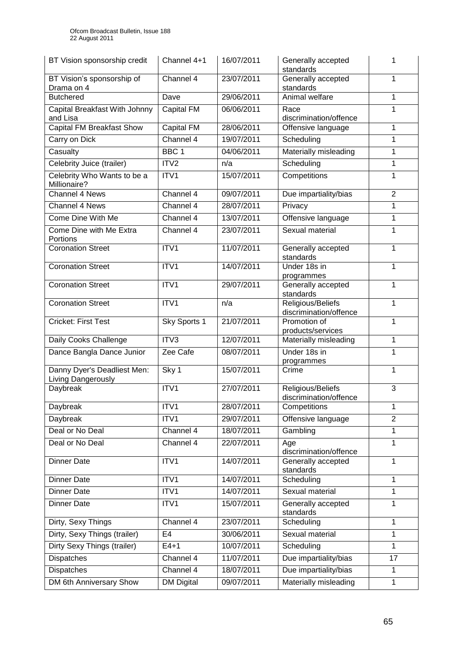| BT Vision sponsorship credit                      | Channel 4+1       | 16/07/2011 | Generally accepted<br>standards             | 1              |
|---------------------------------------------------|-------------------|------------|---------------------------------------------|----------------|
| BT Vision's sponsorship of<br>Drama on 4          | Channel 4         | 23/07/2011 | Generally accepted<br>standards             | 1              |
| <b>Butchered</b>                                  | Dave              | 29/06/2011 | Animal welfare                              | 1              |
| Capital Breakfast With Johnny<br>and Lisa         | <b>Capital FM</b> | 06/06/2011 | Race<br>discrimination/offence              | 1              |
| <b>Capital FM Breakfast Show</b>                  | <b>Capital FM</b> | 28/06/2011 | Offensive language                          | 1              |
| Carry on Dick                                     | Channel 4         | 19/07/2011 | Scheduling                                  | 1              |
| Casualty                                          | BBC <sub>1</sub>  | 04/06/2011 | Materially misleading                       | 1              |
| Celebrity Juice (trailer)                         | ITV2              | n/a        | Scheduling                                  | 1              |
| Celebrity Who Wants to be a<br>Millionaire?       | ITV1              | 15/07/2011 | Competitions                                | 1              |
| Channel 4 News                                    | Channel 4         | 09/07/2011 | Due impartiality/bias                       | $\overline{2}$ |
| Channel 4 News                                    | Channel 4         | 28/07/2011 | Privacy                                     | 1              |
| Come Dine With Me                                 | Channel 4         | 13/07/2011 | Offensive language                          | 1              |
| Come Dine with Me Extra<br>Portions               | Channel 4         | 23/07/2011 | Sexual material                             | 1              |
| <b>Coronation Street</b>                          | ITV1              | 11/07/2011 | Generally accepted<br>standards             | 1              |
| <b>Coronation Street</b>                          | ITV1              | 14/07/2011 | Under 18s in<br>programmes                  | $\mathbf{1}$   |
| <b>Coronation Street</b>                          | ITV1              | 29/07/2011 | Generally accepted<br>standards             | 1              |
| <b>Coronation Street</b>                          | ITV1              | n/a        | Religious/Beliefs<br>discrimination/offence | $\mathbf{1}$   |
| <b>Cricket: First Test</b>                        | Sky Sports 1      | 21/07/2011 | Promotion of<br>products/services           | 1              |
| Daily Cooks Challenge                             | ITV3              | 12/07/2011 | Materially misleading                       | 1              |
| Dance Bangla Dance Junior                         | Zee Cafe          | 08/07/2011 | Under 18s in<br>programmes                  | 1              |
| Danny Dyer's Deadliest Men:<br>Living Dangerously | Sky 1             | 15/07/2011 | Crime                                       | 1              |
| Daybreak                                          | ITV1              | 27/07/2011 | Religious/Beliefs<br>discrimination/offence | $\overline{3}$ |
| Daybreak                                          | ITV1              | 28/07/2011 | Competitions                                | 1              |
| Daybreak                                          | ITV1              | 29/07/2011 | Offensive language                          | $\overline{2}$ |
| Deal or No Deal                                   | Channel 4         | 18/07/2011 | Gambling                                    | 1              |
| Deal or No Deal                                   | Channel 4         | 22/07/2011 | Age<br>discrimination/offence               | 1              |
| <b>Dinner Date</b>                                | ITV1              | 14/07/2011 | Generally accepted<br>standards             | 1              |
| <b>Dinner Date</b>                                | ITV1              | 14/07/2011 | Scheduling                                  | 1              |
| <b>Dinner Date</b>                                | ITV1              | 14/07/2011 | Sexual material                             | 1              |
| <b>Dinner Date</b>                                | ITV1              | 15/07/2011 | Generally accepted<br>standards             | 1              |
| Dirty, Sexy Things                                | Channel 4         | 23/07/2011 | Scheduling                                  | 1              |
| Dirty, Sexy Things (trailer)                      | E <sub>4</sub>    | 30/06/2011 | Sexual material                             | 1              |
| Dirty Sexy Things (trailer)                       | $E4+1$            | 10/07/2011 | Scheduling                                  | $\mathbf{1}$   |
| <b>Dispatches</b>                                 | Channel 4         | 11/07/2011 | Due impartiality/bias                       | 17             |
| <b>Dispatches</b>                                 | Channel 4         | 18/07/2011 | Due impartiality/bias                       | 1              |
| DM 6th Anniversary Show                           | <b>DM Digital</b> | 09/07/2011 | Materially misleading                       | 1              |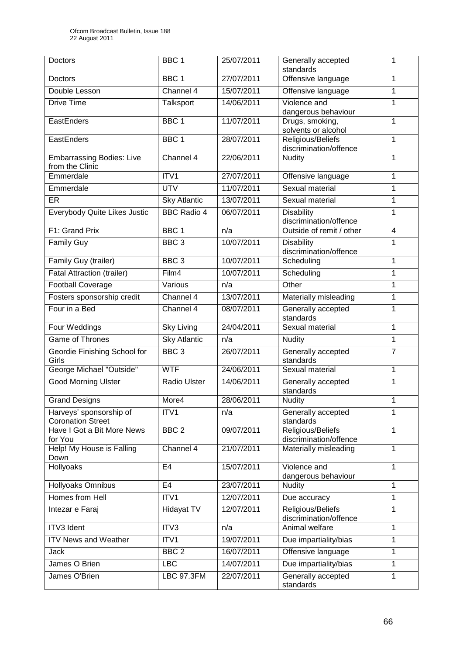| Doctors                                             | BBC <sub>1</sub>    | 25/07/2011 | Generally accepted<br>standards                  | 1                       |
|-----------------------------------------------------|---------------------|------------|--------------------------------------------------|-------------------------|
| Doctors                                             | BBC <sub>1</sub>    | 27/07/2011 | Offensive language                               | 1                       |
| Double Lesson                                       | Channel 4           | 15/07/2011 | Offensive language                               | 1                       |
| Drive Time                                          | Talksport           | 14/06/2011 | Violence and<br>dangerous behaviour              | 1                       |
| EastEnders                                          | BBC <sub>1</sub>    | 11/07/2011 | Drugs, smoking,<br>solvents or alcohol           | 1                       |
| EastEnders                                          | BBC <sub>1</sub>    | 28/07/2011 | Religious/Beliefs<br>discrimination/offence      |                         |
| <b>Embarrassing Bodies: Live</b><br>from the Clinic | Channel 4           | 22/06/2011 | Nudity                                           | 1                       |
| Emmerdale                                           | ITV1                | 27/07/2011 | Offensive language                               | $\mathbf{1}$            |
| Emmerdale                                           | <b>UTV</b>          | 11/07/2011 | Sexual material                                  | 1                       |
| ER                                                  | <b>Sky Atlantic</b> | 13/07/2011 | Sexual material                                  | 1                       |
| Everybody Quite Likes Justic                        | <b>BBC Radio 4</b>  | 06/07/2011 | <b>Disability</b><br>discrimination/offence      | 1                       |
| F1: Grand Prix                                      | BBC <sub>1</sub>    | n/a        | Outside of remit / other                         | $\overline{\mathbf{4}}$ |
| <b>Family Guy</b>                                   | BBC <sub>3</sub>    | 10/07/2011 | <b>Disability</b><br>discrimination/offence      | 1                       |
| Family Guy (trailer)                                | BBC <sub>3</sub>    | 10/07/2011 | Scheduling                                       | $\mathbf{1}$            |
| <b>Fatal Attraction (trailer)</b>                   | Film4               | 10/07/2011 | Scheduling                                       | 1                       |
| <b>Football Coverage</b>                            | Various             | n/a        | Other                                            | 1                       |
| Fosters sponsorship credit                          | Channel 4           | 13/07/2011 | Materially misleading                            | 1                       |
| Four in a Bed                                       | Channel 4           | 08/07/2011 | Generally accepted<br>standards                  | 1                       |
| Four Weddings                                       | <b>Sky Living</b>   | 24/04/2011 | Sexual material                                  | $\mathbf{1}$            |
| <b>Game of Thrones</b>                              | <b>Sky Atlantic</b> | n/a        | <b>Nudity</b>                                    | 1                       |
| Geordie Finishing School for<br>Girls               | BBC <sub>3</sub>    | 26/07/2011 | Generally accepted<br>standards                  | $\overline{7}$          |
| George Michael "Outside"                            | <b>WTF</b>          | 24/06/2011 | Sexual material<br>1                             |                         |
| <b>Good Morning Ulster</b>                          | Radio Ulster        | 14/06/2011 | Generally accepted<br>1<br>standards             |                         |
| <b>Grand Designs</b>                                | More4               | 28/06/2011 | <b>Nudity</b>                                    | 1                       |
| Harveys' sponsorship of<br><b>Coronation Street</b> | ITV1                | n/a        | Generally accepted<br>standards                  | 1                       |
| Have I Got a Bit More News<br>for You               | BBC <sub>2</sub>    | 09/07/2011 | Religious/Beliefs<br>1<br>discrimination/offence |                         |
| Help! My House is Falling<br>Down                   | Channel 4           | 21/07/2011 | Materially misleading<br>$\mathbf{1}$            |                         |
| Hollyoaks                                           | E <sub>4</sub>      | 15/07/2011 | Violence and<br>1<br>dangerous behaviour         |                         |
| Hollyoaks Omnibus                                   | E <sub>4</sub>      | 23/07/2011 | Nudity                                           | 1                       |
| Homes from Hell                                     | ITV1                | 12/07/2011 | 1<br>Due accuracy                                |                         |
| Intezar e Faraj                                     | Hidayat TV          | 12/07/2011 | Religious/Beliefs<br>discrimination/offence      | $\mathbf{1}$            |
| <b>ITV3</b> Ident                                   | ITV3                | n/a        | Animal welfare                                   | 1                       |
| <b>ITV News and Weather</b>                         | ITV1                | 19/07/2011 | Due impartiality/bias                            | 1                       |
| Jack                                                | BBC <sub>2</sub>    | 16/07/2011 | Offensive language                               | 1                       |
| James O Brien                                       | <b>LBC</b>          | 14/07/2011 | Due impartiality/bias                            | 1                       |
| James O'Brien                                       | <b>LBC 97.3FM</b>   | 22/07/2011 | Generally accepted<br>standards                  | 1                       |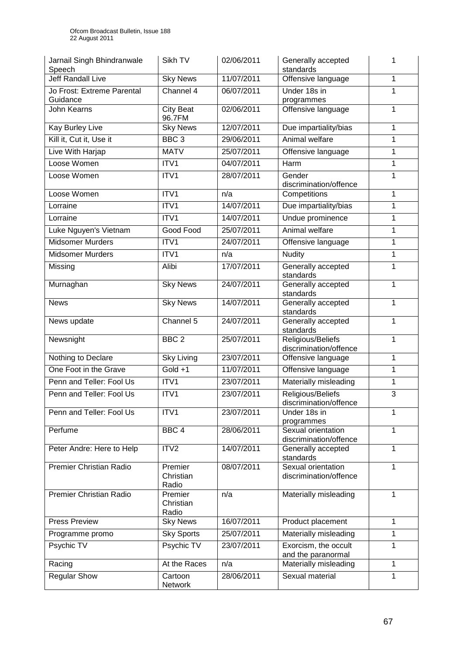| Jarnail Singh Bhindranwale<br>Speech   | Sikh TV                       | 02/06/2011 | Generally accepted<br>standards                   | 1            |
|----------------------------------------|-------------------------------|------------|---------------------------------------------------|--------------|
| <b>Jeff Randall Live</b>               | <b>Sky News</b>               | 11/07/2011 | Offensive language                                | 1            |
| Jo Frost: Extreme Parental<br>Guidance | Channel 4                     | 06/07/2011 | Under 18s in<br>programmes                        | $\mathbf{1}$ |
| <b>John Kearns</b>                     | <b>City Beat</b><br>96.7FM    | 02/06/2011 | Offensive language                                | 1            |
| <b>Kay Burley Live</b>                 | <b>Sky News</b>               | 12/07/2011 | Due impartiality/bias                             | 1            |
| Kill it, Cut it, Use it                | BBC <sub>3</sub>              | 29/06/2011 | Animal welfare                                    | $\mathbf{1}$ |
| Live With Harjap                       | <b>MATV</b>                   | 25/07/2011 | Offensive language                                | $\mathbf{1}$ |
| Loose Women                            | ITV1                          | 04/07/2011 | Harm                                              | 1            |
| Loose Women                            | ITV1                          | 28/07/2011 | Gender<br>discrimination/offence                  | 1            |
| Loose Women                            | ITV1                          | n/a        | Competitions                                      | 1            |
| Lorraine                               | ITV1                          | 14/07/2011 | Due impartiality/bias                             | 1            |
| Lorraine                               | ITV1                          | 14/07/2011 | Undue prominence                                  | $\mathbf{1}$ |
| Luke Nguyen's Vietnam                  | Good Food                     | 25/07/2011 | Animal welfare                                    | 1            |
| <b>Midsomer Murders</b>                | ITV1                          | 24/07/2011 | Offensive language                                | 1            |
| <b>Midsomer Murders</b>                | ITV1                          | n/a        | <b>Nudity</b>                                     | $\mathbf{1}$ |
| Missing                                | Alibi                         | 17/07/2011 | Generally accepted<br>standards                   | 1            |
| Murnaghan                              | <b>Sky News</b>               | 24/07/2011 | Generally accepted<br>standards                   |              |
| <b>News</b>                            | <b>Sky News</b>               | 14/07/2011 | Generally accepted<br>standards                   |              |
| News update                            | Channel 5                     | 24/07/2011 | Generally accepted<br>1<br>standards              |              |
| Newsnight                              | BBC <sub>2</sub>              | 25/07/2011 | Religious/Beliefs<br>1<br>discrimination/offence  |              |
| Nothing to Declare                     | <b>Sky Living</b>             | 23/07/2011 | Offensive language<br>1<br>$\mathbf{1}$           |              |
| One Foot in the Grave                  | $Gold +1$                     | 11/07/2011 | Offensive language                                |              |
| Penn and Teller: Fool Us               | ITV1                          | 23/07/2011 | Materially misleading                             | $\mathbf{1}$ |
| Penn and Teller: Fool Us               | ITV1                          | 23/07/2011 | Religious/Beliefs<br>discrimination/offence       |              |
| Penn and Teller: Fool Us               | ITV1                          | 23/07/2011 | Under 18s in                                      | 1            |
| Perfume                                | BBC <sub>4</sub>              | 28/06/2011 | programmes<br>Sexual orientation                  | $\mathbf{1}$ |
|                                        |                               |            | discrimination/offence                            |              |
| Peter Andre: Here to Help              | ITV2                          | 14/07/2011 | Generally accepted<br>standards                   | 1            |
| <b>Premier Christian Radio</b>         | Premier<br>Christian<br>Radio | 08/07/2011 | Sexual orientation<br>1<br>discrimination/offence |              |
| <b>Premier Christian Radio</b>         | Premier<br>Christian<br>Radio | n/a        | Materially misleading                             | 1            |
| <b>Press Preview</b>                   | <b>Sky News</b>               | 16/07/2011 | Product placement                                 | 1            |
| Programme promo                        | <b>Sky Sports</b>             | 25/07/2011 | Materially misleading                             | 1            |
| Psychic TV                             | Psychic TV                    | 23/07/2011 | Exorcism, the occult<br>1<br>and the paranormal   |              |
| Racing                                 | At the Races                  | n/a        | Materially misleading                             | $\mathbf{1}$ |
| <b>Regular Show</b>                    | Cartoon<br>Network            | 28/06/2011 | Sexual material                                   | 1            |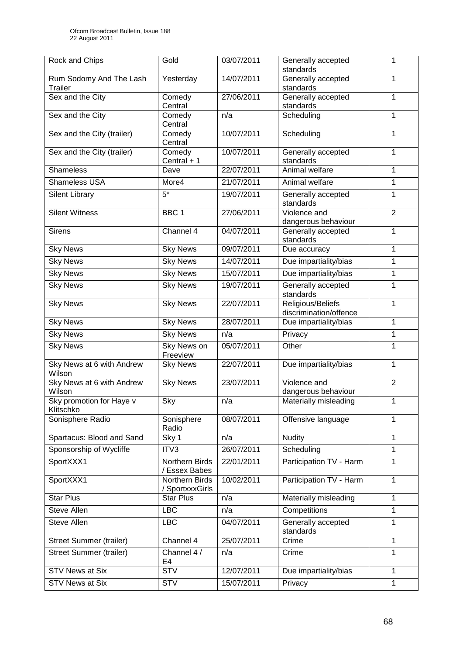| Rock and Chips                        | Gold                              | 03/07/2011 | Generally accepted<br>standards             | 1              |
|---------------------------------------|-----------------------------------|------------|---------------------------------------------|----------------|
| Rum Sodomy And The Lash<br>Trailer    | Yesterday                         | 14/07/2011 | Generally accepted<br>standards             | 1              |
| Sex and the City                      | Comedy<br>Central                 | 27/06/2011 | Generally accepted<br>standards             | 1              |
| Sex and the City                      | Comedy<br>Central                 | n/a        | Scheduling                                  | 1              |
| Sex and the City (trailer)            | Comedy<br>Central                 | 10/07/2011 | Scheduling                                  | 1              |
| Sex and the City (trailer)            | Comedy<br>Central + 1             | 10/07/2011 | Generally accepted<br>standards             | 1              |
| <b>Shameless</b>                      | Dave                              | 22/07/2011 | Animal welfare                              | 1              |
| <b>Shameless USA</b>                  | More4                             | 21/07/2011 | Animal welfare                              | 1              |
| <b>Silent Library</b>                 | $5*$                              | 19/07/2011 | Generally accepted<br>standards             | 1              |
| <b>Silent Witness</b>                 | BBC <sub>1</sub>                  | 27/06/2011 | Violence and<br>dangerous behaviour         | $\overline{2}$ |
| <b>Sirens</b>                         | Channel 4                         | 04/07/2011 | Generally accepted<br>standards             | 1              |
| <b>Sky News</b>                       | <b>Sky News</b>                   | 09/07/2011 | Due accuracy                                | 1              |
| <b>Sky News</b>                       | <b>Sky News</b>                   | 14/07/2011 | Due impartiality/bias                       | 1              |
| <b>Sky News</b>                       | <b>Sky News</b>                   | 15/07/2011 | Due impartiality/bias                       | 1              |
| <b>Sky News</b>                       | <b>Sky News</b>                   | 19/07/2011 | Generally accepted<br>standards             | $\mathbf{1}$   |
| <b>Sky News</b>                       | <b>Sky News</b>                   | 22/07/2011 | Religious/Beliefs<br>discrimination/offence | 1              |
| <b>Sky News</b>                       | <b>Sky News</b>                   | 28/07/2011 | Due impartiality/bias                       | 1              |
| <b>Sky News</b>                       | <b>Sky News</b>                   | n/a        | Privacy                                     | 1              |
| <b>Sky News</b>                       | Sky News on<br>Freeview           | 05/07/2011 | Other                                       | 1              |
| Sky News at 6 with Andrew<br>Wilson   | <b>Sky News</b>                   | 22/07/2011 | Due impartiality/bias                       | 1              |
| Sky News at 6 with Andrew<br>Wilson   | <b>Sky News</b>                   | 23/07/2011 | Violence and<br>dangerous behaviour         | $\overline{2}$ |
| Sky promotion for Haye v<br>Klitschko | Sky                               | n/a        | Materially misleading                       | 1              |
| Sonisphere Radio                      | Sonisphere<br>Radio               | 08/07/2011 | Offensive language                          | 1              |
| Spartacus: Blood and Sand             | Sky 1                             | n/a        | <b>Nudity</b>                               | 1              |
| Sponsorship of Wycliffe               | ITV3                              | 26/07/2011 | Scheduling                                  | 1              |
| SportXXX1                             | Northern Birds<br>/ Essex Babes   | 22/01/2011 | Participation TV - Harm<br>1                |                |
| SportXXX1                             | Northern Birds<br>/ SportxxxGirls | 10/02/2011 | Participation TV - Harm<br>1                |                |
| <b>Star Plus</b>                      | <b>Star Plus</b>                  | n/a        | Materially misleading                       | 1              |
| Steve Allen                           | <b>LBC</b>                        | n/a        | Competitions                                | 1              |
| <b>Steve Allen</b>                    | <b>LBC</b>                        | 04/07/2011 | Generally accepted<br>1<br>standards        |                |
| Street Summer (trailer)               | Channel 4                         | 25/07/2011 | Crime                                       | $\mathbf{1}$   |
| <b>Street Summer (trailer)</b>        | Channel 4 /<br>E4                 | n/a        | Crime<br>1                                  |                |
| <b>STV News at Six</b>                | <b>STV</b>                        | 12/07/2011 | Due impartiality/bias                       | $\mathbf{1}$   |
| <b>STV News at Six</b>                | <b>STV</b>                        | 15/07/2011 | Privacy<br>1                                |                |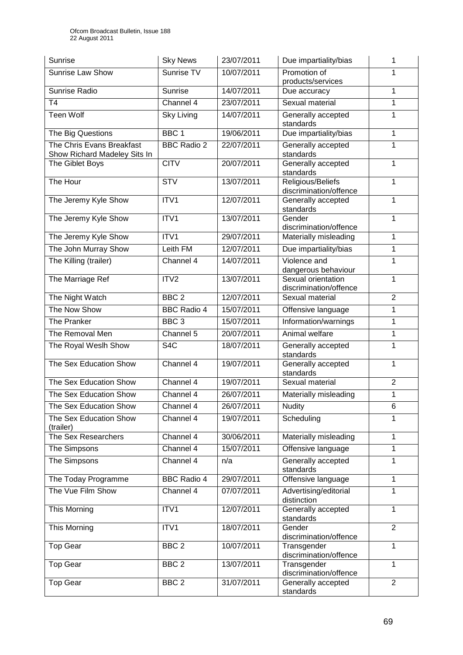| <b>Sunrise</b>                                            | <b>Sky News</b>    | 23/07/2011 | Due impartiality/bias                              | 1               |
|-----------------------------------------------------------|--------------------|------------|----------------------------------------------------|-----------------|
| <b>Sunrise Law Show</b>                                   | Sunrise TV         | 10/07/2011 | Promotion of<br>products/services                  | 1               |
| Sunrise Radio                                             | Sunrise            | 14/07/2011 | Due accuracy                                       | 1               |
| T <sub>4</sub>                                            | Channel 4          | 23/07/2011 | Sexual material                                    | 1               |
| <b>Teen Wolf</b>                                          | <b>Sky Living</b>  | 14/07/2011 | Generally accepted<br>standards                    | 1               |
| The Big Questions                                         | BBC <sub>1</sub>   | 19/06/2011 | Due impartiality/bias                              | 1               |
| The Chris Evans Breakfast<br>Show Richard Madeley Sits In | <b>BBC Radio 2</b> | 22/07/2011 | Generally accepted<br>standards                    |                 |
| The Giblet Boys                                           | <b>CITV</b>        | 20/07/2011 | Generally accepted<br>1<br>standards               |                 |
| The Hour                                                  | <b>STV</b>         | 13/07/2011 | Religious/Beliefs<br>1<br>discrimination/offence   |                 |
| The Jeremy Kyle Show                                      | ITV1               | 12/07/2011 | Generally accepted<br>standards                    | 1               |
| The Jeremy Kyle Show                                      | ITV1               | 13/07/2011 | Gender<br>discrimination/offence                   | 1               |
| The Jeremy Kyle Show                                      | ITV1               | 29/07/2011 | Materially misleading                              | 1               |
| The John Murray Show                                      | Leith FM           | 12/07/2011 | Due impartiality/bias                              | 1               |
| The Killing (trailer)                                     | Channel 4          | 14/07/2011 | Violence and<br>1<br>dangerous behaviour           |                 |
| The Marriage Ref                                          | ITV <sub>2</sub>   | 13/07/2011 | Sexual orientation<br>discrimination/offence       | $\mathbf{1}$    |
| The Night Watch                                           | BBC <sub>2</sub>   | 12/07/2011 | Sexual material                                    | $\overline{2}$  |
| The Now Show                                              | <b>BBC Radio 4</b> | 15/07/2011 | Offensive language                                 | 1               |
| The Pranker                                               | BBC <sub>3</sub>   | 15/07/2011 | Information/warnings                               | $\overline{1}$  |
| The Removal Men                                           | Channel 5          | 20/07/2011 | Animal welfare                                     | 1               |
| The Royal Weslh Show                                      | S <sub>4</sub> C   | 18/07/2011 | $\mathbf{1}$<br>Generally accepted<br>standards    |                 |
| The Sex Education Show                                    | Channel 4          | 19/07/2011 | Generally accepted<br>1<br>standards               |                 |
| The Sex Education Show                                    | Channel 4          | 19/07/2011 | Sexual material<br>$\overline{2}$                  |                 |
| The Sex Education Show                                    | Channel 4          | 26/07/2011 | Materially misleading                              | 1               |
| The Sex Education Show                                    | Channel 4          | 26/07/2011 | <b>Nudity</b>                                      | $6\phantom{1}6$ |
| The Sex Education Show<br>(trailer)                       | Channel 4          | 19/07/2011 | Scheduling                                         | 1               |
| The Sex Researchers                                       | Channel 4          | 30/06/2011 | Materially misleading                              | 1               |
| The Simpsons                                              | Channel 4          | 15/07/2011 | Offensive language<br>$\mathbf{1}$                 |                 |
| The Simpsons                                              | Channel 4          | n/a        | Generally accepted<br>1<br>standards               |                 |
| The Today Programme                                       | <b>BBC Radio 4</b> | 29/07/2011 | Offensive language                                 | $\mathbf{1}$    |
| The Vue Film Show                                         | Channel 4          | 07/07/2011 | 1<br>Advertising/editorial<br>distinction          |                 |
| This Morning                                              | ITV1               | 12/07/2011 | Generally accepted<br>$\mathbf{1}$<br>standards    |                 |
| This Morning                                              | ITV1               | 18/07/2011 | $\overline{2}$<br>Gender<br>discrimination/offence |                 |
| <b>Top Gear</b>                                           | BBC <sub>2</sub>   | 10/07/2011 | Transgender<br>discrimination/offence              | 1               |
| <b>Top Gear</b>                                           | BBC <sub>2</sub>   | 13/07/2011 | Transgender<br>discrimination/offence              | $\mathbf{1}$    |
| <b>Top Gear</b>                                           | BBC <sub>2</sub>   | 31/07/2011 | Generally accepted<br>standards                    | $\overline{2}$  |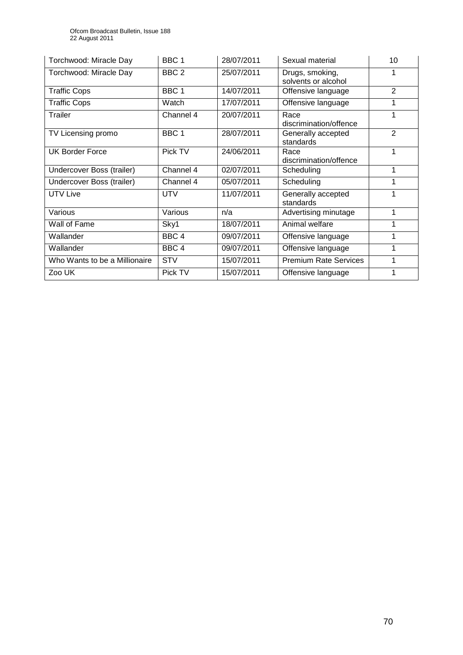| Torchwood: Miracle Day        | BBC <sub>1</sub> | 28/07/2011 | Sexual material                        | 10             |
|-------------------------------|------------------|------------|----------------------------------------|----------------|
| Torchwood: Miracle Day        | BBC <sub>2</sub> | 25/07/2011 | Drugs, smoking,<br>solvents or alcohol |                |
| <b>Traffic Cops</b>           | BBC <sub>1</sub> | 14/07/2011 | Offensive language                     | $\overline{2}$ |
| <b>Traffic Cops</b>           | Watch            | 17/07/2011 | Offensive language                     | 1              |
| Trailer                       | Channel 4        | 20/07/2011 | Race<br>discrimination/offence         | 1              |
| TV Licensing promo            | BBC <sub>1</sub> | 28/07/2011 | Generally accepted<br>standards        | $\overline{2}$ |
| <b>UK Border Force</b>        | Pick TV          | 24/06/2011 | Race<br>discrimination/offence         | 1              |
| Undercover Boss (trailer)     | Channel 4        | 02/07/2011 | Scheduling                             | 1              |
| Undercover Boss (trailer)     | Channel 4        | 05/07/2011 | Scheduling                             |                |
| <b>UTV Live</b>               | <b>UTV</b>       | 11/07/2011 | Generally accepted<br>standards        | 1              |
| Various                       | Various          | n/a        | Advertising minutage                   | 1              |
| Wall of Fame                  | Sky1             | 18/07/2011 | Animal welfare                         |                |
| Wallander                     | BBC <sub>4</sub> | 09/07/2011 | Offensive language                     | 1              |
| Wallander                     | BBC <sub>4</sub> | 09/07/2011 | Offensive language                     | 1              |
| Who Wants to be a Millionaire | <b>STV</b>       | 15/07/2011 | <b>Premium Rate Services</b><br>1      |                |
| Zoo UK                        | Pick TV          | 15/07/2011 | Offensive language                     | 1              |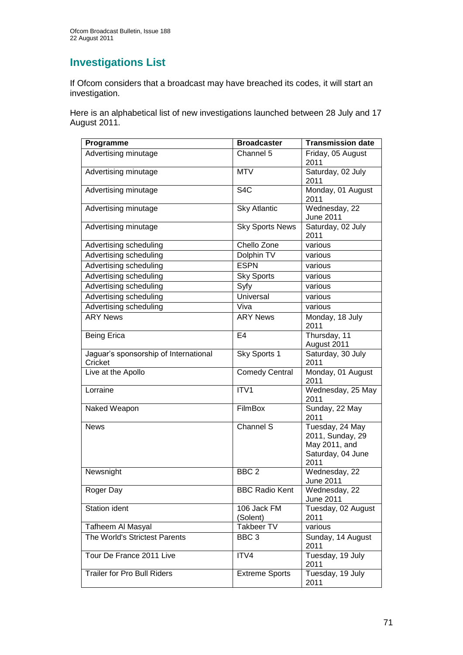# **Investigations List**

If Ofcom considers that a broadcast may have breached its codes, it will start an investigation.

Here is an alphabetical list of new investigations launched between 28 July and 17 August 2011.

| Programme                                        | <b>Broadcaster</b>        | <b>Transmission date</b>                                                          |
|--------------------------------------------------|---------------------------|-----------------------------------------------------------------------------------|
| Advertising minutage                             | Channel 5                 | Friday, 05 August<br>2011                                                         |
| Advertising minutage                             | <b>MTV</b>                | Saturday, 02 July<br>2011                                                         |
| Advertising minutage                             | S <sub>4</sub> C          | Monday, 01 August<br>2011                                                         |
| Advertising minutage                             | <b>Sky Atlantic</b>       | Wednesday, 22<br>June 2011                                                        |
| Advertising minutage                             | <b>Sky Sports News</b>    | Saturday, 02 July<br>2011                                                         |
| Advertising scheduling                           | Chello Zone               | various                                                                           |
| Advertising scheduling                           | Dolphin TV                | various                                                                           |
| Advertising scheduling                           | <b>ESPN</b>               | various                                                                           |
| Advertising scheduling                           | <b>Sky Sports</b>         | various                                                                           |
| Advertising scheduling                           | Syfy                      | various                                                                           |
| Advertising scheduling                           | Universal                 | various                                                                           |
| Advertising scheduling                           | Viva                      | various                                                                           |
| <b>ARY News</b>                                  | <b>ARY News</b>           | Monday, 18 July<br>2011                                                           |
| <b>Being Erica</b>                               | E4                        | Thursday, 11<br>August 2011                                                       |
| Jaguar's sponsorship of International<br>Cricket | Sky Sports 1              | Saturday, 30 July<br>2011                                                         |
| Live at the Apollo                               | <b>Comedy Central</b>     | Monday, 01 August<br>2011                                                         |
| Lorraine                                         | ITV1                      | Wednesday, 25 May<br>2011                                                         |
| Naked Weapon                                     | FilmBox                   | Sunday, 22 May<br>2011                                                            |
| <b>News</b>                                      | Channel S                 | Tuesday, 24 May<br>2011, Sunday, 29<br>May 2011, and<br>Saturday, 04 June<br>2011 |
| Newsnight                                        | BBC <sub>2</sub>          | Wednesday, 22<br>June 2011                                                        |
| Roger Day                                        | <b>BBC Radio Kent</b>     | Wednesday, 22<br>June 2011                                                        |
| <b>Station ident</b>                             | $106$ Jack FM<br>(Solent) | Tuesday, 02 August<br>2011                                                        |
| Tafheem Al Masyal                                | Takbeer TV                | various                                                                           |
| The World's Strictest Parents                    | BBC <sub>3</sub>          | Sunday, 14 August<br>2011                                                         |
| Tour De France 2011 Live                         | ITV4                      | Tuesday, 19 July<br>2011                                                          |
| <b>Trailer for Pro Bull Riders</b>               | <b>Extreme Sports</b>     | Tuesday, 19 July<br>2011                                                          |